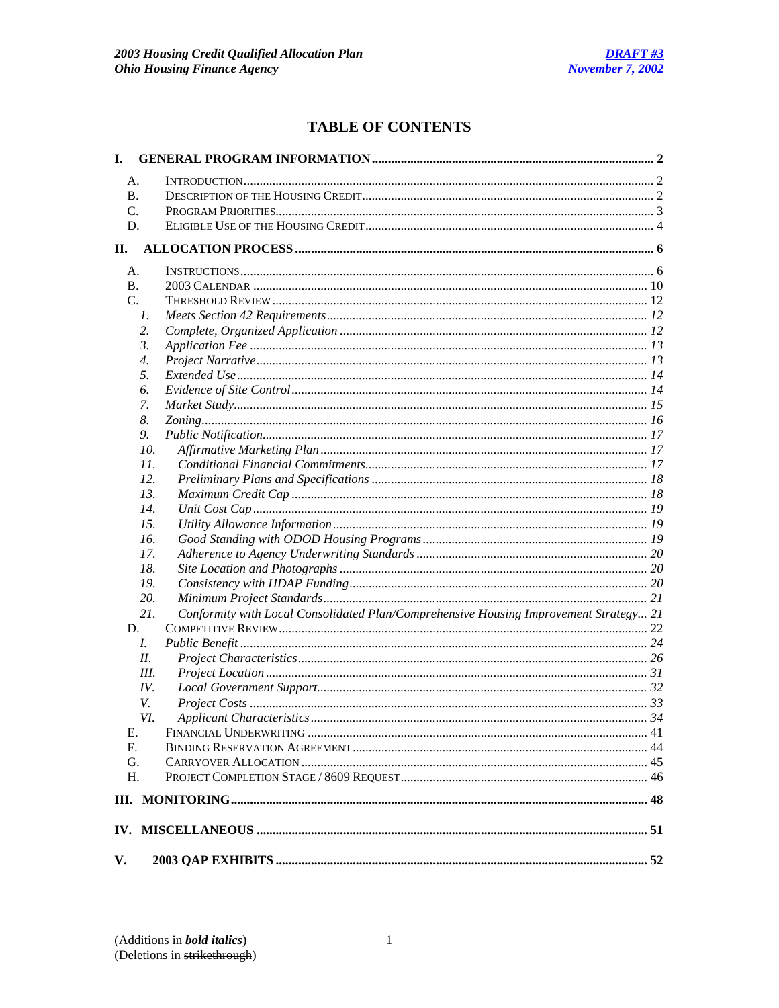# **TABLE OF CONTENTS**

| I.        |                    |                                                                                       |  |
|-----------|--------------------|---------------------------------------------------------------------------------------|--|
| А.        |                    |                                                                                       |  |
| B.        |                    |                                                                                       |  |
| C.        |                    |                                                                                       |  |
| D.        |                    |                                                                                       |  |
| Н.        |                    |                                                                                       |  |
|           |                    |                                                                                       |  |
| A.        |                    |                                                                                       |  |
| <b>B.</b> |                    |                                                                                       |  |
| C.        |                    |                                                                                       |  |
|           | 1.                 |                                                                                       |  |
|           | 2.                 |                                                                                       |  |
|           | 3.                 |                                                                                       |  |
|           | $\boldsymbol{4}$ . |                                                                                       |  |
|           | 5.                 |                                                                                       |  |
|           | 6.                 |                                                                                       |  |
|           | 7.                 |                                                                                       |  |
|           | 8.                 |                                                                                       |  |
|           | 9.                 |                                                                                       |  |
|           | 10.                |                                                                                       |  |
|           | 11.                |                                                                                       |  |
|           | 12.                |                                                                                       |  |
|           | 13.                |                                                                                       |  |
|           | 14.                |                                                                                       |  |
|           | 15.                |                                                                                       |  |
|           | 16.                |                                                                                       |  |
|           | 17.                |                                                                                       |  |
|           | 18.                |                                                                                       |  |
|           | 19.                |                                                                                       |  |
|           | 20.                |                                                                                       |  |
|           | 21.                | Conformity with Local Consolidated Plan/Comprehensive Housing Improvement Strategy 21 |  |
| D.        |                    |                                                                                       |  |
|           | L.                 |                                                                                       |  |
|           | II.                |                                                                                       |  |
|           | Ш.                 |                                                                                       |  |
|           | IV.                |                                                                                       |  |
|           | V.                 |                                                                                       |  |
|           | VI.                |                                                                                       |  |
| Е.        |                    |                                                                                       |  |
| F.        |                    |                                                                                       |  |
| G.        |                    |                                                                                       |  |
| H.        |                    |                                                                                       |  |
|           |                    |                                                                                       |  |
|           |                    |                                                                                       |  |
|           |                    |                                                                                       |  |
| V.        |                    |                                                                                       |  |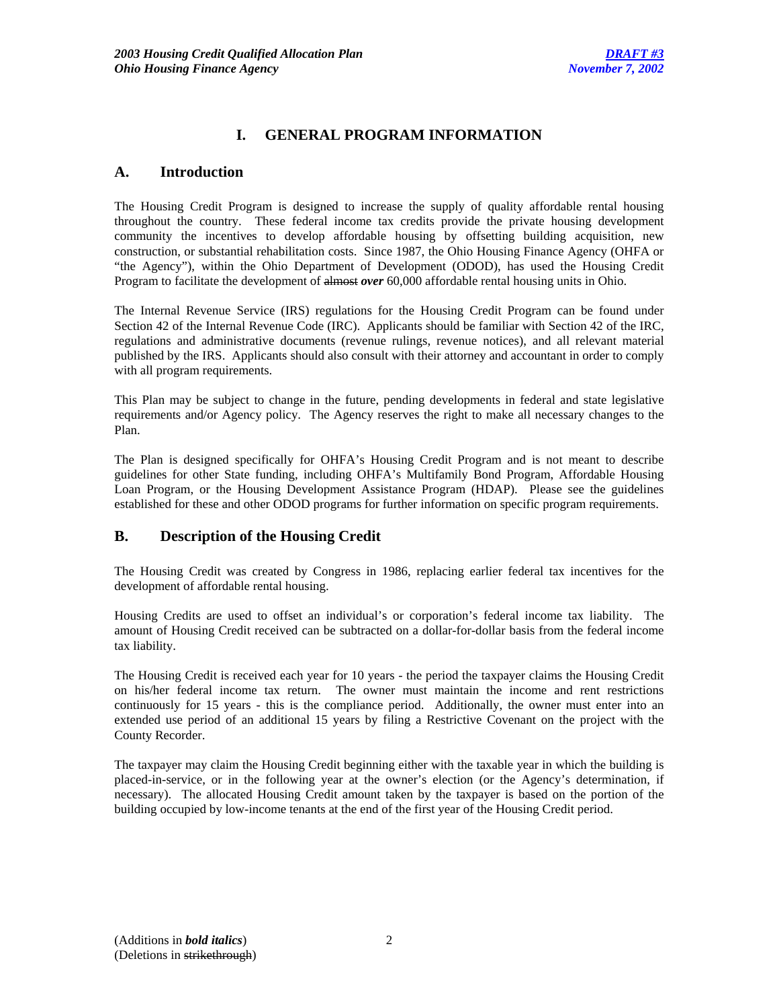# **I. GENERAL PROGRAM INFORMATION**

# **A. Introduction**

The Housing Credit Program is designed to increase the supply of quality affordable rental housing throughout the country. These federal income tax credits provide the private housing development community the incentives to develop affordable housing by offsetting building acquisition, new construction, or substantial rehabilitation costs. Since 1987, the Ohio Housing Finance Agency (OHFA or "the Agency"), within the Ohio Department of Development (ODOD), has used the Housing Credit Program to facilitate the development of almost *over* 60,000 affordable rental housing units in Ohio.

The Internal Revenue Service (IRS) regulations for the Housing Credit Program can be found under Section 42 of the Internal Revenue Code (IRC). Applicants should be familiar with Section 42 of the IRC, regulations and administrative documents (revenue rulings, revenue notices), and all relevant material published by the IRS. Applicants should also consult with their attorney and accountant in order to comply with all program requirements.

This Plan may be subject to change in the future, pending developments in federal and state legislative requirements and/or Agency policy. The Agency reserves the right to make all necessary changes to the Plan.

The Plan is designed specifically for OHFA's Housing Credit Program and is not meant to describe guidelines for other State funding, including OHFA's Multifamily Bond Program, Affordable Housing Loan Program, or the Housing Development Assistance Program (HDAP). Please see the guidelines established for these and other ODOD programs for further information on specific program requirements.

# **B. Description of the Housing Credit**

The Housing Credit was created by Congress in 1986, replacing earlier federal tax incentives for the development of affordable rental housing.

Housing Credits are used to offset an individual's or corporation's federal income tax liability. The amount of Housing Credit received can be subtracted on a dollar-for-dollar basis from the federal income tax liability.

The Housing Credit is received each year for 10 years - the period the taxpayer claims the Housing Credit on his/her federal income tax return. The owner must maintain the income and rent restrictions continuously for 15 years - this is the compliance period. Additionally, the owner must enter into an extended use period of an additional 15 years by filing a Restrictive Covenant on the project with the County Recorder.

The taxpayer may claim the Housing Credit beginning either with the taxable year in which the building is placed-in-service, or in the following year at the owner's election (or the Agency's determination, if necessary). The allocated Housing Credit amount taken by the taxpayer is based on the portion of the building occupied by low-income tenants at the end of the first year of the Housing Credit period.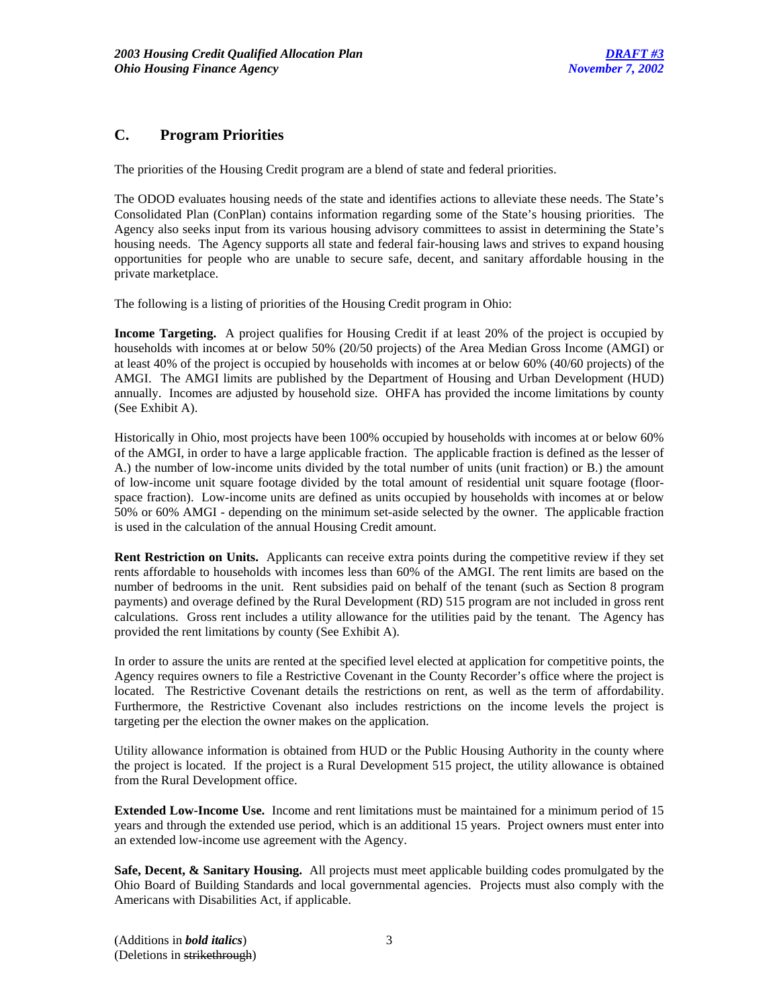# **C. Program Priorities**

The priorities of the Housing Credit program are a blend of state and federal priorities.

The ODOD evaluates housing needs of the state and identifies actions to alleviate these needs. The State's Consolidated Plan (ConPlan) contains information regarding some of the State's housing priorities. The Agency also seeks input from its various housing advisory committees to assist in determining the State's housing needs. The Agency supports all state and federal fair-housing laws and strives to expand housing opportunities for people who are unable to secure safe, decent, and sanitary affordable housing in the private marketplace.

The following is a listing of priorities of the Housing Credit program in Ohio:

**Income Targeting.** A project qualifies for Housing Credit if at least 20% of the project is occupied by households with incomes at or below 50% (20/50 projects) of the Area Median Gross Income (AMGI) or at least 40% of the project is occupied by households with incomes at or below 60% (40/60 projects) of the AMGI. The AMGI limits are published by the Department of Housing and Urban Development (HUD) annually. Incomes are adjusted by household size. OHFA has provided the income limitations by county (See Exhibit A).

Historically in Ohio, most projects have been 100% occupied by households with incomes at or below 60% of the AMGI, in order to have a large applicable fraction. The applicable fraction is defined as the lesser of A.) the number of low-income units divided by the total number of units (unit fraction) or B.) the amount of low-income unit square footage divided by the total amount of residential unit square footage (floorspace fraction). Low-income units are defined as units occupied by households with incomes at or below 50% or 60% AMGI - depending on the minimum set-aside selected by the owner. The applicable fraction is used in the calculation of the annual Housing Credit amount.

**Rent Restriction on Units.** Applicants can receive extra points during the competitive review if they set rents affordable to households with incomes less than 60% of the AMGI. The rent limits are based on the number of bedrooms in the unit. Rent subsidies paid on behalf of the tenant (such as Section 8 program payments) and overage defined by the Rural Development (RD) 515 program are not included in gross rent calculations. Gross rent includes a utility allowance for the utilities paid by the tenant. The Agency has provided the rent limitations by county (See Exhibit A).

In order to assure the units are rented at the specified level elected at application for competitive points, the Agency requires owners to file a Restrictive Covenant in the County Recorder's office where the project is located. The Restrictive Covenant details the restrictions on rent, as well as the term of affordability. Furthermore, the Restrictive Covenant also includes restrictions on the income levels the project is targeting per the election the owner makes on the application.

Utility allowance information is obtained from HUD or the Public Housing Authority in the county where the project is located. If the project is a Rural Development 515 project, the utility allowance is obtained from the Rural Development office.

**Extended Low-Income Use.** Income and rent limitations must be maintained for a minimum period of 15 years and through the extended use period, which is an additional 15 years. Project owners must enter into an extended low-income use agreement with the Agency.

**Safe, Decent, & Sanitary Housing.** All projects must meet applicable building codes promulgated by the Ohio Board of Building Standards and local governmental agencies. Projects must also comply with the Americans with Disabilities Act, if applicable.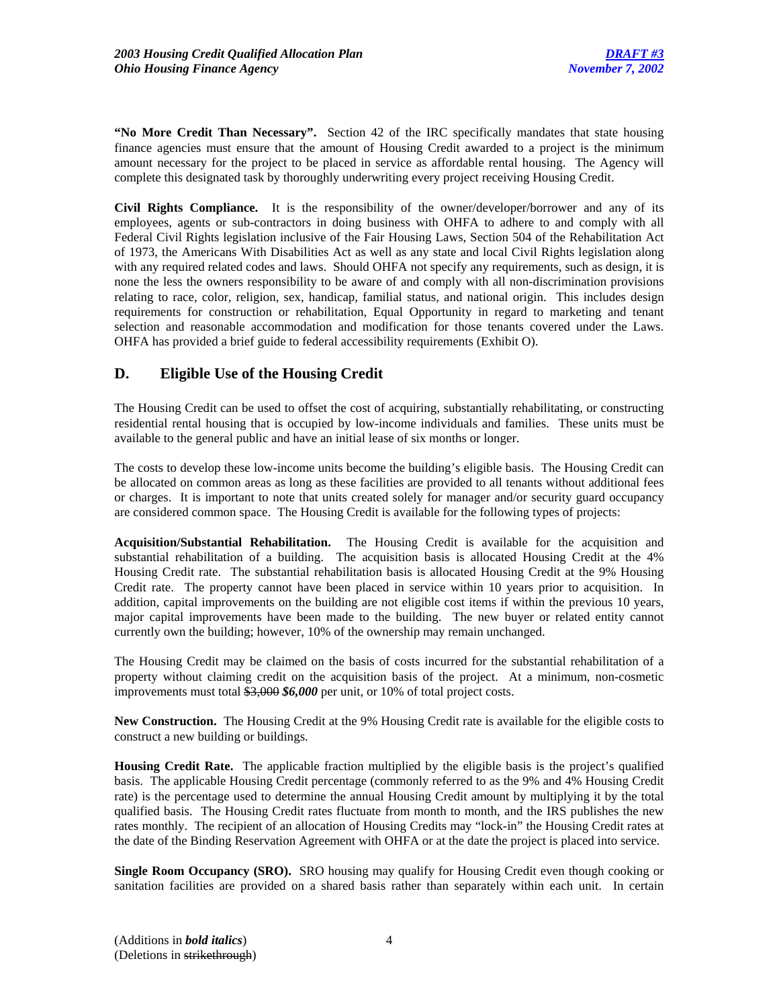**"No More Credit Than Necessary".** Section 42 of the IRC specifically mandates that state housing finance agencies must ensure that the amount of Housing Credit awarded to a project is the minimum amount necessary for the project to be placed in service as affordable rental housing. The Agency will complete this designated task by thoroughly underwriting every project receiving Housing Credit.

**Civil Rights Compliance.** It is the responsibility of the owner/developer/borrower and any of its employees, agents or sub-contractors in doing business with OHFA to adhere to and comply with all Federal Civil Rights legislation inclusive of the Fair Housing Laws, Section 504 of the Rehabilitation Act of 1973, the Americans With Disabilities Act as well as any state and local Civil Rights legislation along with any required related codes and laws. Should OHFA not specify any requirements, such as design, it is none the less the owners responsibility to be aware of and comply with all non-discrimination provisions relating to race, color, religion, sex, handicap, familial status, and national origin. This includes design requirements for construction or rehabilitation, Equal Opportunity in regard to marketing and tenant selection and reasonable accommodation and modification for those tenants covered under the Laws. OHFA has provided a brief guide to federal accessibility requirements (Exhibit O).

# **D. Eligible Use of the Housing Credit**

The Housing Credit can be used to offset the cost of acquiring, substantially rehabilitating, or constructing residential rental housing that is occupied by low-income individuals and families. These units must be available to the general public and have an initial lease of six months or longer.

The costs to develop these low-income units become the building's eligible basis. The Housing Credit can be allocated on common areas as long as these facilities are provided to all tenants without additional fees or charges. It is important to note that units created solely for manager and/or security guard occupancy are considered common space. The Housing Credit is available for the following types of projects:

**Acquisition/Substantial Rehabilitation.** The Housing Credit is available for the acquisition and substantial rehabilitation of a building. The acquisition basis is allocated Housing Credit at the 4% Housing Credit rate. The substantial rehabilitation basis is allocated Housing Credit at the 9% Housing Credit rate. The property cannot have been placed in service within 10 years prior to acquisition. In addition, capital improvements on the building are not eligible cost items if within the previous 10 years, major capital improvements have been made to the building. The new buyer or related entity cannot currently own the building; however, 10% of the ownership may remain unchanged.

The Housing Credit may be claimed on the basis of costs incurred for the substantial rehabilitation of a property without claiming credit on the acquisition basis of the project. At a minimum, non-cosmetic improvements must total \$3,000 *\$6,000* per unit, or 10% of total project costs.

**New Construction.** The Housing Credit at the 9% Housing Credit rate is available for the eligible costs to construct a new building or buildings.

**Housing Credit Rate.** The applicable fraction multiplied by the eligible basis is the project's qualified basis. The applicable Housing Credit percentage (commonly referred to as the 9% and 4% Housing Credit rate) is the percentage used to determine the annual Housing Credit amount by multiplying it by the total qualified basis. The Housing Credit rates fluctuate from month to month, and the IRS publishes the new rates monthly. The recipient of an allocation of Housing Credits may "lock-in" the Housing Credit rates at the date of the Binding Reservation Agreement with OHFA or at the date the project is placed into service.

**Single Room Occupancy (SRO).** SRO housing may qualify for Housing Credit even though cooking or sanitation facilities are provided on a shared basis rather than separately within each unit. In certain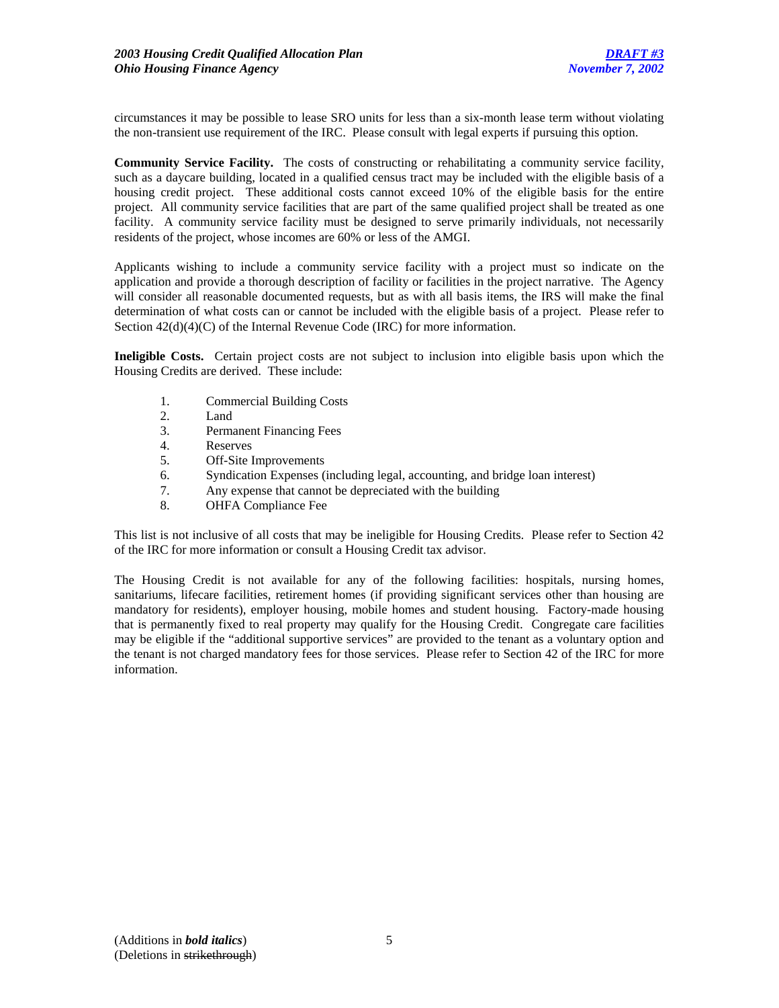circumstances it may be possible to lease SRO units for less than a six-month lease term without violating the non-transient use requirement of the IRC. Please consult with legal experts if pursuing this option.

**Community Service Facility.** The costs of constructing or rehabilitating a community service facility, such as a daycare building, located in a qualified census tract may be included with the eligible basis of a housing credit project. These additional costs cannot exceed 10% of the eligible basis for the entire project. All community service facilities that are part of the same qualified project shall be treated as one facility. A community service facility must be designed to serve primarily individuals, not necessarily residents of the project, whose incomes are 60% or less of the AMGI.

Applicants wishing to include a community service facility with a project must so indicate on the application and provide a thorough description of facility or facilities in the project narrative. The Agency will consider all reasonable documented requests, but as with all basis items, the IRS will make the final determination of what costs can or cannot be included with the eligible basis of a project. Please refer to Section  $42(d)(4)(C)$  of the Internal Revenue Code (IRC) for more information.

**Ineligible Costs.** Certain project costs are not subject to inclusion into eligible basis upon which the Housing Credits are derived. These include:

- 1. Commercial Building Costs
- 2. Land
- 3. Permanent Financing Fees
- 4. Reserves
- 5. Off-Site Improvements
- 6. Syndication Expenses (including legal, accounting, and bridge loan interest)
- 7. Any expense that cannot be depreciated with the building
- 8. OHFA Compliance Fee

This list is not inclusive of all costs that may be ineligible for Housing Credits. Please refer to Section 42 of the IRC for more information or consult a Housing Credit tax advisor.

The Housing Credit is not available for any of the following facilities: hospitals, nursing homes, sanitariums, lifecare facilities, retirement homes (if providing significant services other than housing are mandatory for residents), employer housing, mobile homes and student housing. Factory-made housing that is permanently fixed to real property may qualify for the Housing Credit. Congregate care facilities may be eligible if the "additional supportive services" are provided to the tenant as a voluntary option and the tenant is not charged mandatory fees for those services. Please refer to Section 42 of the IRC for more information.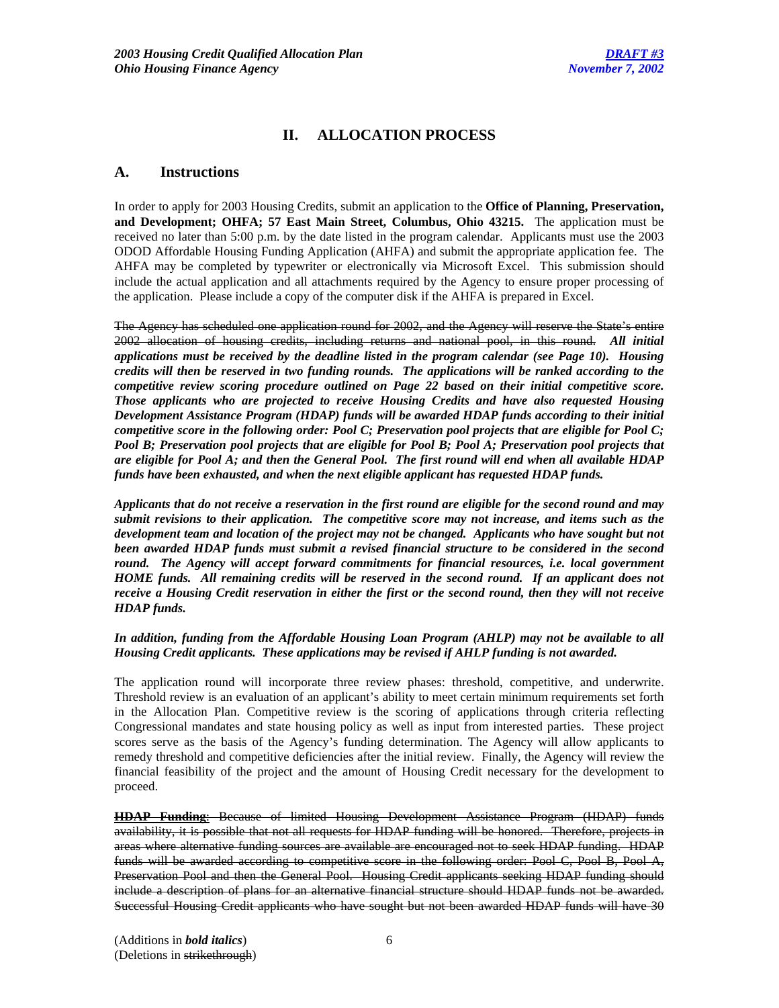# **II. ALLOCATION PROCESS**

# **A. Instructions**

In order to apply for 2003 Housing Credits, submit an application to the **Office of Planning, Preservation, and Development; OHFA; 57 East Main Street, Columbus, Ohio 43215.** The application must be received no later than 5:00 p.m. by the date listed in the program calendar. Applicants must use the 2003 ODOD Affordable Housing Funding Application (AHFA) and submit the appropriate application fee. The AHFA may be completed by typewriter or electronically via Microsoft Excel. This submission should include the actual application and all attachments required by the Agency to ensure proper processing of the application. Please include a copy of the computer disk if the AHFA is prepared in Excel.

The Agency has scheduled one application round for 2002, and the Agency will reserve the State's entire 2002 allocation of housing credits, including returns and national pool, in this round. *All initial applications must be received by the deadline listed in the program calendar (see Page 10). Housing credits will then be reserved in two funding rounds. The applications will be ranked according to the competitive review scoring procedure outlined on Page 22 based on their initial competitive score. Those applicants who are projected to receive Housing Credits and have also requested Housing Development Assistance Program (HDAP) funds will be awarded HDAP funds according to their initial competitive score in the following order: Pool C; Preservation pool projects that are eligible for Pool C; Pool B; Preservation pool projects that are eligible for Pool B; Pool A; Preservation pool projects that are eligible for Pool A; and then the General Pool. The first round will end when all available HDAP funds have been exhausted, and when the next eligible applicant has requested HDAP funds.* 

*Applicants that do not receive a reservation in the first round are eligible for the second round and may submit revisions to their application. The competitive score may not increase, and items such as the development team and location of the project may not be changed. Applicants who have sought but not been awarded HDAP funds must submit a revised financial structure to be considered in the second round. The Agency will accept forward commitments for financial resources, i.e. local government HOME funds. All remaining credits will be reserved in the second round. If an applicant does not receive a Housing Credit reservation in either the first or the second round, then they will not receive HDAP funds.* 

# *In addition, funding from the Affordable Housing Loan Program (AHLP) may not be available to all Housing Credit applicants. These applications may be revised if AHLP funding is not awarded.*

The application round will incorporate three review phases: threshold, competitive, and underwrite. Threshold review is an evaluation of an applicant's ability to meet certain minimum requirements set forth in the Allocation Plan. Competitive review is the scoring of applications through criteria reflecting Congressional mandates and state housing policy as well as input from interested parties. These project scores serve as the basis of the Agency's funding determination. The Agency will allow applicants to remedy threshold and competitive deficiencies after the initial review. Finally, the Agency will review the financial feasibility of the project and the amount of Housing Credit necessary for the development to proceed.

**HDAP Funding**: Because of limited Housing Development Assistance Program (HDAP) funds availability, it is possible that not all requests for HDAP funding will be honored. Therefore, projects in areas where alternative funding sources are available are encouraged not to seek HDAP funding. HDAP funds will be awarded according to competitive score in the following order: Pool C, Pool B, Pool A, Preservation Pool and then the General Pool. Housing Credit applicants seeking HDAP funding should include a description of plans for an alternative financial structure should HDAP funds not be awarded. Successful Housing Credit applicants who have sought but not been awarded HDAP funds will have 30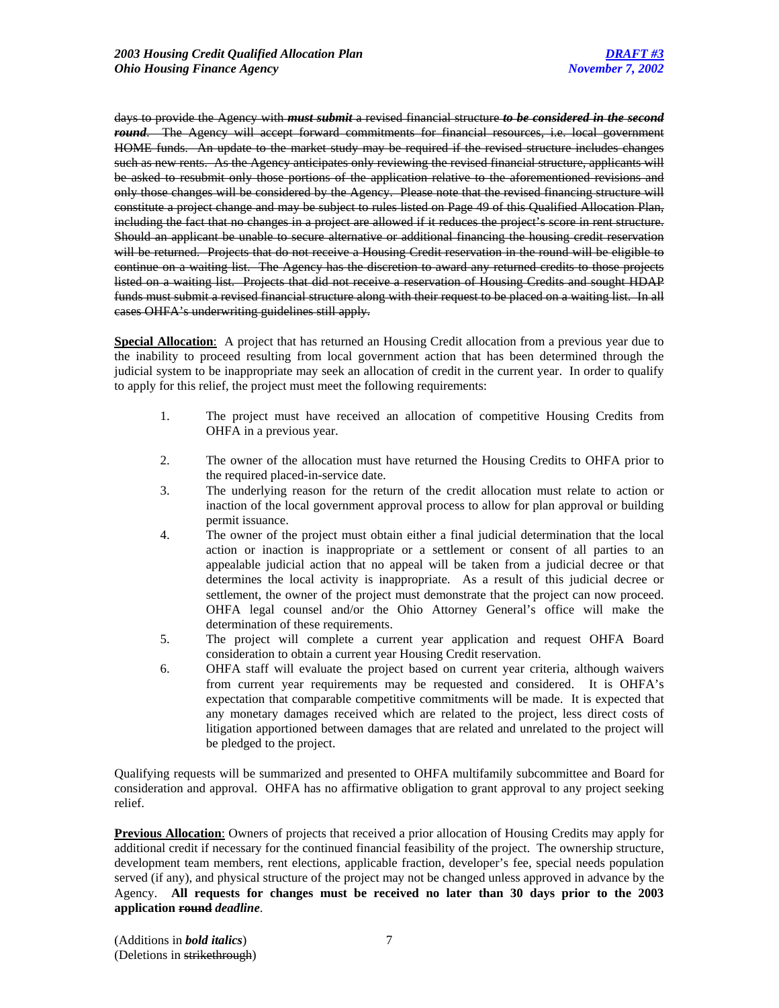days to provide the Agency with *must submit* a revised financial structure *to be considered in the second round*. The Agency will accept forward commitments for financial resources, i.e. local government HOME funds. An update to the market study may be required if the revised structure includes changes such as new rents. As the Agency anticipates only reviewing the revised financial structure, applicants will be asked to resubmit only those portions of the application relative to the aforementioned revisions and only those changes will be considered by the Agency. Please note that the revised financing structure will constitute a project change and may be subject to rules listed on Page 49 of this Qualified Allocation Plan, including the fact that no changes in a project are allowed if it reduces the project's score in rent structure. Should an applicant be unable to secure alternative or additional financing the housing credit reservation will be returned. Projects that do not receive a Housing Credit reservation in the round will be eligible to continue on a waiting list. The Agency has the discretion to award any returned credits to those projects listed on a waiting list. Projects that did not receive a reservation of Housing Credits and sought HDAP funds must submit a revised financial structure along with their request to be placed on a waiting list. In all cases OHFA's underwriting guidelines still apply.

**Special Allocation**: A project that has returned an Housing Credit allocation from a previous year due to the inability to proceed resulting from local government action that has been determined through the judicial system to be inappropriate may seek an allocation of credit in the current year. In order to qualify to apply for this relief, the project must meet the following requirements:

- 1. The project must have received an allocation of competitive Housing Credits from OHFA in a previous year.
- 2. The owner of the allocation must have returned the Housing Credits to OHFA prior to the required placed-in-service date.
- 3. The underlying reason for the return of the credit allocation must relate to action or inaction of the local government approval process to allow for plan approval or building permit issuance.
- 4. The owner of the project must obtain either a final judicial determination that the local action or inaction is inappropriate or a settlement or consent of all parties to an appealable judicial action that no appeal will be taken from a judicial decree or that determines the local activity is inappropriate. As a result of this judicial decree or settlement, the owner of the project must demonstrate that the project can now proceed. OHFA legal counsel and/or the Ohio Attorney General's office will make the determination of these requirements.
- 5. The project will complete a current year application and request OHFA Board consideration to obtain a current year Housing Credit reservation.
- 6. OHFA staff will evaluate the project based on current year criteria, although waivers from current year requirements may be requested and considered. It is OHFA's expectation that comparable competitive commitments will be made. It is expected that any monetary damages received which are related to the project, less direct costs of litigation apportioned between damages that are related and unrelated to the project will be pledged to the project.

Qualifying requests will be summarized and presented to OHFA multifamily subcommittee and Board for consideration and approval. OHFA has no affirmative obligation to grant approval to any project seeking relief.

**Previous Allocation**: Owners of projects that received a prior allocation of Housing Credits may apply for additional credit if necessary for the continued financial feasibility of the project. The ownership structure, development team members, rent elections, applicable fraction, developer's fee, special needs population served (if any), and physical structure of the project may not be changed unless approved in advance by the Agency. **All requests for changes must be received no later than 30 days prior to the 2003 application round** *deadline*.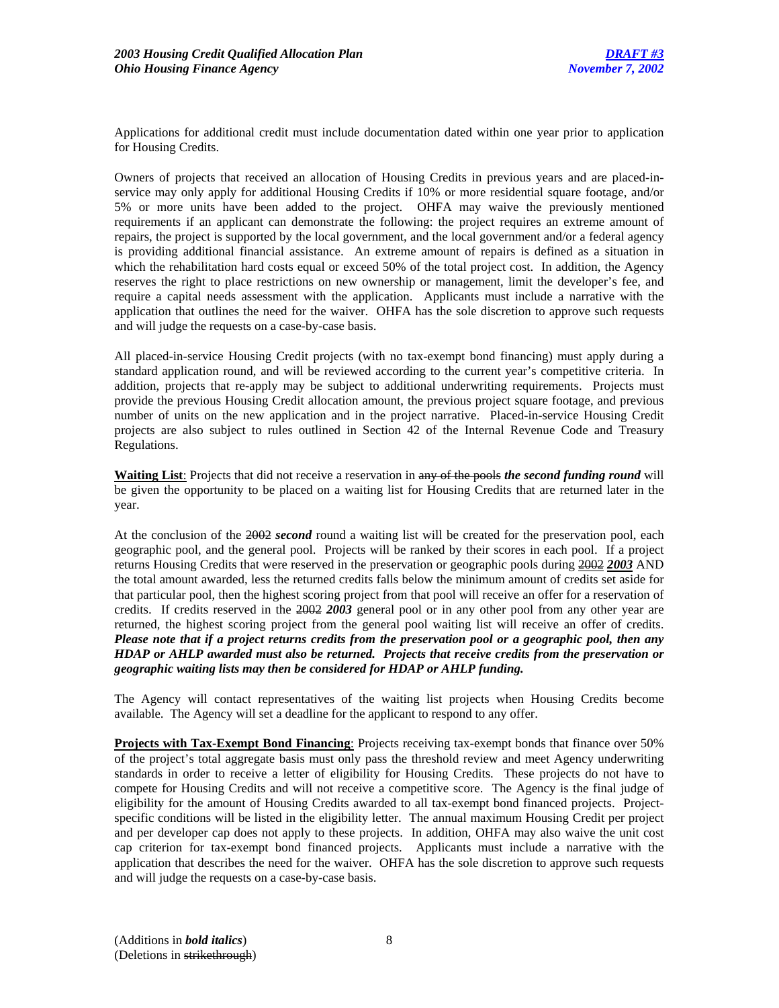Applications for additional credit must include documentation dated within one year prior to application for Housing Credits.

Owners of projects that received an allocation of Housing Credits in previous years and are placed-inservice may only apply for additional Housing Credits if 10% or more residential square footage, and/or 5% or more units have been added to the project. OHFA may waive the previously mentioned requirements if an applicant can demonstrate the following: the project requires an extreme amount of repairs, the project is supported by the local government, and the local government and/or a federal agency is providing additional financial assistance. An extreme amount of repairs is defined as a situation in which the rehabilitation hard costs equal or exceed 50% of the total project cost. In addition, the Agency reserves the right to place restrictions on new ownership or management, limit the developer's fee, and require a capital needs assessment with the application. Applicants must include a narrative with the application that outlines the need for the waiver. OHFA has the sole discretion to approve such requests and will judge the requests on a case-by-case basis.

All placed-in-service Housing Credit projects (with no tax-exempt bond financing) must apply during a standard application round, and will be reviewed according to the current year's competitive criteria. In addition, projects that re-apply may be subject to additional underwriting requirements. Projects must provide the previous Housing Credit allocation amount, the previous project square footage, and previous number of units on the new application and in the project narrative. Placed-in-service Housing Credit projects are also subject to rules outlined in Section 42 of the Internal Revenue Code and Treasury Regulations.

**Waiting List**: Projects that did not receive a reservation in any of the pools *the second funding round* will be given the opportunity to be placed on a waiting list for Housing Credits that are returned later in the year.

At the conclusion of the 2002 *second* round a waiting list will be created for the preservation pool, each geographic pool, and the general pool. Projects will be ranked by their scores in each pool. If a project returns Housing Credits that were reserved in the preservation or geographic pools during 2002 *2003* AND the total amount awarded, less the returned credits falls below the minimum amount of credits set aside for that particular pool, then the highest scoring project from that pool will receive an offer for a reservation of credits. If credits reserved in the 2002 *2003* general pool or in any other pool from any other year are returned, the highest scoring project from the general pool waiting list will receive an offer of credits. *Please note that if a project returns credits from the preservation pool or a geographic pool, then any HDAP or AHLP awarded must also be returned. Projects that receive credits from the preservation or geographic waiting lists may then be considered for HDAP or AHLP funding.* 

The Agency will contact representatives of the waiting list projects when Housing Credits become available. The Agency will set a deadline for the applicant to respond to any offer.

**Projects with Tax-Exempt Bond Financing**: Projects receiving tax-exempt bonds that finance over 50% of the project's total aggregate basis must only pass the threshold review and meet Agency underwriting standards in order to receive a letter of eligibility for Housing Credits. These projects do not have to compete for Housing Credits and will not receive a competitive score. The Agency is the final judge of eligibility for the amount of Housing Credits awarded to all tax-exempt bond financed projects. Projectspecific conditions will be listed in the eligibility letter. The annual maximum Housing Credit per project and per developer cap does not apply to these projects. In addition, OHFA may also waive the unit cost cap criterion for tax-exempt bond financed projects. Applicants must include a narrative with the application that describes the need for the waiver. OHFA has the sole discretion to approve such requests and will judge the requests on a case-by-case basis.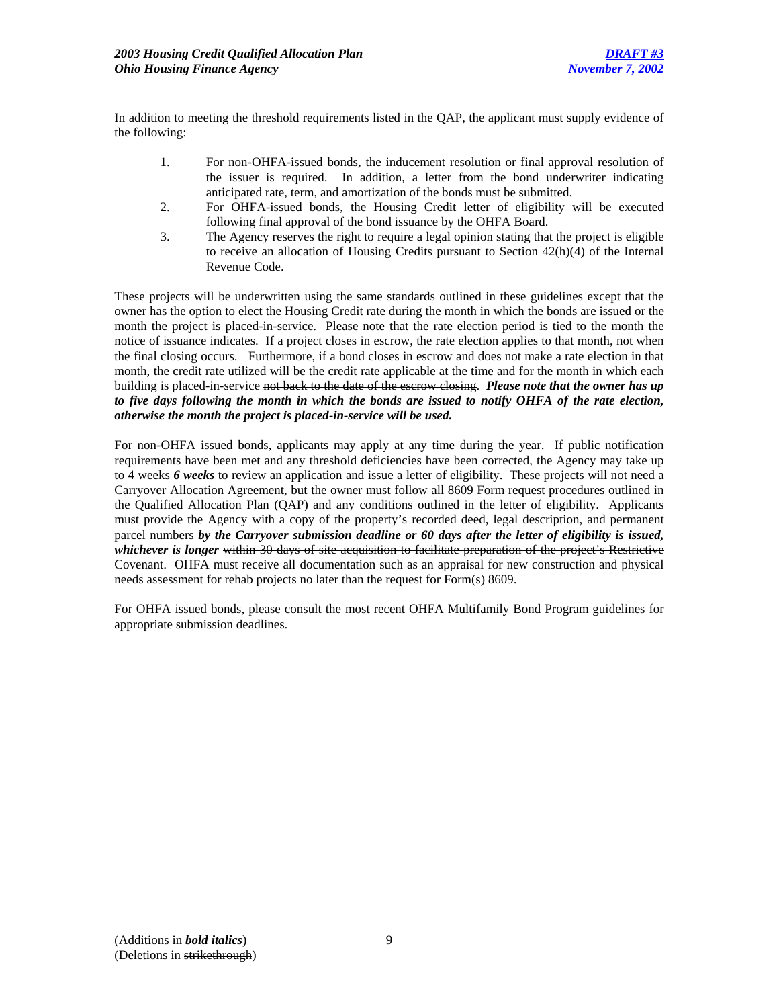In addition to meeting the threshold requirements listed in the QAP, the applicant must supply evidence of the following:

- 1. For non-OHFA-issued bonds, the inducement resolution or final approval resolution of the issuer is required. In addition, a letter from the bond underwriter indicating anticipated rate, term, and amortization of the bonds must be submitted.
- 2. For OHFA-issued bonds, the Housing Credit letter of eligibility will be executed following final approval of the bond issuance by the OHFA Board.
- 3. The Agency reserves the right to require a legal opinion stating that the project is eligible to receive an allocation of Housing Credits pursuant to Section 42(h)(4) of the Internal Revenue Code.

These projects will be underwritten using the same standards outlined in these guidelines except that the owner has the option to elect the Housing Credit rate during the month in which the bonds are issued or the month the project is placed-in-service. Please note that the rate election period is tied to the month the notice of issuance indicates. If a project closes in escrow, the rate election applies to that month, not when the final closing occurs. Furthermore, if a bond closes in escrow and does not make a rate election in that month, the credit rate utilized will be the credit rate applicable at the time and for the month in which each building is placed-in-service not back to the date of the escrow closing. *Please note that the owner has up to five days following the month in which the bonds are issued to notify OHFA of the rate election, otherwise the month the project is placed-in-service will be used.*

For non-OHFA issued bonds, applicants may apply at any time during the year. If public notification requirements have been met and any threshold deficiencies have been corrected, the Agency may take up to 4 weeks *6 weeks* to review an application and issue a letter of eligibility. These projects will not need a Carryover Allocation Agreement, but the owner must follow all 8609 Form request procedures outlined in the Qualified Allocation Plan (QAP) and any conditions outlined in the letter of eligibility. Applicants must provide the Agency with a copy of the property's recorded deed, legal description, and permanent parcel numbers *by the Carryover submission deadline or 60 days after the letter of eligibility is issued, whichever is longer* within 30 days of site acquisition to facilitate preparation of the project's Restrictive Covenant. OHFA must receive all documentation such as an appraisal for new construction and physical needs assessment for rehab projects no later than the request for Form(s) 8609.

For OHFA issued bonds, please consult the most recent OHFA Multifamily Bond Program guidelines for appropriate submission deadlines.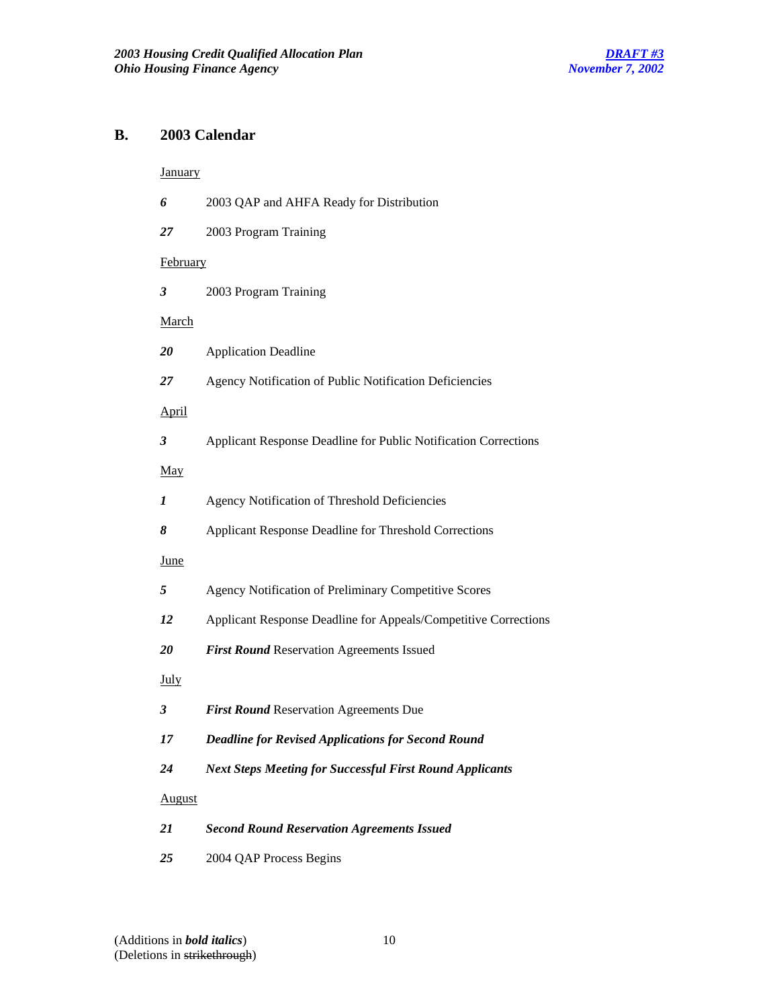# **B. 2003 Calendar**

# **January**

| 6            | 2003 QAP and AHFA Ready for Distribution                        |
|--------------|-----------------------------------------------------------------|
| 27           | 2003 Program Training                                           |
| February     |                                                                 |
| 3            | 2003 Program Training                                           |
| March        |                                                                 |
| 20           | <b>Application Deadline</b>                                     |
| 27           | Agency Notification of Public Notification Deficiencies         |
| <b>April</b> |                                                                 |
| 3            | Applicant Response Deadline for Public Notification Corrections |
| May          |                                                                 |
| 1            | Agency Notification of Threshold Deficiencies                   |
| 8            | Applicant Response Deadline for Threshold Corrections           |
| <u>June</u>  |                                                                 |
| 5            | Agency Notification of Preliminary Competitive Scores           |
| 12           | Applicant Response Deadline for Appeals/Competitive Corrections |
| 20           | First Round Reservation Agreements Issued                       |
| <b>July</b>  |                                                                 |
| 3            | First Round Reservation Agreements Due                          |
| 17           | <b>Deadline for Revised Applications for Second Round</b>       |
| 24           | <b>Next Steps Meeting for Successful First Round Applicants</b> |
| August       |                                                                 |
| 21           | <b>Second Round Reservation Agreements Issued</b>               |
| 25           | 2004 QAP Process Begins                                         |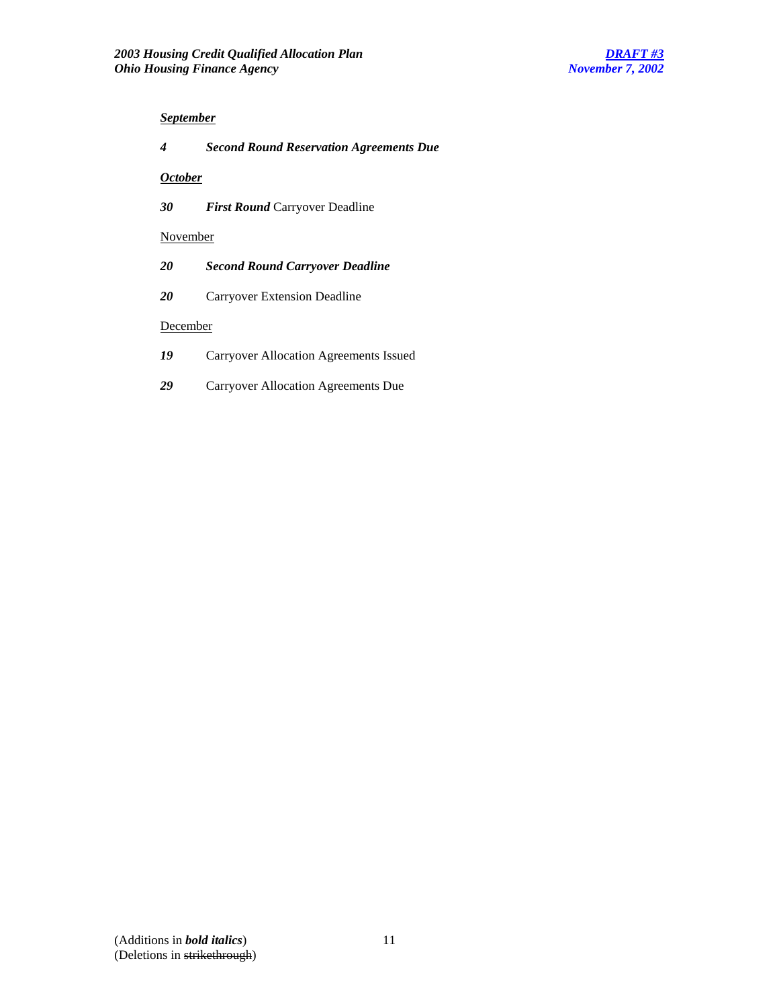# *September*

# *4 Second Round Reservation Agreements Due*

# *October*

*30 First Round* Carryover Deadline

### November

- *20 Second Round Carryover Deadline*
- *20* Carryover Extension Deadline

# **December**

- *19* Carryover Allocation Agreements Issued
- *29* Carryover Allocation Agreements Due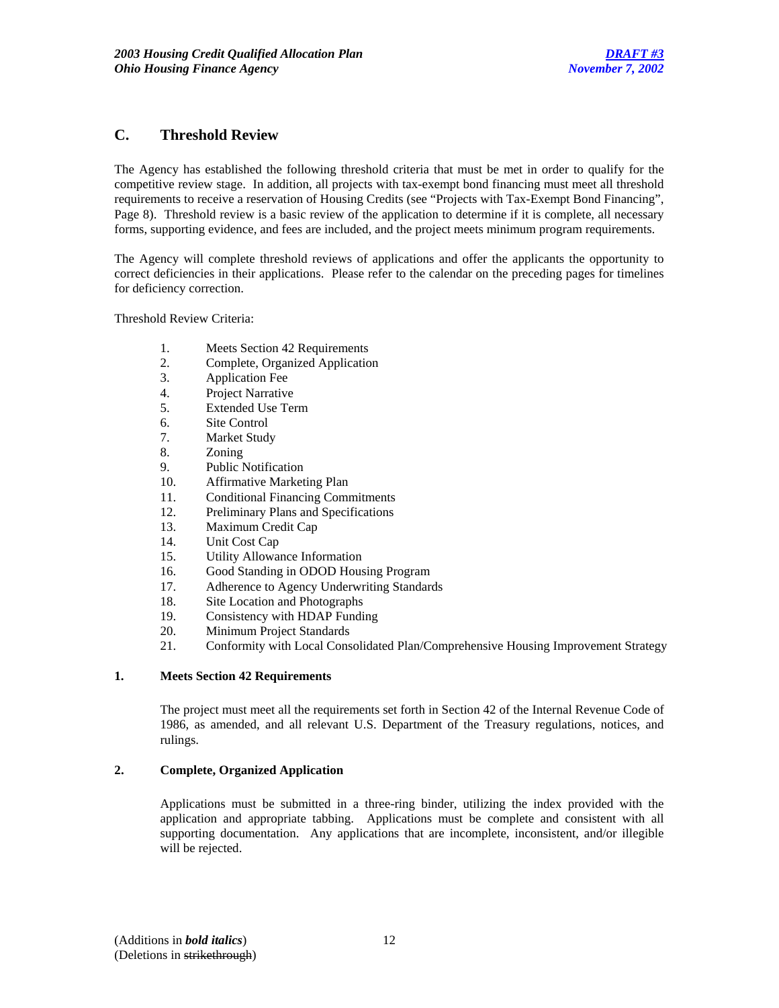# **C. Threshold Review**

The Agency has established the following threshold criteria that must be met in order to qualify for the competitive review stage. In addition, all projects with tax-exempt bond financing must meet all threshold requirements to receive a reservation of Housing Credits (see "Projects with Tax-Exempt Bond Financing", Page 8). Threshold review is a basic review of the application to determine if it is complete, all necessary forms, supporting evidence, and fees are included, and the project meets minimum program requirements.

The Agency will complete threshold reviews of applications and offer the applicants the opportunity to correct deficiencies in their applications. Please refer to the calendar on the preceding pages for timelines for deficiency correction.

Threshold Review Criteria:

- 1. Meets Section 42 Requirements
- 2. Complete, Organized Application
- 3. Application Fee
- 4. Project Narrative
- 5. Extended Use Term
- 6. Site Control
- 7. Market Study
- 8. Zoning
- 9. Public Notification
- 10. Affirmative Marketing Plan
- 11. Conditional Financing Commitments
- 12. Preliminary Plans and Specifications
- 13. Maximum Credit Cap
- 14. Unit Cost Cap
- 15. Utility Allowance Information
- 16. Good Standing in ODOD Housing Program
- 17. Adherence to Agency Underwriting Standards
- 18. Site Location and Photographs
- 19. Consistency with HDAP Funding
- 20. Minimum Project Standards
- 21. Conformity with Local Consolidated Plan/Comprehensive Housing Improvement Strategy

#### **1. Meets Section 42 Requirements**

 The project must meet all the requirements set forth in Section 42 of the Internal Revenue Code of 1986, as amended, and all relevant U.S. Department of the Treasury regulations, notices, and rulings.

# **2. Complete, Organized Application**

Applications must be submitted in a three-ring binder, utilizing the index provided with the application and appropriate tabbing. Applications must be complete and consistent with all supporting documentation. Any applications that are incomplete, inconsistent, and/or illegible will be rejected.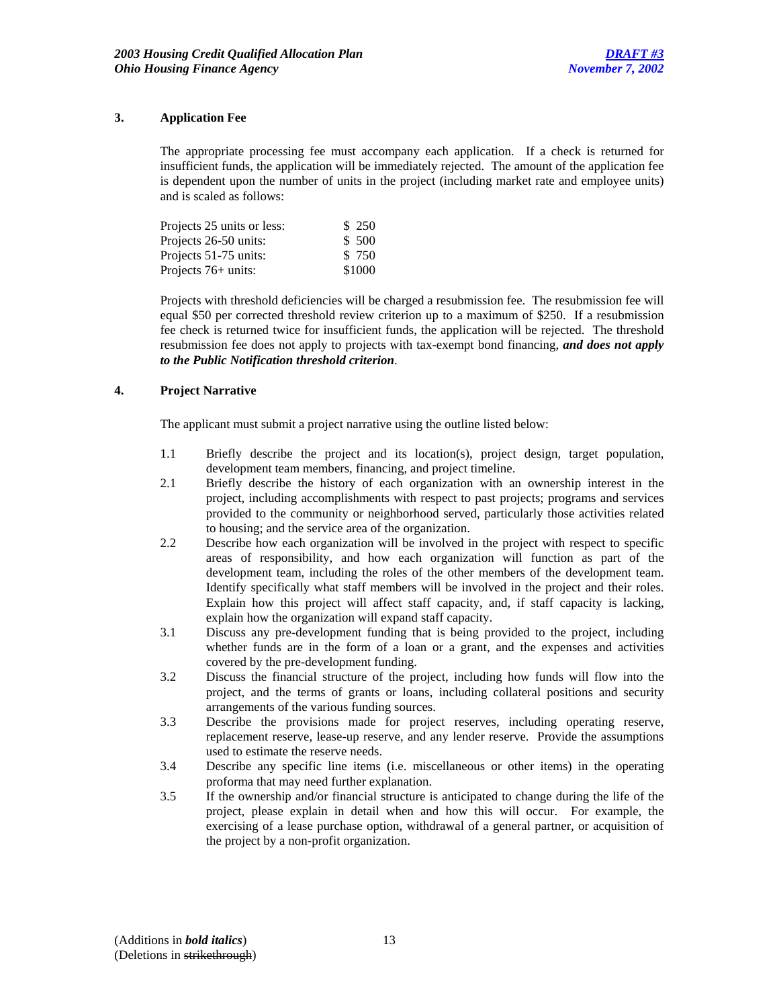# **3. Application Fee**

The appropriate processing fee must accompany each application. If a check is returned for insufficient funds, the application will be immediately rejected. The amount of the application fee is dependent upon the number of units in the project (including market rate and employee units) and is scaled as follows:

| Projects 25 units or less: | \$ 250 |
|----------------------------|--------|
| Projects 26-50 units:      | \$ 500 |
| Projects 51-75 units:      | \$750  |
| Projects $76+$ units:      | \$1000 |

Projects with threshold deficiencies will be charged a resubmission fee. The resubmission fee will equal \$50 per corrected threshold review criterion up to a maximum of \$250. If a resubmission fee check is returned twice for insufficient funds, the application will be rejected. The threshold resubmission fee does not apply to projects with tax-exempt bond financing, *and does not apply to the Public Notification threshold criterion*.

### **4. Project Narrative**

The applicant must submit a project narrative using the outline listed below:

- 1.1 Briefly describe the project and its location(s), project design, target population, development team members, financing, and project timeline.
- 2.1 Briefly describe the history of each organization with an ownership interest in the project, including accomplishments with respect to past projects; programs and services provided to the community or neighborhood served, particularly those activities related to housing; and the service area of the organization.
- 2.2 Describe how each organization will be involved in the project with respect to specific areas of responsibility, and how each organization will function as part of the development team, including the roles of the other members of the development team. Identify specifically what staff members will be involved in the project and their roles. Explain how this project will affect staff capacity, and, if staff capacity is lacking, explain how the organization will expand staff capacity.
- 3.1 Discuss any pre-development funding that is being provided to the project, including whether funds are in the form of a loan or a grant, and the expenses and activities covered by the pre-development funding.
- 3.2 Discuss the financial structure of the project, including how funds will flow into the project, and the terms of grants or loans, including collateral positions and security arrangements of the various funding sources.
- 3.3 Describe the provisions made for project reserves, including operating reserve, replacement reserve, lease-up reserve, and any lender reserve. Provide the assumptions used to estimate the reserve needs.
- 3.4 Describe any specific line items (i.e. miscellaneous or other items) in the operating proforma that may need further explanation.
- 3.5 If the ownership and/or financial structure is anticipated to change during the life of the project, please explain in detail when and how this will occur. For example, the exercising of a lease purchase option, withdrawal of a general partner, or acquisition of the project by a non-profit organization.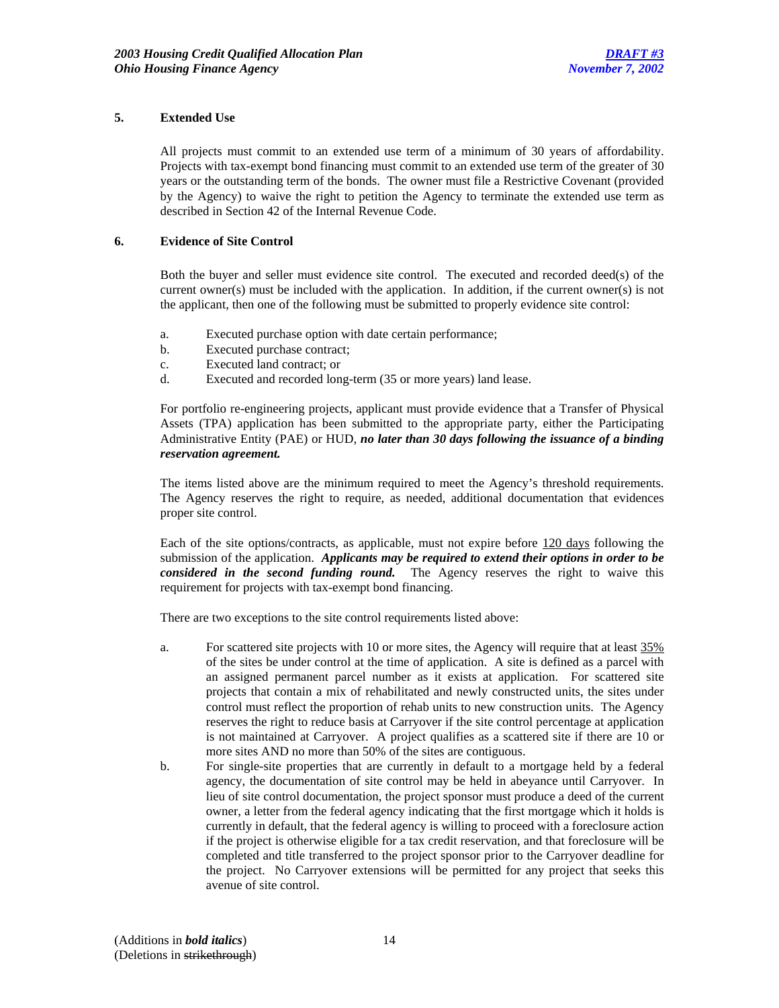# **5. Extended Use**

All projects must commit to an extended use term of a minimum of 30 years of affordability. Projects with tax-exempt bond financing must commit to an extended use term of the greater of 30 years or the outstanding term of the bonds. The owner must file a Restrictive Covenant (provided by the Agency) to waive the right to petition the Agency to terminate the extended use term as described in Section 42 of the Internal Revenue Code.

# **6. Evidence of Site Control**

Both the buyer and seller must evidence site control. The executed and recorded deed(s) of the current owner(s) must be included with the application. In addition, if the current owner(s) is not the applicant, then one of the following must be submitted to properly evidence site control:

- a. Executed purchase option with date certain performance;
- b. Executed purchase contract;
- c. Executed land contract; or
- d. Executed and recorded long-term (35 or more years) land lease.

For portfolio re-engineering projects, applicant must provide evidence that a Transfer of Physical Assets (TPA) application has been submitted to the appropriate party, either the Participating Administrative Entity (PAE) or HUD, *no later than 30 days following the issuance of a binding reservation agreement.* 

The items listed above are the minimum required to meet the Agency's threshold requirements. The Agency reserves the right to require, as needed, additional documentation that evidences proper site control.

Each of the site options/contracts, as applicable, must not expire before 120 days following the submission of the application. *Applicants may be required to extend their options in order to be considered in the second funding round.* The Agency reserves the right to waive this requirement for projects with tax-exempt bond financing.

There are two exceptions to the site control requirements listed above:

- a. For scattered site projects with 10 or more sites, the Agency will require that at least 35% of the sites be under control at the time of application. A site is defined as a parcel with an assigned permanent parcel number as it exists at application. For scattered site projects that contain a mix of rehabilitated and newly constructed units, the sites under control must reflect the proportion of rehab units to new construction units. The Agency reserves the right to reduce basis at Carryover if the site control percentage at application is not maintained at Carryover. A project qualifies as a scattered site if there are 10 or more sites AND no more than 50% of the sites are contiguous.
- b. For single-site properties that are currently in default to a mortgage held by a federal agency, the documentation of site control may be held in abeyance until Carryover. In lieu of site control documentation, the project sponsor must produce a deed of the current owner, a letter from the federal agency indicating that the first mortgage which it holds is currently in default, that the federal agency is willing to proceed with a foreclosure action if the project is otherwise eligible for a tax credit reservation, and that foreclosure will be completed and title transferred to the project sponsor prior to the Carryover deadline for the project. No Carryover extensions will be permitted for any project that seeks this avenue of site control.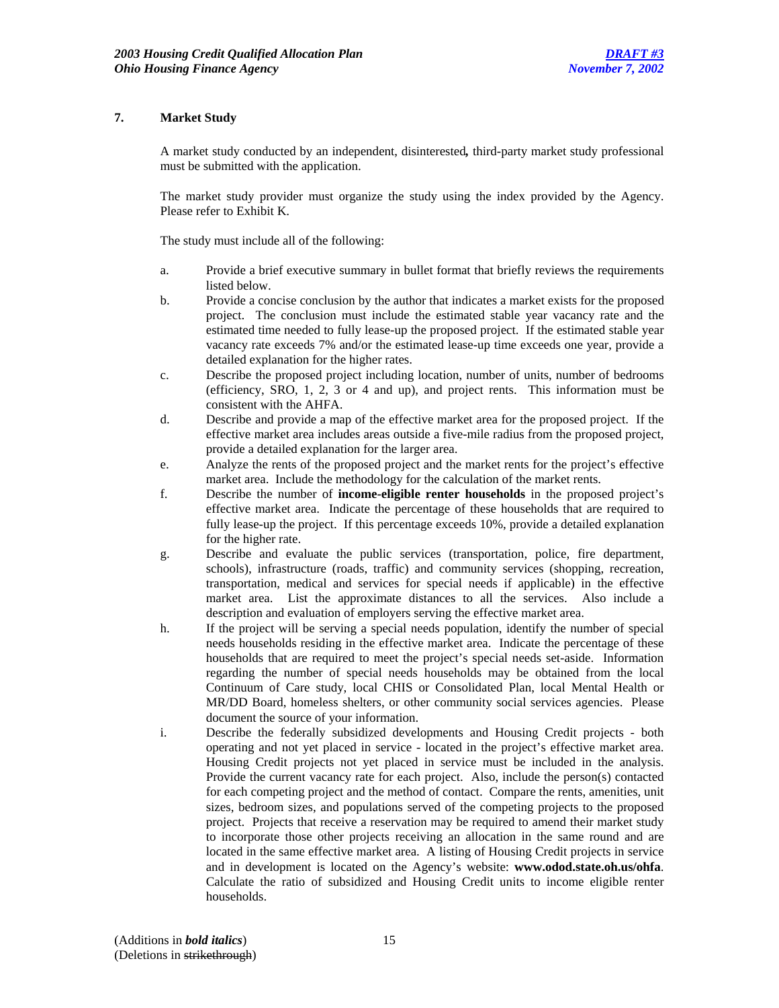# **7. Market Study**

A market study conducted by an independent, disinterested*,* third-party market study professional must be submitted with the application.

The market study provider must organize the study using the index provided by the Agency. Please refer to Exhibit K.

The study must include all of the following:

- a. Provide a brief executive summary in bullet format that briefly reviews the requirements listed below.
- b. Provide a concise conclusion by the author that indicates a market exists for the proposed project. The conclusion must include the estimated stable year vacancy rate and the estimated time needed to fully lease-up the proposed project. If the estimated stable year vacancy rate exceeds 7% and/or the estimated lease-up time exceeds one year, provide a detailed explanation for the higher rates.
- c. Describe the proposed project including location, number of units, number of bedrooms (efficiency, SRO, 1, 2, 3 or 4 and up), and project rents. This information must be consistent with the AHFA.
- d. Describe and provide a map of the effective market area for the proposed project. If the effective market area includes areas outside a five-mile radius from the proposed project, provide a detailed explanation for the larger area.
- e. Analyze the rents of the proposed project and the market rents for the project's effective market area. Include the methodology for the calculation of the market rents.
- f. Describe the number of **income-eligible renter households** in the proposed project's effective market area. Indicate the percentage of these households that are required to fully lease-up the project. If this percentage exceeds 10%, provide a detailed explanation for the higher rate.
- g. Describe and evaluate the public services (transportation, police, fire department, schools), infrastructure (roads, traffic) and community services (shopping, recreation, transportation, medical and services for special needs if applicable) in the effective market area. List the approximate distances to all the services. Also include a description and evaluation of employers serving the effective market area.
- h. If the project will be serving a special needs population, identify the number of special needs households residing in the effective market area. Indicate the percentage of these households that are required to meet the project's special needs set-aside. Information regarding the number of special needs households may be obtained from the local Continuum of Care study, local CHIS or Consolidated Plan, local Mental Health or MR/DD Board, homeless shelters, or other community social services agencies. Please document the source of your information.
- i. Describe the federally subsidized developments and Housing Credit projects both operating and not yet placed in service - located in the project's effective market area. Housing Credit projects not yet placed in service must be included in the analysis. Provide the current vacancy rate for each project. Also, include the person(s) contacted for each competing project and the method of contact. Compare the rents, amenities, unit sizes, bedroom sizes, and populations served of the competing projects to the proposed project. Projects that receive a reservation may be required to amend their market study to incorporate those other projects receiving an allocation in the same round and are located in the same effective market area. A listing of Housing Credit projects in service and in development is located on the Agency's website: **www.odod.state.oh.us/ohfa**. Calculate the ratio of subsidized and Housing Credit units to income eligible renter households.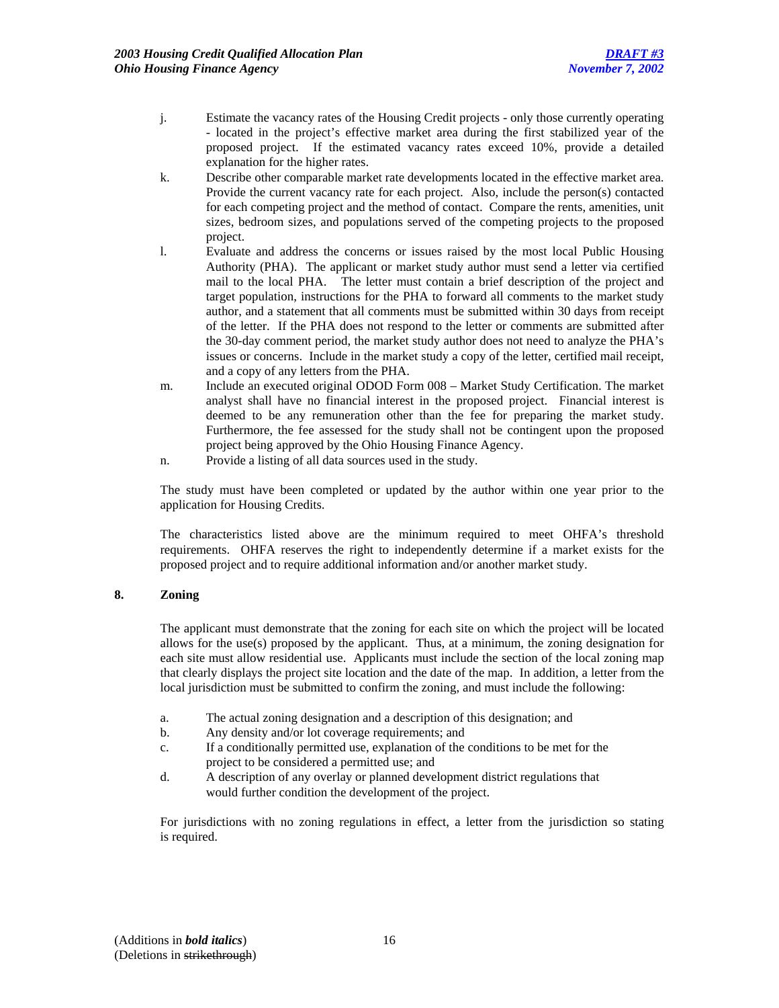- j. Estimate the vacancy rates of the Housing Credit projects only those currently operating - located in the project's effective market area during the first stabilized year of the proposed project. If the estimated vacancy rates exceed 10%, provide a detailed explanation for the higher rates.
- k. Describe other comparable market rate developments located in the effective market area. Provide the current vacancy rate for each project. Also, include the person(s) contacted for each competing project and the method of contact. Compare the rents, amenities, unit sizes, bedroom sizes, and populations served of the competing projects to the proposed project.
- l. Evaluate and address the concerns or issues raised by the most local Public Housing Authority (PHA). The applicant or market study author must send a letter via certified mail to the local PHA. The letter must contain a brief description of the project and target population, instructions for the PHA to forward all comments to the market study author, and a statement that all comments must be submitted within 30 days from receipt of the letter. If the PHA does not respond to the letter or comments are submitted after the 30-day comment period, the market study author does not need to analyze the PHA's issues or concerns. Include in the market study a copy of the letter, certified mail receipt, and a copy of any letters from the PHA.
- m. Include an executed original ODOD Form 008 Market Study Certification. The market analyst shall have no financial interest in the proposed project. Financial interest is deemed to be any remuneration other than the fee for preparing the market study. Furthermore, the fee assessed for the study shall not be contingent upon the proposed project being approved by the Ohio Housing Finance Agency.
- n. Provide a listing of all data sources used in the study.

The study must have been completed or updated by the author within one year prior to the application for Housing Credits.

The characteristics listed above are the minimum required to meet OHFA's threshold requirements. OHFA reserves the right to independently determine if a market exists for the proposed project and to require additional information and/or another market study.

# **8. Zoning**

The applicant must demonstrate that the zoning for each site on which the project will be located allows for the use(s) proposed by the applicant. Thus, at a minimum, the zoning designation for each site must allow residential use. Applicants must include the section of the local zoning map that clearly displays the project site location and the date of the map. In addition, a letter from the local jurisdiction must be submitted to confirm the zoning, and must include the following:

- a. The actual zoning designation and a description of this designation; and
- b. Any density and/or lot coverage requirements; and
- c. If a conditionally permitted use, explanation of the conditions to be met for the project to be considered a permitted use; and
- d. A description of any overlay or planned development district regulations that would further condition the development of the project.

 For jurisdictions with no zoning regulations in effect, a letter from the jurisdiction so stating is required.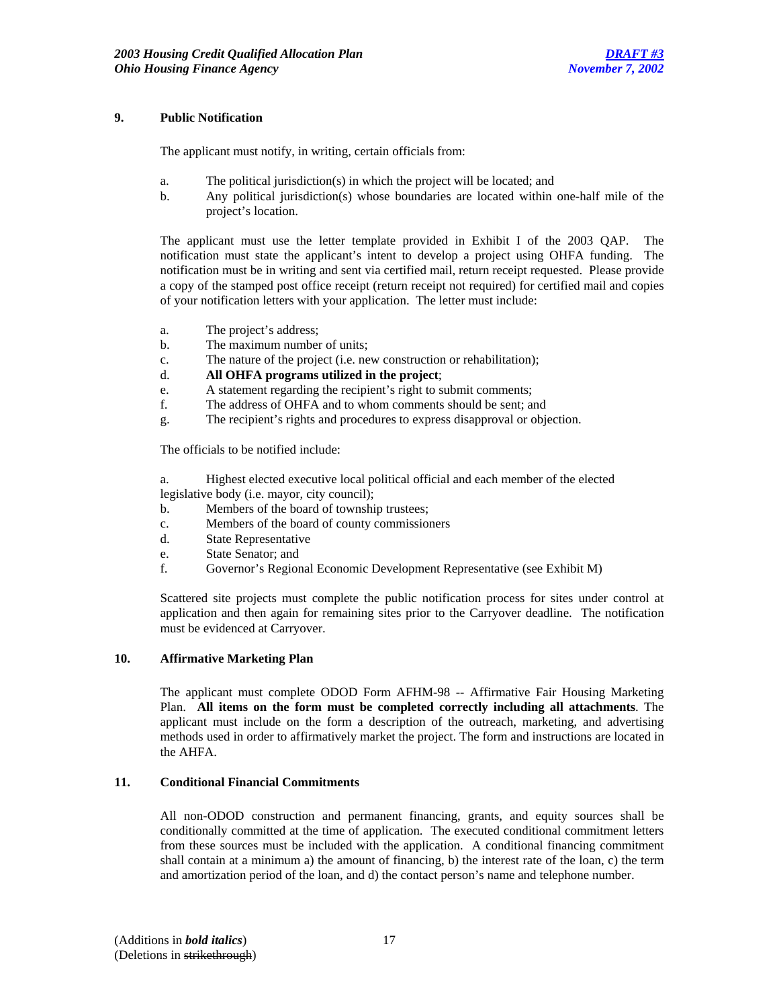### **9. Public Notification**

The applicant must notify, in writing, certain officials from:

- a. The political jurisdiction(s) in which the project will be located; and
- b. Any political jurisdiction(s) whose boundaries are located within one-half mile of the project's location.

 The applicant must use the letter template provided in Exhibit I of the 2003 QAP.The notification must state the applicant's intent to develop a project using OHFA funding. The notification must be in writing and sent via certified mail, return receipt requested. Please provide a copy of the stamped post office receipt (return receipt not required) for certified mail and copies of your notification letters with your application. The letter must include:

- a. The project's address;
- b. The maximum number of units;
- c. The nature of the project (i.e. new construction or rehabilitation);
- d. **All OHFA programs utilized in the project**;
- e. A statement regarding the recipient's right to submit comments;
- f. The address of OHFA and to whom comments should be sent; and
- g. The recipient's rights and procedures to express disapproval or objection.

The officials to be notified include:

- a. Highest elected executive local political official and each member of the elected legislative body (i.e. mayor, city council);
- b. Members of the board of township trustees;
- c. Members of the board of county commissioners
- d. State Representative
- e. State Senator; and
- f. Governor's Regional Economic Development Representative (see Exhibit M)

Scattered site projects must complete the public notification process for sites under control at application and then again for remaining sites prior to the Carryover deadline. The notification must be evidenced at Carryover.

# **10. Affirmative Marketing Plan**

The applicant must complete ODOD Form AFHM-98 -- Affirmative Fair Housing Marketing Plan. **All items on the form must be completed correctly including all attachments**. The applicant must include on the form a description of the outreach, marketing, and advertising methods used in order to affirmatively market the project. The form and instructions are located in the AHFA.

#### **11. Conditional Financial Commitments**

All non-ODOD construction and permanent financing, grants, and equity sources shall be conditionally committed at the time of application. The executed conditional commitment letters from these sources must be included with the application. A conditional financing commitment shall contain at a minimum a) the amount of financing, b) the interest rate of the loan, c) the term and amortization period of the loan, and d) the contact person's name and telephone number.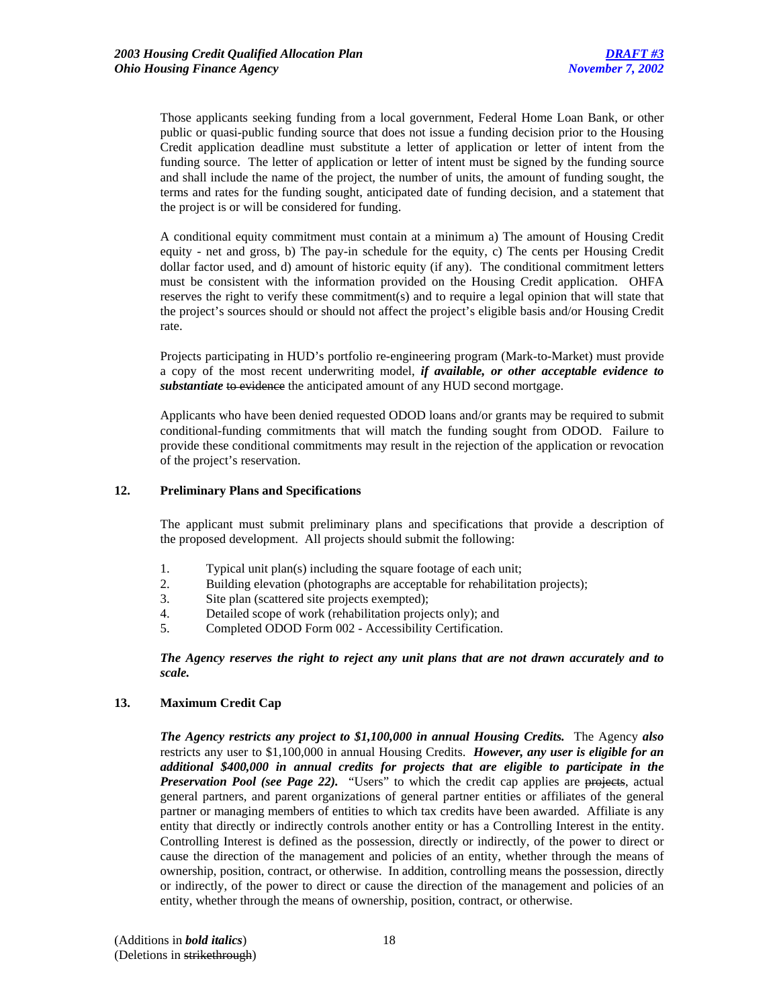Those applicants seeking funding from a local government, Federal Home Loan Bank, or other public or quasi-public funding source that does not issue a funding decision prior to the Housing Credit application deadline must substitute a letter of application or letter of intent from the funding source. The letter of application or letter of intent must be signed by the funding source and shall include the name of the project, the number of units, the amount of funding sought, the terms and rates for the funding sought, anticipated date of funding decision, and a statement that the project is or will be considered for funding.

A conditional equity commitment must contain at a minimum a) The amount of Housing Credit equity - net and gross, b) The pay-in schedule for the equity, c) The cents per Housing Credit dollar factor used, and d) amount of historic equity (if any). The conditional commitment letters must be consistent with the information provided on the Housing Credit application. OHFA reserves the right to verify these commitment(s) and to require a legal opinion that will state that the project's sources should or should not affect the project's eligible basis and/or Housing Credit rate.

Projects participating in HUD's portfolio re-engineering program (Mark-to-Market) must provide a copy of the most recent underwriting model, *if available, or other acceptable evidence to substantiate* to evidence the anticipated amount of any HUD second mortgage.

Applicants who have been denied requested ODOD loans and/or grants may be required to submit conditional-funding commitments that will match the funding sought from ODOD. Failure to provide these conditional commitments may result in the rejection of the application or revocation of the project's reservation.

# **12. Preliminary Plans and Specifications**

 The applicant must submit preliminary plans and specifications that provide a description of the proposed development. All projects should submit the following:

- 1. Typical unit plan(s) including the square footage of each unit;
- 2. Building elevation (photographs are acceptable for rehabilitation projects);
- 3. Site plan (scattered site projects exempted);
- 4. Detailed scope of work (rehabilitation projects only); and
- 5. Completed ODOD Form 002 Accessibility Certification.

*The Agency reserves the right to reject any unit plans that are not drawn accurately and to scale.*

# **13. Maximum Credit Cap**

*The Agency restricts any project to \$1,100,000 in annual Housing Credits.* The Agency *also* restricts any user to \$1,100,000 in annual Housing Credits. *However, any user is eligible for an additional \$400,000 in annual credits for projects that are eligible to participate in the*  **Preservation Pool (see Page 22).** "Users" to which the credit cap applies are projects, actual general partners, and parent organizations of general partner entities or affiliates of the general partner or managing members of entities to which tax credits have been awarded. Affiliate is any entity that directly or indirectly controls another entity or has a Controlling Interest in the entity. Controlling Interest is defined as the possession, directly or indirectly, of the power to direct or cause the direction of the management and policies of an entity, whether through the means of ownership, position, contract, or otherwise. In addition, controlling means the possession, directly or indirectly, of the power to direct or cause the direction of the management and policies of an entity, whether through the means of ownership, position, contract, or otherwise.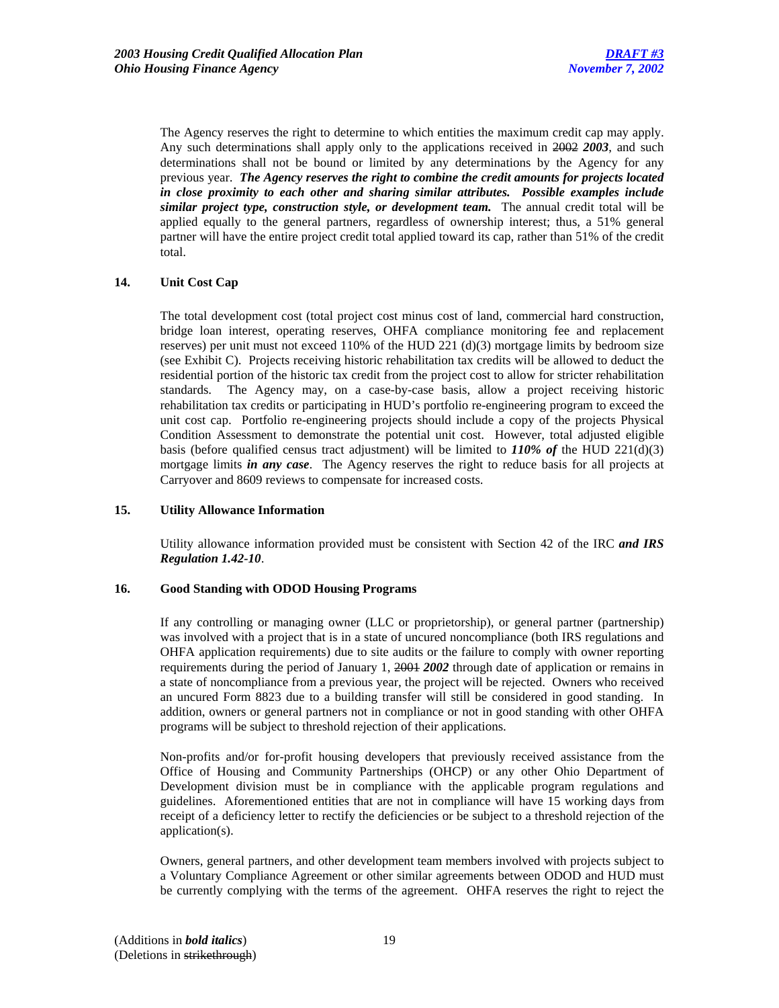The Agency reserves the right to determine to which entities the maximum credit cap may apply. Any such determinations shall apply only to the applications received in 2002 *2003*, and such determinations shall not be bound or limited by any determinations by the Agency for any previous year. *The Agency reserves the right to combine the credit amounts for projects located in close proximity to each other and sharing similar attributes. Possible examples include similar project type, construction style, or development team.* The annual credit total will be applied equally to the general partners, regardless of ownership interest; thus, a 51% general partner will have the entire project credit total applied toward its cap, rather than 51% of the credit total.

# **14. Unit Cost Cap**

 The total development cost (total project cost minus cost of land, commercial hard construction, bridge loan interest, operating reserves, OHFA compliance monitoring fee and replacement reserves) per unit must not exceed 110% of the HUD 221 (d)(3) mortgage limits by bedroom size (see Exhibit C). Projects receiving historic rehabilitation tax credits will be allowed to deduct the residential portion of the historic tax credit from the project cost to allow for stricter rehabilitation standards. The Agency may, on a case-by-case basis, allow a project receiving historic rehabilitation tax credits or participating in HUD's portfolio re-engineering program to exceed the unit cost cap. Portfolio re-engineering projects should include a copy of the projects Physical Condition Assessment to demonstrate the potential unit cost. However, total adjusted eligible basis (before qualified census tract adjustment) will be limited to *110% of* the HUD 221(d)(3) mortgage limits *in any case*. The Agency reserves the right to reduce basis for all projects at Carryover and 8609 reviews to compensate for increased costs.

# **15. Utility Allowance Information**

Utility allowance information provided must be consistent with Section 42 of the IRC *and IRS Regulation 1.42-10*.

# **16. Good Standing with ODOD Housing Programs**

If any controlling or managing owner (LLC or proprietorship), or general partner (partnership) was involved with a project that is in a state of uncured noncompliance (both IRS regulations and OHFA application requirements) due to site audits or the failure to comply with owner reporting requirements during the period of January 1, 2001 *2002* through date of application or remains in a state of noncompliance from a previous year, the project will be rejected. Owners who received an uncured Form 8823 due to a building transfer will still be considered in good standing. In addition, owners or general partners not in compliance or not in good standing with other OHFA programs will be subject to threshold rejection of their applications.

Non-profits and/or for-profit housing developers that previously received assistance from the Office of Housing and Community Partnerships (OHCP) or any other Ohio Department of Development division must be in compliance with the applicable program regulations and guidelines. Aforementioned entities that are not in compliance will have 15 working days from receipt of a deficiency letter to rectify the deficiencies or be subject to a threshold rejection of the application(s).

Owners, general partners, and other development team members involved with projects subject to a Voluntary Compliance Agreement or other similar agreements between ODOD and HUD must be currently complying with the terms of the agreement. OHFA reserves the right to reject the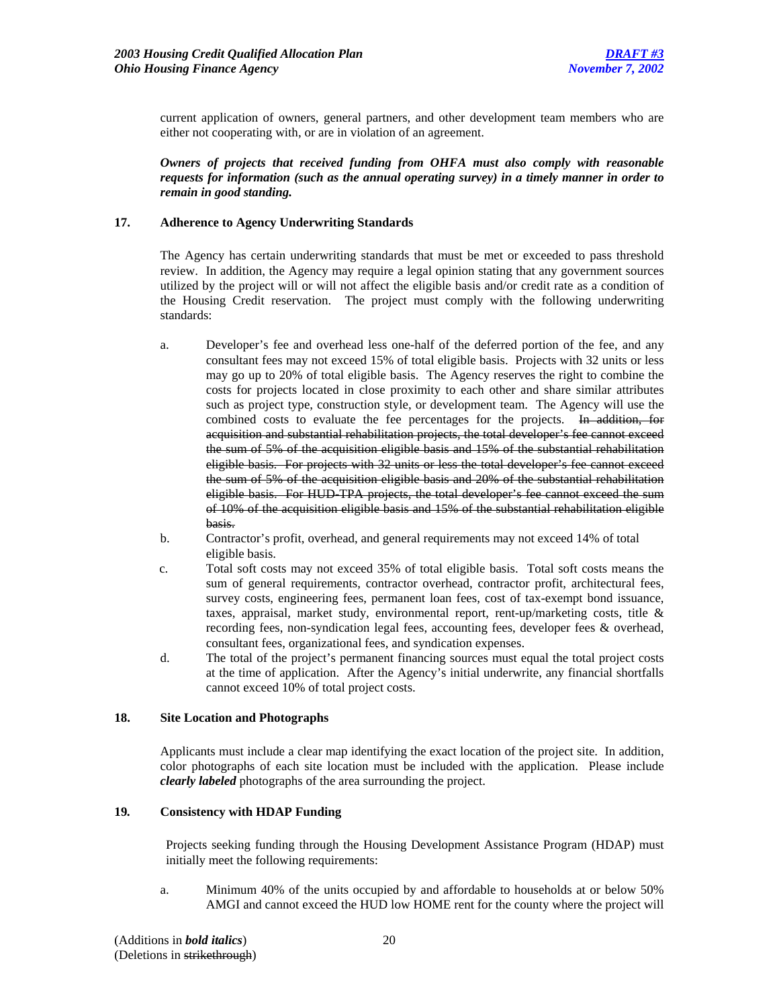current application of owners, general partners, and other development team members who are either not cooperating with, or are in violation of an agreement.

*Owners of projects that received funding from OHFA must also comply with reasonable requests for information (such as the annual operating survey) in a timely manner in order to remain in good standing.* 

#### **17. Adherence to Agency Underwriting Standards**

 The Agency has certain underwriting standards that must be met or exceeded to pass threshold review. In addition, the Agency may require a legal opinion stating that any government sources utilized by the project will or will not affect the eligible basis and/or credit rate as a condition of the Housing Credit reservation. The project must comply with the following underwriting standards:

- a. Developer's fee and overhead less one-half of the deferred portion of the fee, and any consultant fees may not exceed 15% of total eligible basis. Projects with 32 units or less may go up to 20% of total eligible basis. The Agency reserves the right to combine the costs for projects located in close proximity to each other and share similar attributes such as project type, construction style, or development team. The Agency will use the combined costs to evaluate the fee percentages for the projects. In addition, for acquisition and substantial rehabilitation projects, the total developer's fee cannot exceed the sum of 5% of the acquisition eligible basis and 15% of the substantial rehabilitation eligible basis. For projects with 32 units or less the total developer's fee cannot exceed the sum of 5% of the acquisition eligible basis and 20% of the substantial rehabilitation eligible basis. For HUD-TPA projects, the total developer's fee cannot exceed the sum of 10% of the acquisition eligible basis and 15% of the substantial rehabilitation eligible basis.
- b. Contractor's profit, overhead, and general requirements may not exceed 14% of total eligible basis.
- c. Total soft costs may not exceed 35% of total eligible basis. Total soft costs means the sum of general requirements, contractor overhead, contractor profit, architectural fees, survey costs, engineering fees, permanent loan fees, cost of tax-exempt bond issuance, taxes, appraisal, market study, environmental report, rent-up/marketing costs, title & recording fees, non-syndication legal fees, accounting fees, developer fees & overhead, consultant fees, organizational fees, and syndication expenses.
- d. The total of the project's permanent financing sources must equal the total project costs at the time of application. After the Agency's initial underwrite, any financial shortfalls cannot exceed 10% of total project costs.

#### **18. Site Location and Photographs**

Applicants must include a clear map identifying the exact location of the project site. In addition, color photographs of each site location must be included with the application. Please include *clearly labeled* photographs of the area surrounding the project.

# **19***.* **Consistency with HDAP Funding**

Projects seeking funding through the Housing Development Assistance Program (HDAP) must initially meet the following requirements:

a. Minimum 40% of the units occupied by and affordable to households at or below 50% AMGI and cannot exceed the HUD low HOME rent for the county where the project will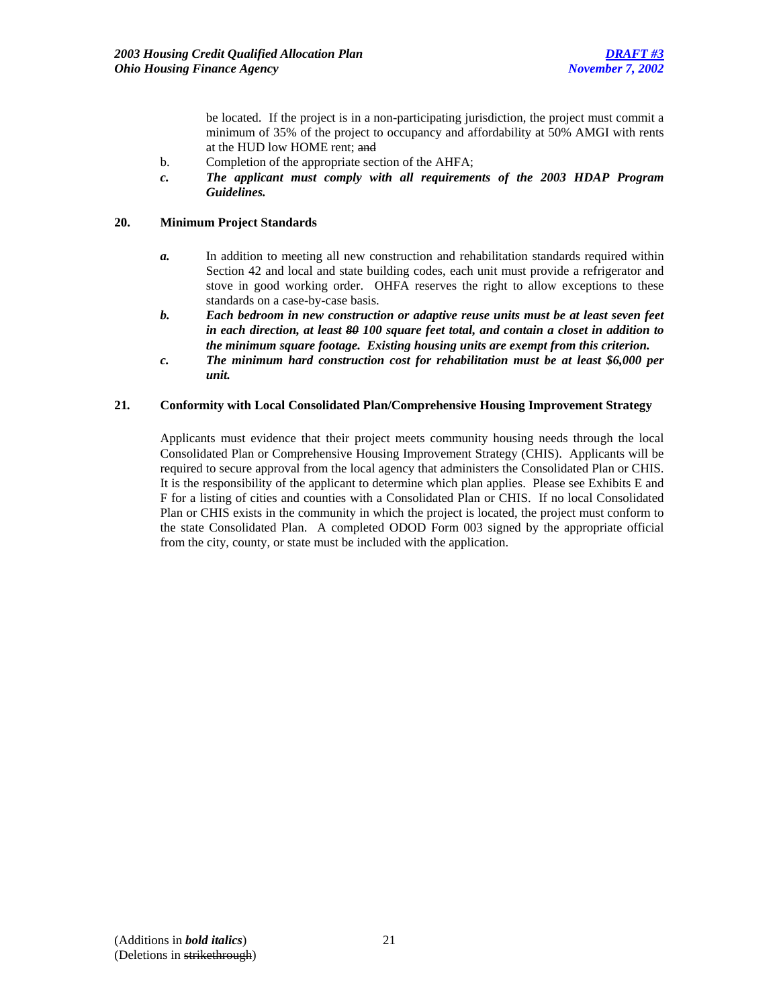be located. If the project is in a non-participating jurisdiction, the project must commit a minimum of 35% of the project to occupancy and affordability at 50% AMGI with rents at the HUD low HOME rent; and

- b. Completion of the appropriate section of the AHFA;
- *c. The applicant must comply with all requirements of the 2003 HDAP Program Guidelines.*

### **20. Minimum Project Standards**

- *a.* In addition to meeting all new construction and rehabilitation standards required within Section 42 and local and state building codes, each unit must provide a refrigerator and stove in good working order. OHFA reserves the right to allow exceptions to these standards on a case-by-case basis.
- *b. Each bedroom in new construction or adaptive reuse units must be at least seven feet in each direction, at least 80 100 square feet total, and contain a closet in addition to the minimum square footage. Existing housing units are exempt from this criterion.*
- *c. The minimum hard construction cost for rehabilitation must be at least \$6,000 per unit.*

#### **21***.* **Conformity with Local Consolidated Plan/Comprehensive Housing Improvement Strategy**

Applicants must evidence that their project meets community housing needs through the local Consolidated Plan or Comprehensive Housing Improvement Strategy (CHIS). Applicants will be required to secure approval from the local agency that administers the Consolidated Plan or CHIS. It is the responsibility of the applicant to determine which plan applies. Please see Exhibits E and F for a listing of cities and counties with a Consolidated Plan or CHIS. If no local Consolidated Plan or CHIS exists in the community in which the project is located, the project must conform to the state Consolidated Plan. A completed ODOD Form 003 signed by the appropriate official from the city, county, or state must be included with the application.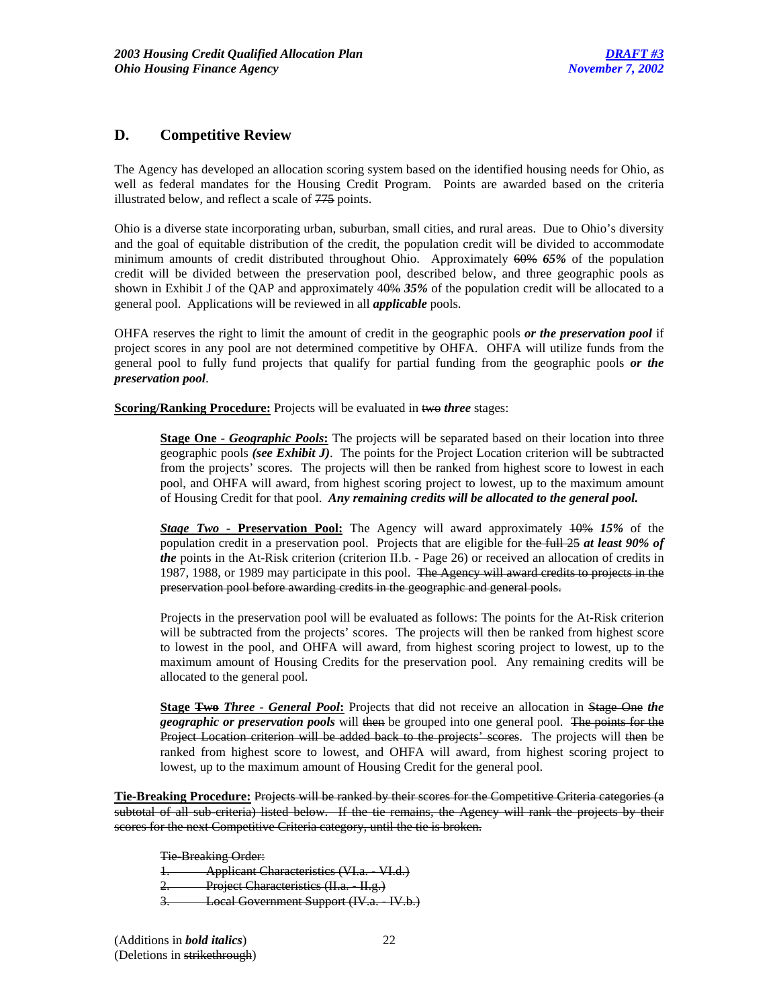# **D. Competitive Review**

The Agency has developed an allocation scoring system based on the identified housing needs for Ohio, as well as federal mandates for the Housing Credit Program. Points are awarded based on the criteria illustrated below, and reflect a scale of 775 points.

Ohio is a diverse state incorporating urban, suburban, small cities, and rural areas. Due to Ohio's diversity and the goal of equitable distribution of the credit, the population credit will be divided to accommodate minimum amounts of credit distributed throughout Ohio. Approximately 60% *65%* of the population credit will be divided between the preservation pool, described below, and three geographic pools as shown in Exhibit J of the QAP and approximately 40% *35%* of the population credit will be allocated to a general pool. Applications will be reviewed in all *applicable* pools.

OHFA reserves the right to limit the amount of credit in the geographic pools *or the preservation pool* if project scores in any pool are not determined competitive by OHFA. OHFA will utilize funds from the general pool to fully fund projects that qualify for partial funding from the geographic pools *or the preservation pool*.

**Scoring/Ranking Procedure:** Projects will be evaluated in two *three* stages:

**Stage One** - Geographic Pools: The projects will be separated based on their location into three geographic pools *(see Exhibit J)*. The points for the Project Location criterion will be subtracted from the projects' scores. The projects will then be ranked from highest score to lowest in each pool, and OHFA will award, from highest scoring project to lowest, up to the maximum amount of Housing Credit for that pool. *Any remaining credits will be allocated to the general pool.* 

*Stage Two -* **Preservation Pool:** The Agency will award approximately 10% *15%* of the population credit in a preservation pool. Projects that are eligible for the full 25 *at least 90% of the* points in the At-Risk criterion (criterion II.b. - Page 26) or received an allocation of credits in 1987, 1988, or 1989 may participate in this pool. The Agency will award credits to projects in the preservation pool before awarding credits in the geographic and general pools.

Projects in the preservation pool will be evaluated as follows: The points for the At-Risk criterion will be subtracted from the projects' scores. The projects will then be ranked from highest score to lowest in the pool, and OHFA will award, from highest scoring project to lowest, up to the maximum amount of Housing Credits for the preservation pool. Any remaining credits will be allocated to the general pool.

**Stage Two** *Three - General Pool***:** Projects that did not receive an allocation in Stage One *the geographic or preservation pools* will then be grouped into one general pool. The points for the Project Location criterion will be added back to the projects' scores. The projects will then be ranked from highest score to lowest, and OHFA will award, from highest scoring project to lowest, up to the maximum amount of Housing Credit for the general pool.

**Tie-Breaking Procedure:** Projects will be ranked by their scores for the Competitive Criteria categories (a subtotal of all sub-criteria) listed below. If the tie remains, the Agency will rank the projects by their scores for the next Competitive Criteria category, until the tie is broken.

Tie-Breaking Order: 1. Applicant Characteristics (VI.a. VI.d.) Project Characteristics (II.a. II.g.) **3. Local Government Support (IV.a. - IV.b.)**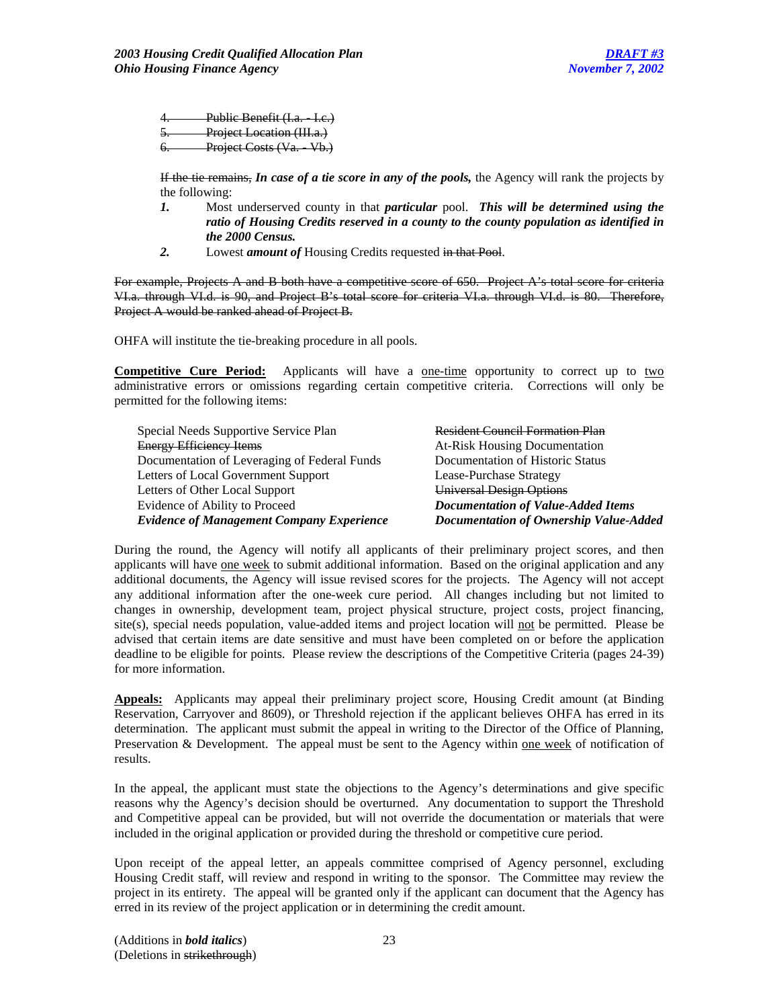Public Benefit (I.a. - I.c.) Project Location (III.a.) 6. Project Costs (Va. Vb.)

If the tie remains, *In case of a tie score in any of the pools,* the Agency will rank the projects by the following:

- *1.* Most underserved county in that *particular* pool. *This will be determined using the ratio of Housing Credits reserved in a county to the county population as identified in the 2000 Census.*
- *2.* Lowest *amount of* Housing Credits requested in that Pool.

For example, Projects A and B both have a competitive score of 650. Project A's total score for criteria VI.a. through VI.d. is 90, and Project B's total score for criteria VI.a. through VI.d. is 80. Therefore, Project A would be ranked ahead of Project B.

OHFA will institute the tie-breaking procedure in all pools.

**Competitive Cure Period:** Applicants will have a <u>one-time</u> opportunity to correct up to two administrative errors or omissions regarding certain competitive criteria. Corrections will only be permitted for the following items:

| Special Needs Supportive Service Plan            | <b>Resident Council Formation Plan</b>    |
|--------------------------------------------------|-------------------------------------------|
| <b>Energy Efficiency Items</b>                   | <b>At-Risk Housing Documentation</b>      |
| Documentation of Leveraging of Federal Funds     | Documentation of Historic Status          |
| Letters of Local Government Support              | Lease-Purchase Strategy                   |
| Letters of Other Local Support                   | <b>Universal Design Options</b>           |
| Evidence of Ability to Proceed                   | <b>Documentation of Value-Added Items</b> |
| <b>Evidence of Management Company Experience</b> | Documentation of Ownership Value-Added    |

During the round, the Agency will notify all applicants of their preliminary project scores, and then applicants will have one week to submit additional information. Based on the original application and any additional documents, the Agency will issue revised scores for the projects. The Agency will not accept any additional information after the one-week cure period. All changes including but not limited to changes in ownership, development team, project physical structure, project costs, project financing, site(s), special needs population, value-added items and project location will not be permitted. Please be advised that certain items are date sensitive and must have been completed on or before the application deadline to be eligible for points. Please review the descriptions of the Competitive Criteria (pages 24-39) for more information.

**Appeals:** Applicants may appeal their preliminary project score, Housing Credit amount (at Binding Reservation, Carryover and 8609), or Threshold rejection if the applicant believes OHFA has erred in its determination. The applicant must submit the appeal in writing to the Director of the Office of Planning, Preservation & Development. The appeal must be sent to the Agency within one week of notification of results.

In the appeal, the applicant must state the objections to the Agency's determinations and give specific reasons why the Agency's decision should be overturned. Any documentation to support the Threshold and Competitive appeal can be provided, but will not override the documentation or materials that were included in the original application or provided during the threshold or competitive cure period.

Upon receipt of the appeal letter, an appeals committee comprised of Agency personnel, excluding Housing Credit staff, will review and respond in writing to the sponsor. The Committee may review the project in its entirety. The appeal will be granted only if the applicant can document that the Agency has erred in its review of the project application or in determining the credit amount.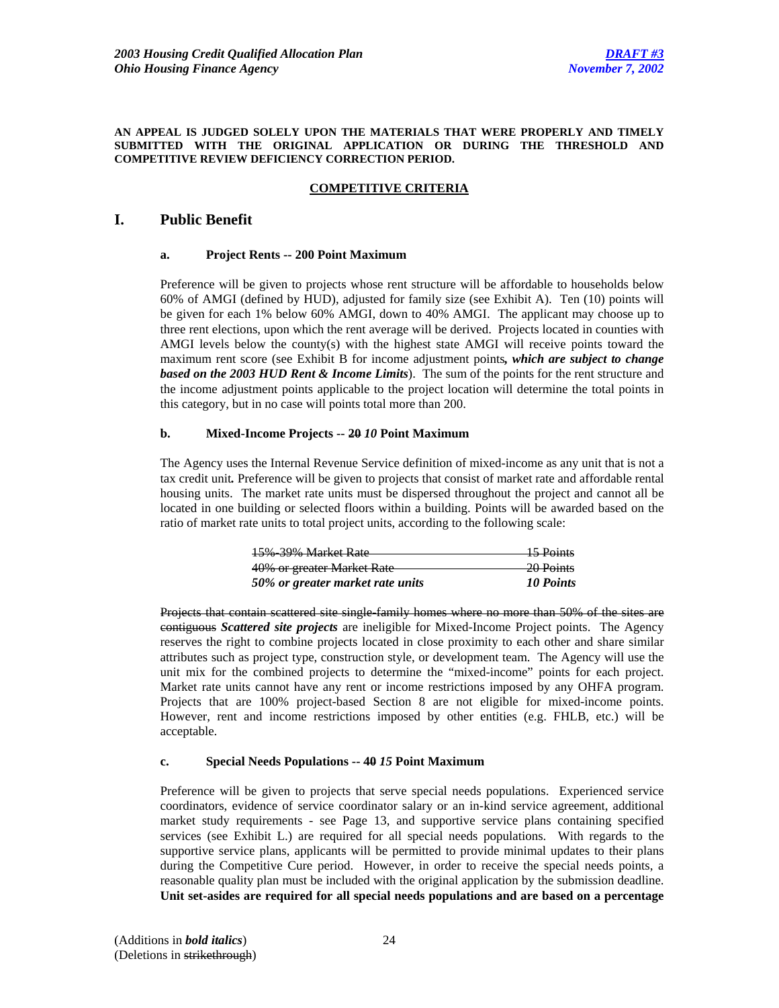#### **AN APPEAL IS JUDGED SOLELY UPON THE MATERIALS THAT WERE PROPERLY AND TIMELY SUBMITTED WITH THE ORIGINAL APPLICATION OR DURING THE THRESHOLD AND COMPETITIVE REVIEW DEFICIENCY CORRECTION PERIOD.**

# **COMPETITIVE CRITERIA**

# **I. Public Benefit**

#### **a. Project Rents -- 200 Point Maximum**

Preference will be given to projects whose rent structure will be affordable to households below 60% of AMGI (defined by HUD), adjusted for family size (see Exhibit A). Ten (10) points will be given for each 1% below 60% AMGI, down to 40% AMGI. The applicant may choose up to three rent elections, upon which the rent average will be derived. Projects located in counties with AMGI levels below the county(s) with the highest state AMGI will receive points toward the maximum rent score (see Exhibit B for income adjustment points*, which are subject to change based on the 2003 HUD Rent & Income Limits*). The sum of the points for the rent structure and the income adjustment points applicable to the project location will determine the total points in this category, but in no case will points total more than 200.

### **b. Mixed-Income Projects -- 20** *10* **Point Maximum**

The Agency uses the Internal Revenue Service definition of mixed-income as any unit that is not a tax credit unit*.* Preference will be given to projects that consist of market rate and affordable rental housing units. The market rate units must be dispersed throughout the project and cannot all be located in one building or selected floors within a building. Points will be awarded based on the ratio of market rate units to total project units, according to the following scale:

| 15% 39% Market Rate              | 15 Points            |
|----------------------------------|----------------------|
| 40% or greater Market Rate       | <del>20 Points</del> |
| 50% or greater market rate units | 10 Points            |

Projects that contain scattered site single-family homes where no more than 50% of the sites are contiguous *Scattered site projects* are ineligible for Mixed-Income Project points. The Agency reserves the right to combine projects located in close proximity to each other and share similar attributes such as project type, construction style, or development team. The Agency will use the unit mix for the combined projects to determine the "mixed-income" points for each project. Market rate units cannot have any rent or income restrictions imposed by any OHFA program. Projects that are 100% project-based Section 8 are not eligible for mixed-income points. However, rent and income restrictions imposed by other entities (e.g. FHLB, etc.) will be acceptable.

### **c. Special Needs Populations -- 40** *15* **Point Maximum**

Preference will be given to projects that serve special needs populations. Experienced service coordinators, evidence of service coordinator salary or an in-kind service agreement, additional market study requirements - see Page 13, and supportive service plans containing specified services (see Exhibit L.) are required for all special needs populations. With regards to the supportive service plans, applicants will be permitted to provide minimal updates to their plans during the Competitive Cure period. However, in order to receive the special needs points, a reasonable quality plan must be included with the original application by the submission deadline. **Unit set-asides are required for all special needs populations and are based on a percentage**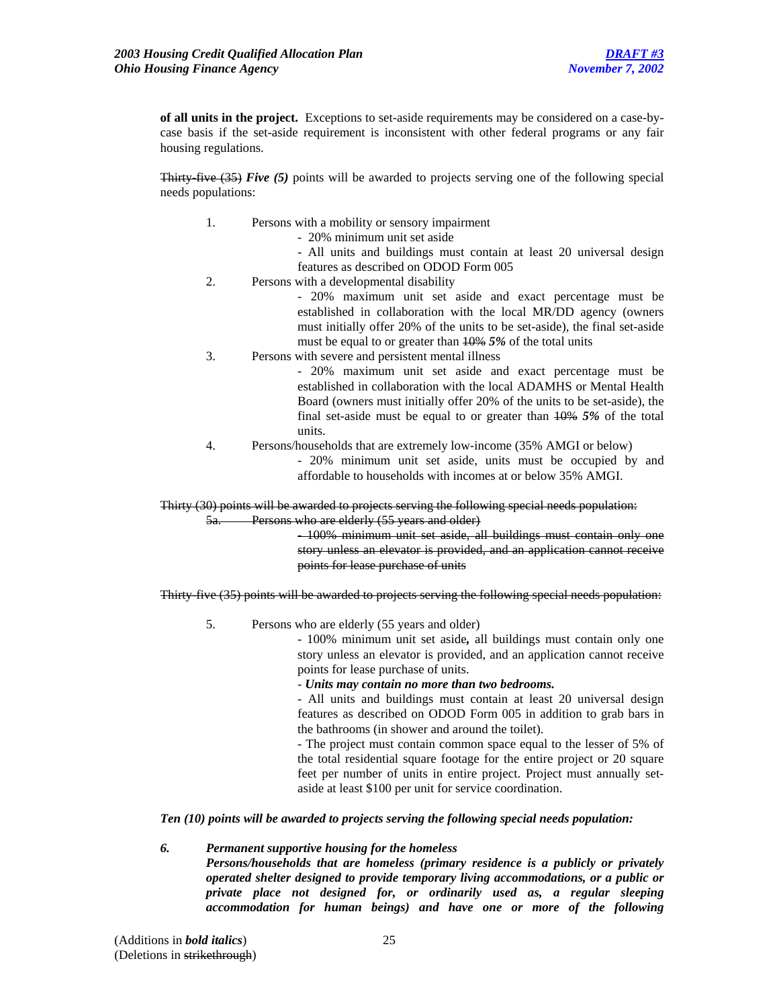**of all units in the project.** Exceptions to set-aside requirements may be considered on a case-bycase basis if the set-aside requirement is inconsistent with other federal programs or any fair housing regulations.

**Thirty-five (35)** *Five* (5) points will be awarded to projects serving one of the following special needs populations:

- 1. Persons with a mobility or sensory impairment
	- 20% minimum unit set aside
	- All units and buildings must contain at least 20 universal design features as described on ODOD Form 005
- 2. Persons with a developmental disability

- 20% maximum unit set aside and exact percentage must be established in collaboration with the local MR/DD agency (owners must initially offer 20% of the units to be set-aside), the final set-aside must be equal to or greater than 10% *5%* of the total units

3. Persons with severe and persistent mental illness

- 20% maximum unit set aside and exact percentage must be established in collaboration with the local ADAMHS or Mental Health Board (owners must initially offer 20% of the units to be set-aside), the final set-aside must be equal to or greater than 10% *5%* of the total units.

 4. Persons/households that are extremely low-income (35% AMGI or below) - 20% minimum unit set aside, units must be occupied by and affordable to households with incomes at or below 35% AMGI.

Thirty (30) points will be awarded to projects serving the following special needs population: Persons who are elderly (55 years and older)

> - 100% minimum unit set aside, all buildings must contain only one story unless an elevator is provided, and an application cannot receive points for lease purchase of units

Thirty-five (35) points will be awarded to projects serving the following special needs population:

5. Persons who are elderly (55 years and older)

- 100% minimum unit set aside*,* all buildings must contain only one story unless an elevator is provided, and an application cannot receive points for lease purchase of units.

- *Units may contain no more than two bedrooms.* 

- All units and buildings must contain at least 20 universal design features as described on ODOD Form 005 in addition to grab bars in the bathrooms (in shower and around the toilet).

- The project must contain common space equal to the lesser of 5% of the total residential square footage for the entire project or 20 square feet per number of units in entire project. Project must annually setaside at least \$100 per unit for service coordination.

*Ten (10) points will be awarded to projects serving the following special needs population:* 

### *6. Permanent supportive housing for the homeless Persons/households that are homeless (primary residence is a publicly or privately operated shelter designed to provide temporary living accommodations, or a public or private place not designed for, or ordinarily used as, a regular sleeping accommodation for human beings) and have one or more of the following*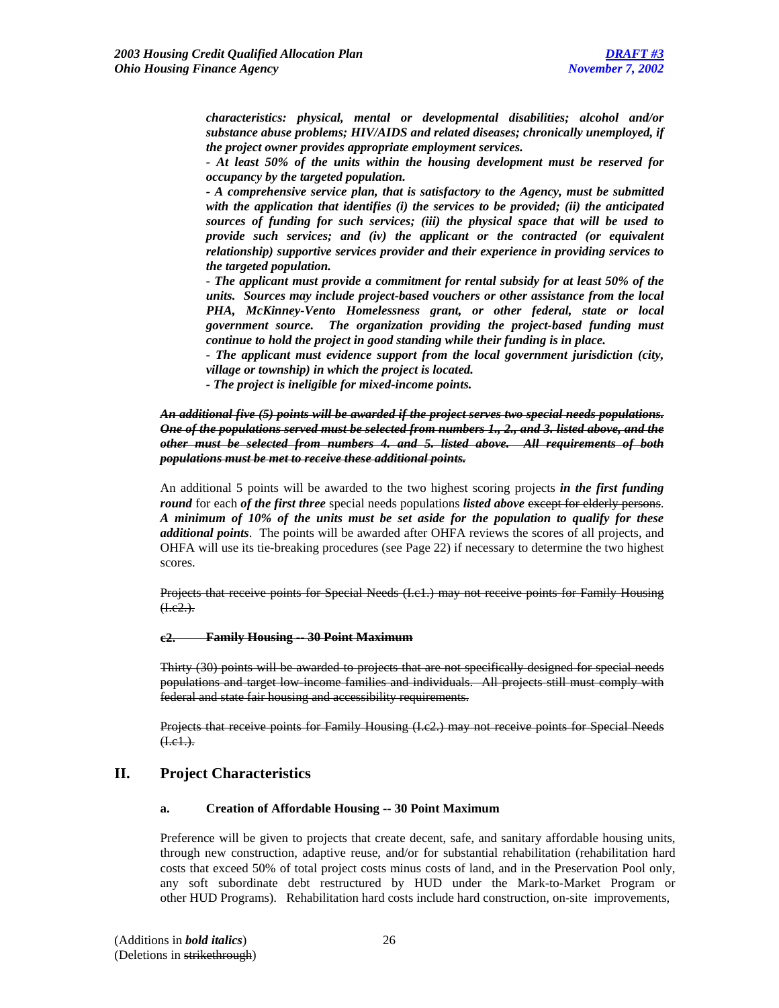*characteristics: physical, mental or developmental disabilities; alcohol and/or substance abuse problems; HIV/AIDS and related diseases; chronically unemployed, if the project owner provides appropriate employment services.* 

*- At least 50% of the units within the housing development must be reserved for occupancy by the targeted population.* 

*- A comprehensive service plan, that is satisfactory to the Agency, must be submitted with the application that identifies (i) the services to be provided; (ii) the anticipated sources of funding for such services; (iii) the physical space that will be used to provide such services; and (iv) the applicant or the contracted (or equivalent relationship) supportive services provider and their experience in providing services to the targeted population.* 

*- The applicant must provide a commitment for rental subsidy for at least 50% of the units. Sources may include project-based vouchers or other assistance from the local PHA, McKinney-Vento Homelessness grant, or other federal, state or local government source. The organization providing the project-based funding must continue to hold the project in good standing while their funding is in place.* 

*- The applicant must evidence support from the local government jurisdiction (city, village or township) in which the project is located.* 

*- The project is ineligible for mixed-income points.*

# *An additional five (5) points will be awarded if the project serves two special needs populations. One of the populations served must be selected from numbers 1., 2., and 3. listed above, and the other must be selected from numbers 4. and 5. listed above. All requirements of both populations must be met to receive these additional points.*

An additional 5 points will be awarded to the two highest scoring projects *in the first funding round* for each *of the first three* special needs populations *listed above* except for elderly persons. *A minimum of 10% of the units must be set aside for the population to qualify for these additional points*. The points will be awarded after OHFA reviews the scores of all projects, and OHFA will use its tie-breaking procedures (see Page 22) if necessary to determine the two highest scores.

Projects that receive points for Special Needs (I.c1.) may not receive points for Family Housing  $(1.e2.)$ .

### **c2. Family Housing -- 30 Point Maximum**

Thirty (30) points will be awarded to projects that are not specifically designed for special needs populations and target low-income families and individuals. All projects still must comply with federal and state fair housing and accessibility requirements.

Projects that receive points for Family Housing (I.c2.) may not receive points for Special Needs  $(H.e. 1.)$ .

# **II. Project Characteristics**

#### **a. Creation of Affordable Housing -- 30 Point Maximum**

Preference will be given to projects that create decent, safe, and sanitary affordable housing units, through new construction, adaptive reuse, and/or for substantial rehabilitation (rehabilitation hard costs that exceed 50% of total project costs minus costs of land, and in the Preservation Pool only, any soft subordinate debt restructured by HUD under the Mark-to-Market Program or other HUD Programs). Rehabilitation hard costs include hard construction, on-site improvements,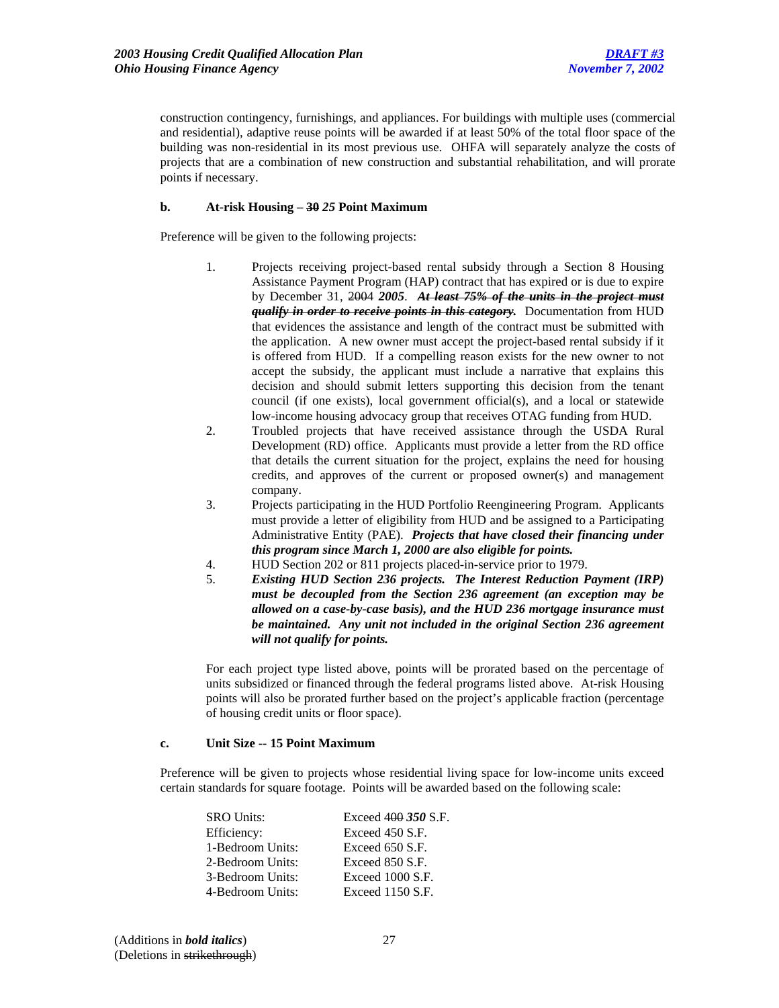construction contingency, furnishings, and appliances. For buildings with multiple uses (commercial and residential), adaptive reuse points will be awarded if at least 50% of the total floor space of the building was non-residential in its most previous use. OHFA will separately analyze the costs of projects that are a combination of new construction and substantial rehabilitation, and will prorate points if necessary.

# **b. At-risk Housing – 30** *25* **Point Maximum**

Preference will be given to the following projects:

- 1. Projects receiving project-based rental subsidy through a Section 8 Housing Assistance Payment Program (HAP) contract that has expired or is due to expire by December 31, 2004 *2005*. *At least 75% of the units in the project must qualify in order to receive points in this category.* Documentation from HUD that evidences the assistance and length of the contract must be submitted with the application. A new owner must accept the project-based rental subsidy if it is offered from HUD. If a compelling reason exists for the new owner to not accept the subsidy, the applicant must include a narrative that explains this decision and should submit letters supporting this decision from the tenant council (if one exists), local government official(s), and a local or statewide low-income housing advocacy group that receives OTAG funding from HUD.
- 2. Troubled projects that have received assistance through the USDA Rural Development (RD) office. Applicants must provide a letter from the RD office that details the current situation for the project, explains the need for housing credits, and approves of the current or proposed owner(s) and management company.
- 3. Projects participating in the HUD Portfolio Reengineering Program. Applicants must provide a letter of eligibility from HUD and be assigned to a Participating Administrative Entity (PAE). *Projects that have closed their financing under this program since March 1, 2000 are also eligible for points.*
- 4. HUD Section 202 or 811 projects placed-in-service prior to 1979.
- 5. *Existing HUD Section 236 projects. The Interest Reduction Payment (IRP) must be decoupled from the Section 236 agreement (an exception may be allowed on a case-by-case basis), and the HUD 236 mortgage insurance must be maintained. Any unit not included in the original Section 236 agreement will not qualify for points.*

For each project type listed above, points will be prorated based on the percentage of units subsidized or financed through the federal programs listed above. At-risk Housing points will also be prorated further based on the project's applicable fraction (percentage of housing credit units or floor space).

# **c. Unit Size -- 15 Point Maximum**

 Preference will be given to projects whose residential living space for low-income units exceed certain standards for square footage. Points will be awarded based on the following scale:

| <b>SRO Units:</b> |                  | Exceed 400 350 S.F. |
|-------------------|------------------|---------------------|
| Efficiency:       |                  | Exceed 450 S.F.     |
|                   | 1-Bedroom Units: | Exceed 650 S.F.     |
|                   | 2-Bedroom Units: | Exceed 850 S.F.     |
|                   | 3-Bedroom Units: | Exceed 1000 S.F.    |
|                   | 4-Bedroom Units: | Exceed $1150 S.F.$  |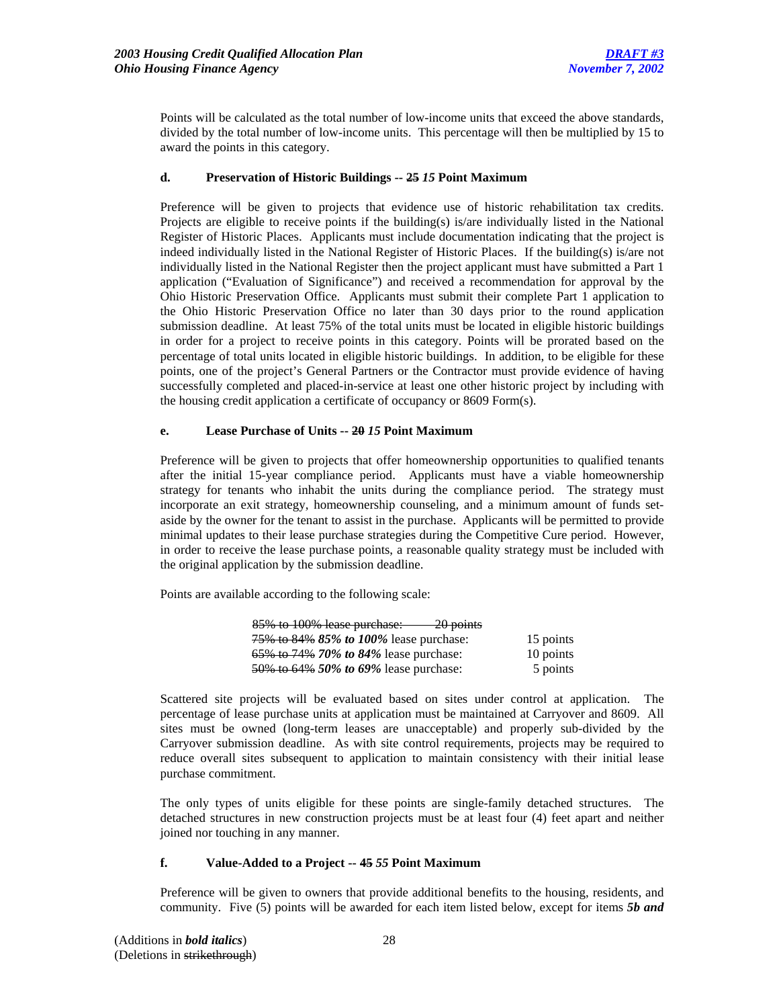Points will be calculated as the total number of low-income units that exceed the above standards, divided by the total number of low-income units. This percentage will then be multiplied by 15 to award the points in this category.

# **d. Preservation of Historic Buildings -- 25** *15* **Point Maximum**

Preference will be given to projects that evidence use of historic rehabilitation tax credits. Projects are eligible to receive points if the building(s) is/are individually listed in the National Register of Historic Places. Applicants must include documentation indicating that the project is indeed individually listed in the National Register of Historic Places. If the building(s) is/are not individually listed in the National Register then the project applicant must have submitted a Part 1 application ("Evaluation of Significance") and received a recommendation for approval by the Ohio Historic Preservation Office. Applicants must submit their complete Part 1 application to the Ohio Historic Preservation Office no later than 30 days prior to the round application submission deadline. At least 75% of the total units must be located in eligible historic buildings in order for a project to receive points in this category. Points will be prorated based on the percentage of total units located in eligible historic buildings.In addition, to be eligible for these points, one of the project's General Partners or the Contractor must provide evidence of having successfully completed and placed-in-service at least one other historic project by including with the housing credit application a certificate of occupancy or 8609 Form(s).

### **e. Lease Purchase of Units -- 20** *15* **Point Maximum**

Preference will be given to projects that offer homeownership opportunities to qualified tenants after the initial 15-year compliance period. Applicants must have a viable homeownership strategy for tenants who inhabit the units during the compliance period. The strategy must incorporate an exit strategy, homeownership counseling, and a minimum amount of funds setaside by the owner for the tenant to assist in the purchase. Applicants will be permitted to provide minimal updates to their lease purchase strategies during the Competitive Cure period. However, in order to receive the lease purchase points, a reasonable quality strategy must be included with the original application by the submission deadline.

Points are available according to the following scale:

| 85% to 100% lease purchase:<br>$-20$ points           |           |
|-------------------------------------------------------|-----------|
| 75\% to 84\% 85\% to 100\% lease purchase:            | 15 points |
| 65\% to 74\% 70\% to 84\% lease purchase:             | 10 points |
| $\frac{50\%}{1000}$ to 64% 50% to 69% lease purchase: | 5 points  |

Scattered site projects will be evaluated based on sites under control at application. The percentage of lease purchase units at application must be maintained at Carryover and 8609. All sites must be owned (long-term leases are unacceptable) and properly sub-divided by the Carryover submission deadline. As with site control requirements, projects may be required to reduce overall sites subsequent to application to maintain consistency with their initial lease purchase commitment.

The only types of units eligible for these points are single-family detached structures. The detached structures in new construction projects must be at least four (4) feet apart and neither joined nor touching in any manner.

#### **f. Value-Added to a Project -- 45** *55* **Point Maximum**

Preference will be given to owners that provide additional benefits to the housing, residents, and community. Five (5) points will be awarded for each item listed below, except for items *5b and*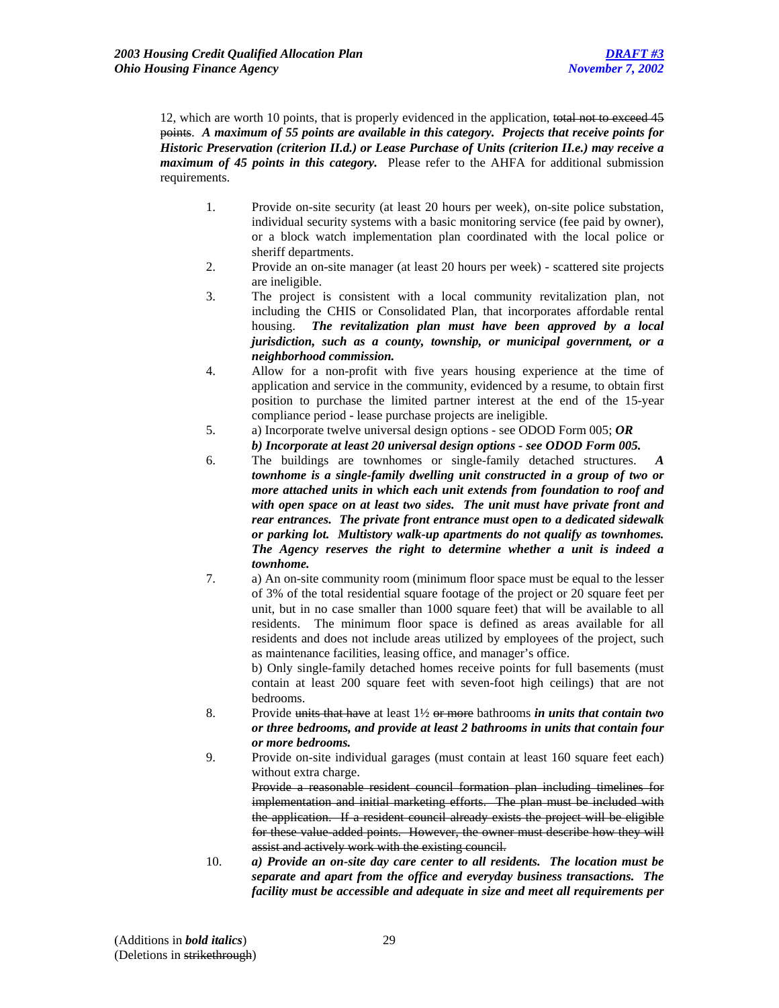12, which are worth 10 points, that is properly evidenced in the application, total not to exceed 45 points. *A maximum of 55 points are available in this category. Projects that receive points for Historic Preservation (criterion II.d.) or Lease Purchase of Units (criterion II.e.) may receive a maximum of 45 points in this category.* Please refer to the AHFA for additional submission requirements.

- 1. Provide on-site security (at least 20 hours per week), on-site police substation, individual security systems with a basic monitoring service (fee paid by owner), or a block watch implementation plan coordinated with the local police or sheriff departments.
- 2. Provide an on-site manager (at least 20 hours per week) scattered site projects are ineligible.
- 3. The project is consistent with a local community revitalization plan, not including the CHIS or Consolidated Plan, that incorporates affordable rental housing. *The revitalization plan must have been approved by a local jurisdiction, such as a county, township, or municipal government, or a neighborhood commission.*
- 4. Allow for a non-profit with five years housing experience at the time of application and service in the community, evidenced by a resume, to obtain first position to purchase the limited partner interest at the end of the 15-year compliance period - lease purchase projects are ineligible.
- 5. a) Incorporate twelve universal design options see ODOD Form 005; *OR b) Incorporate at least 20 universal design options - see ODOD Form 005.*
- 6. The buildings are townhomes or single-family detached structures. *A townhome is a single-family dwelling unit constructed in a group of two or more attached units in which each unit extends from foundation to roof and with open space on at least two sides. The unit must have private front and rear entrances. The private front entrance must open to a dedicated sidewalk or parking lot. Multistory walk-up apartments do not qualify as townhomes. The Agency reserves the right to determine whether a unit is indeed a townhome.*
- 7. a) An on-site community room (minimum floor space must be equal to the lesser of 3% of the total residential square footage of the project or 20 square feet per unit, but in no case smaller than 1000 square feet) that will be available to all residents. The minimum floor space is defined as areas available for all residents and does not include areas utilized by employees of the project, such as maintenance facilities, leasing office, and manager's office.

b) Only single-family detached homes receive points for full basements (must contain at least 200 square feet with seven-foot high ceilings) that are not bedrooms.

- 8. Provide units that have at least 1½ or more bathrooms *in units that contain two or three bedrooms, and provide at least 2 bathrooms in units that contain four or more bedrooms.*
- 9. Provide on-site individual garages (must contain at least 160 square feet each) without extra charge.

Provide a reasonable resident council formation plan including timelines for implementation and initial marketing efforts. The plan must be included with the application. If a resident council already exists the project will be eligible for these value added points. However, the owner must describe how they will assist and actively work with the existing council.

10. *a) Provide an on-site day care center to all residents. The location must be separate and apart from the office and everyday business transactions. The facility must be accessible and adequate in size and meet all requirements per*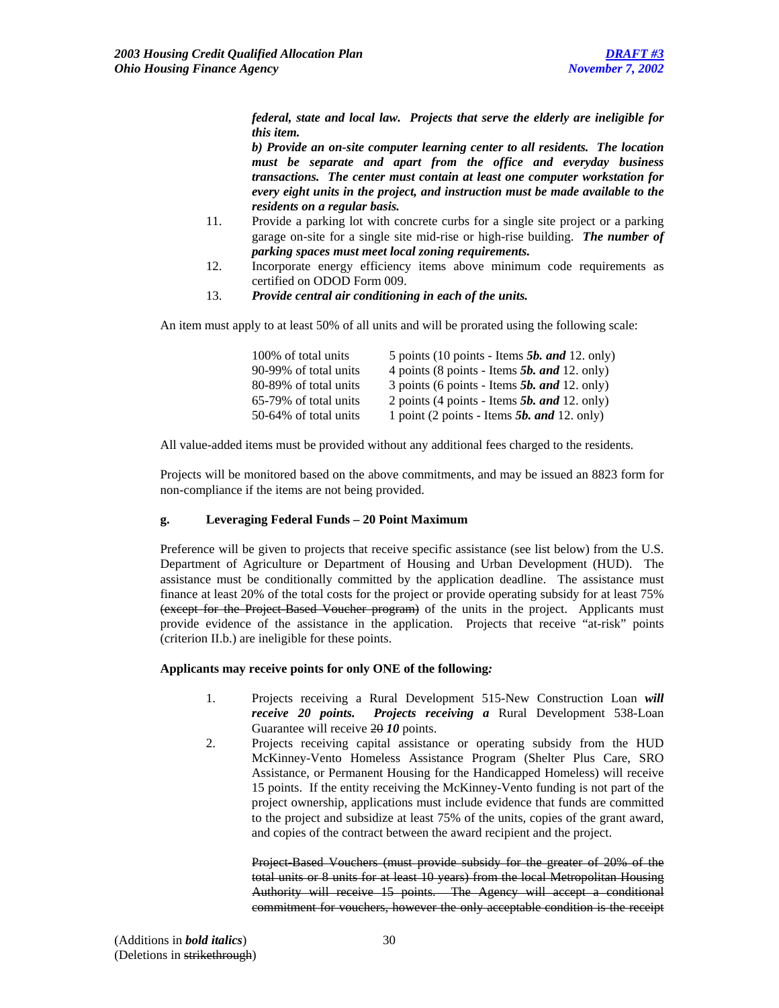*federal, state and local law. Projects that serve the elderly are ineligible for this item.*

*b) Provide an on-site computer learning center to all residents. The location must be separate and apart from the office and everyday business transactions. The center must contain at least one computer workstation for every eight units in the project, and instruction must be made available to the residents on a regular basis.*

- 11. Provide a parking lot with concrete curbs for a single site project or a parking garage on-site for a single site mid-rise or high-rise building. *The number of parking spaces must meet local zoning requirements.*
- 12. Incorporate energy efficiency items above minimum code requirements as certified on ODOD Form 009.
- 13. *Provide central air conditioning in each of the units.*

An item must apply to at least 50% of all units and will be prorated using the following scale:

| 100% of total units   | 5 points (10 points - Items $5b$ , and 12. only) |
|-----------------------|--------------------------------------------------|
| 90-99% of total units | 4 points (8 points - Items $5b$ , and 12. only)  |
| 80-89% of total units | 3 points (6 points - Items $5b$ , and 12. only)  |
| 65-79% of total units | 2 points (4 points - Items $5b$ , and 12. only)  |
| 50-64% of total units | 1 point (2 points - Items $5b$ , and 12. only)   |

All value-added items must be provided without any additional fees charged to the residents.

Projects will be monitored based on the above commitments, and may be issued an 8823 form for non-compliance if the items are not being provided.

#### **g. Leveraging Federal Funds – 20 Point Maximum**

Preference will be given to projects that receive specific assistance (see list below) from the U.S. Department of Agriculture or Department of Housing and Urban Development (HUD). The assistance must be conditionally committed by the application deadline. The assistance must finance at least 20% of the total costs for the project or provide operating subsidy for at least 75% (except for the Project-Based Voucher program) of the units in the project. Applicants must provide evidence of the assistance in the application. Projects that receive "at-risk" points (criterion II.b.) are ineligible for these points.

# **Applicants may receive points for only ONE of the following***:*

- 1. Projects receiving a Rural Development 515-New Construction Loan *will receive 20 points. Projects receiving a* Rural Development 538-Loan Guarantee will receive 20 *10* points.
- 2. Projects receiving capital assistance or operating subsidy from the HUD McKinney-Vento Homeless Assistance Program (Shelter Plus Care, SRO Assistance, or Permanent Housing for the Handicapped Homeless) will receive 15 points. If the entity receiving the McKinney-Vento funding is not part of the project ownership, applications must include evidence that funds are committed to the project and subsidize at least 75% of the units, copies of the grant award, and copies of the contract between the award recipient and the project.

Project-Based Vouchers (must provide subsidy for the greater of 20% of the total units or 8 units for at least 10 years) from the local Metropolitan Housing Authority will receive 15 points. The Agency will accept a conditional commitment for vouchers, however the only acceptable condition is the receipt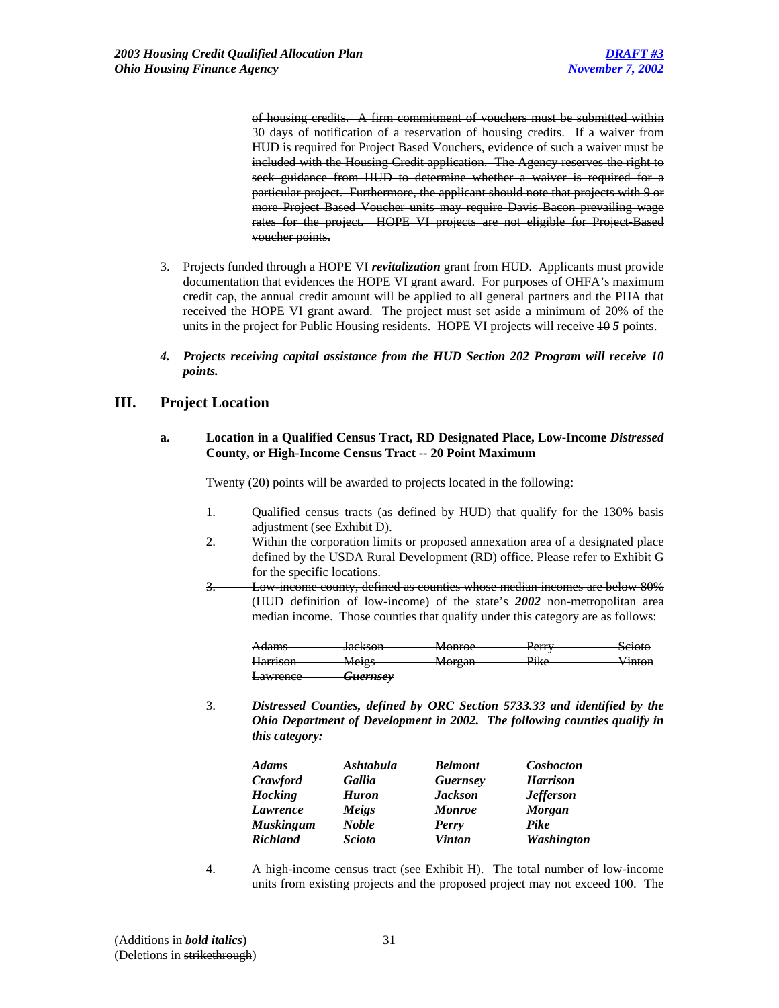of housing credits. A firm commitment of vouchers must be submitted within 30 days of notification of a reservation of housing credits. If a waiver from HUD is required for Project Based Vouchers, evidence of such a waiver must be included with the Housing Credit application. The Agency reserves the right to seek guidance from HUD to determine whether a waiver is required for a particular project. Furthermore, the applicant should note that projects with 9 or more Project Based Voucher units may require Davis Bacon prevailing wage rates for the project. HOPE VI projects are not eligible for Project-Based voucher points.

- 3. Projects funded through a HOPE VI *revitalization* grant from HUD. Applicants must provide documentation that evidences the HOPE VI grant award. For purposes of OHFA's maximum credit cap, the annual credit amount will be applied to all general partners and the PHA that received the HOPE VI grant award. The project must set aside a minimum of 20% of the units in the project for Public Housing residents. HOPE VI projects will receive 10 *5* points.
- *4. Projects receiving capital assistance from the HUD Section 202 Program will receive 10 points.*

# **III. Project Location**

### **a. Location in a Qualified Census Tract, RD Designated Place, Low-Income** *Distressed* **County, or High-Income Census Tract -- 20 Point Maximum**

Twenty (20) points will be awarded to projects located in the following:

- 1. Qualified census tracts (as defined by HUD) that qualify for the 130% basis adjustment (see Exhibit D).
- 2. Within the corporation limits or proposed annexation area of a designated place defined by the USDA Rural Development (RD) office. Please refer to Exhibit G for the specific locations.
- 3. Low-income county, defined as counties whose median incomes are below 80% (HUD definition of low-income) of the state's *2002* non-metropolitan area median income. Those counties that qualify under this category are as follows:

| A dame-                     | Lockson                            | Monroe           | ${\bf p}_{\alpha r r r}$      | Scioto |
|-----------------------------|------------------------------------|------------------|-------------------------------|--------|
| 7 <del>10ams</del>          | <del>Jackson</del>                 | www              | r <del>un</del>               |        |
| H <sub>arrion</sub>         | Maige                              | Morgan           | $\mathbf{D} \cdot \mathbf{L}$ | Vinton |
| <del>namson</del>           | <b>IVICIES</b>                     | $100 \text{ km}$ | <b>TINU</b>                   | ∕ шк∪п |
| $\alpha$<br><b>Lawrence</b> | $L$ uovucov<br><del>Guernsey</del> |                  |                               |        |

3. *Distressed Counties, defined by ORC Section 5733.33 and identified by the Ohio Department of Development in 2002. The following counties qualify in this category:*

| <b>Adams</b>     | Ashtabula     | <b>Belmont</b>  | Coshocton         |
|------------------|---------------|-----------------|-------------------|
| Crawford         | Gallia        | <b>Guernsey</b> | <b>Harrison</b>   |
| <b>Hocking</b>   | <b>Huron</b>  | <b>Jackson</b>  | <b>Jefferson</b>  |
| Lawrence         | Meigs         | <b>Monroe</b>   | <b>Morgan</b>     |
| <b>Muskingum</b> | <b>Noble</b>  | Perry           | Pike              |
| <b>Richland</b>  | <b>Scioto</b> | <b>Vinton</b>   | <b>Washington</b> |

4. A high-income census tract (see Exhibit H). The total number of low-income units from existing projects and the proposed project may not exceed 100. The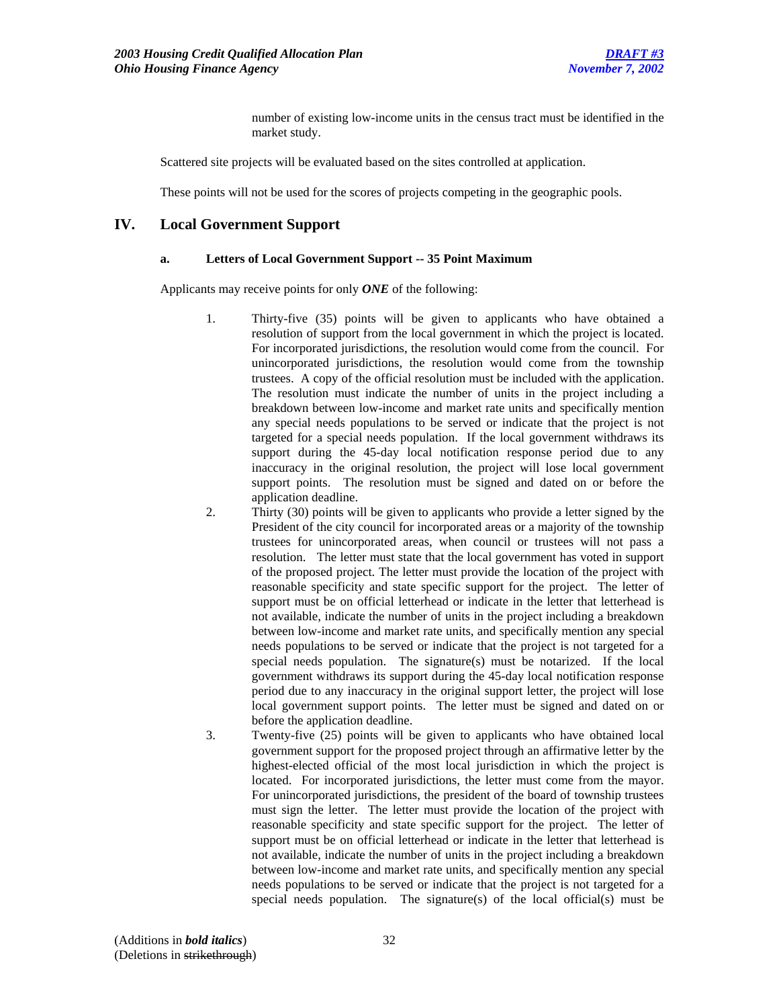number of existing low-income units in the census tract must be identified in the market study.

Scattered site projects will be evaluated based on the sites controlled at application.

These points will not be used for the scores of projects competing in the geographic pools.

# **IV. Local Government Support**

### **a. Letters of Local Government Support -- 35 Point Maximum**

Applicants may receive points for only *ONE* of the following:

- 1. Thirty-five (35) points will be given to applicants who have obtained a resolution of support from the local government in which the project is located. For incorporated jurisdictions, the resolution would come from the council. For unincorporated jurisdictions, the resolution would come from the township trustees. A copy of the official resolution must be included with the application. The resolution must indicate the number of units in the project including a breakdown between low-income and market rate units and specifically mention any special needs populations to be served or indicate that the project is not targeted for a special needs population. If the local government withdraws its support during the 45-day local notification response period due to any inaccuracy in the original resolution, the project will lose local government support points. The resolution must be signed and dated on or before the application deadline.
- 2. Thirty (30) points will be given to applicants who provide a letter signed by the President of the city council for incorporated areas or a majority of the township trustees for unincorporated areas, when council or trustees will not pass a resolution. The letter must state that the local government has voted in support of the proposed project. The letter must provide the location of the project with reasonable specificity and state specific support for the project. The letter of support must be on official letterhead or indicate in the letter that letterhead is not available, indicate the number of units in the project including a breakdown between low-income and market rate units, and specifically mention any special needs populations to be served or indicate that the project is not targeted for a special needs population. The signature(s) must be notarized. If the local government withdraws its support during the 45-day local notification response period due to any inaccuracy in the original support letter, the project will lose local government support points. The letter must be signed and dated on or before the application deadline.
- 3. Twenty-five (25) points will be given to applicants who have obtained local government support for the proposed project through an affirmative letter by the highest-elected official of the most local jurisdiction in which the project is located. For incorporated jurisdictions, the letter must come from the mayor. For unincorporated jurisdictions, the president of the board of township trustees must sign the letter. The letter must provide the location of the project with reasonable specificity and state specific support for the project. The letter of support must be on official letterhead or indicate in the letter that letterhead is not available, indicate the number of units in the project including a breakdown between low-income and market rate units, and specifically mention any special needs populations to be served or indicate that the project is not targeted for a special needs population. The signature(s) of the local official(s) must be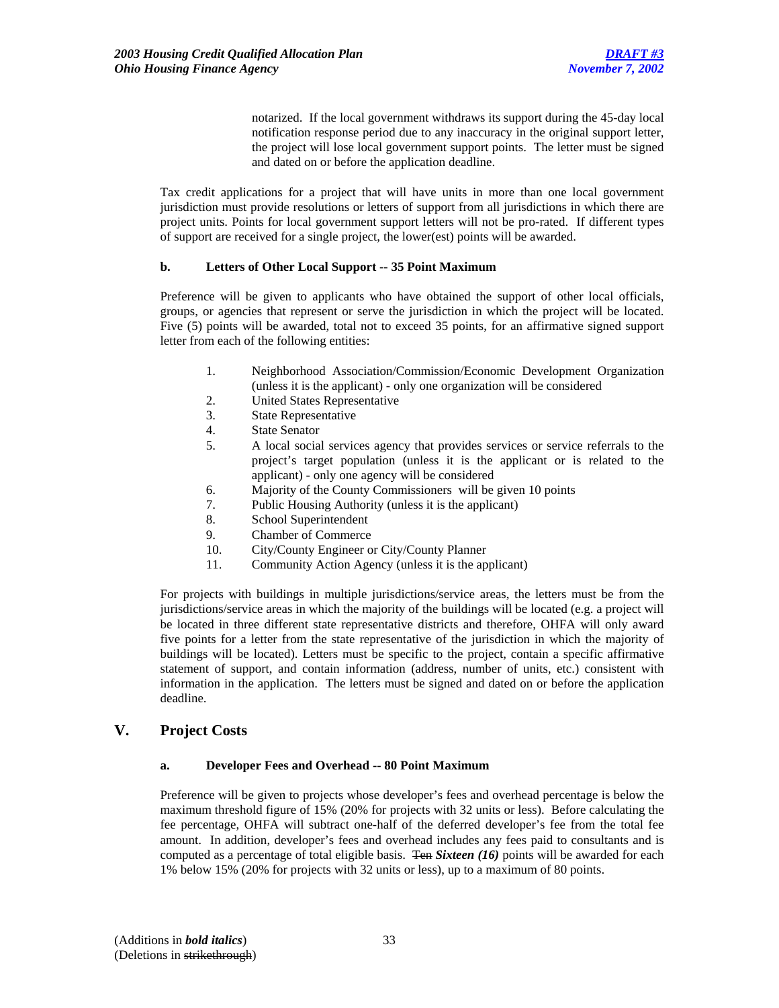notarized. If the local government withdraws its support during the 45-day local notification response period due to any inaccuracy in the original support letter, the project will lose local government support points. The letter must be signed and dated on or before the application deadline.

Tax credit applications for a project that will have units in more than one local government jurisdiction must provide resolutions or letters of support from all jurisdictions in which there are project units. Points for local government support letters will not be pro-rated. If different types of support are received for a single project, the lower(est) points will be awarded.

# **b. Letters of Other Local Support -- 35 Point Maximum**

Preference will be given to applicants who have obtained the support of other local officials, groups, or agencies that represent or serve the jurisdiction in which the project will be located. Five (5) points will be awarded, total not to exceed 35 points, for an affirmative signed support letter from each of the following entities:

- 1. Neighborhood Association/Commission/Economic Development Organization (unless it is the applicant) - only one organization will be considered
- 2. United States Representative
- 3. State Representative
- 4. State Senator
- 5. A local social services agency that provides services or service referrals to the project's target population (unless it is the applicant or is related to the applicant) - only one agency will be considered
- 6. Majority of the County Commissioners will be given 10 points
- 7. Public Housing Authority (unless it is the applicant)
- 8. School Superintendent
- 9. Chamber of Commerce
- 10. City/County Engineer or City/County Planner
- 11. Community Action Agency (unless it is the applicant)

For projects with buildings in multiple jurisdictions/service areas, the letters must be from the jurisdictions/service areas in which the majority of the buildings will be located (e.g. a project will be located in three different state representative districts and therefore, OHFA will only award five points for a letter from the state representative of the jurisdiction in which the majority of buildings will be located). Letters must be specific to the project, contain a specific affirmative statement of support, and contain information (address, number of units, etc.) consistent with information in the application. The letters must be signed and dated on or before the application deadline.

# **V. Project Costs**

# **a. Developer Fees and Overhead -- 80 Point Maximum**

Preference will be given to projects whose developer's fees and overhead percentage is below the maximum threshold figure of 15% (20% for projects with 32 units or less). Before calculating the fee percentage, OHFA will subtract one-half of the deferred developer's fee from the total fee amount. In addition, developer's fees and overhead includes any fees paid to consultants and is computed as a percentage of total eligible basis. Ten *Sixteen (16)* points will be awarded for each 1% below 15% (20% for projects with 32 units or less), up to a maximum of 80 points.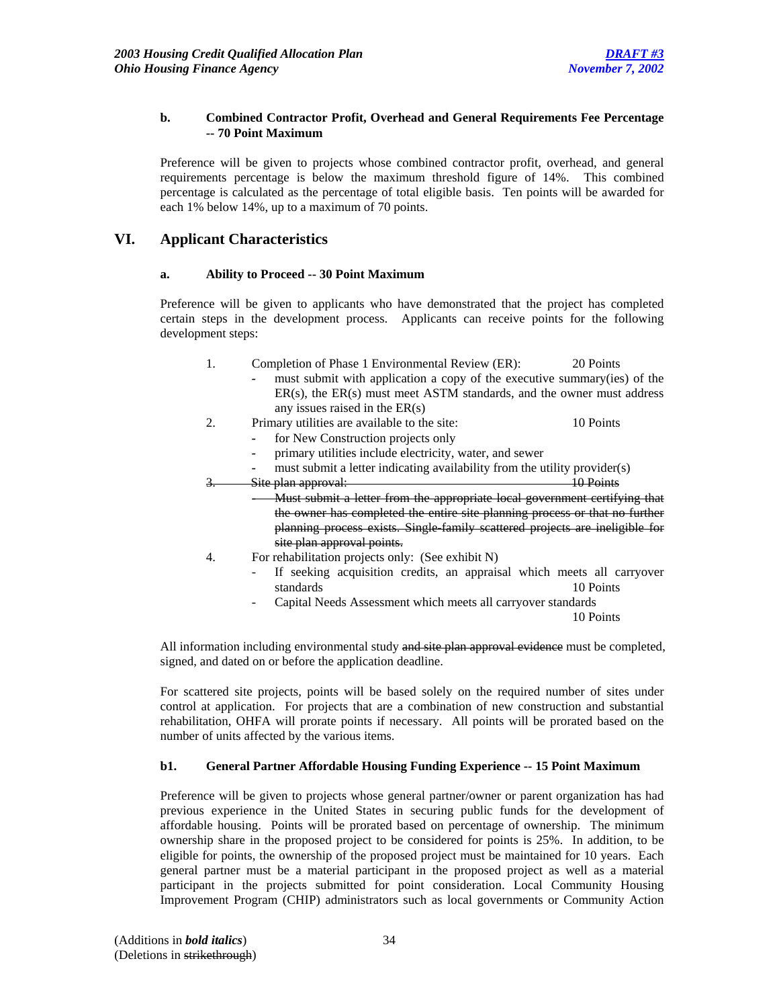# **b. Combined Contractor Profit, Overhead and General Requirements Fee Percentage -- 70 Point Maximum**

Preference will be given to projects whose combined contractor profit, overhead, and general requirements percentage is below the maximum threshold figure of 14%. This combined percentage is calculated as the percentage of total eligible basis. Ten points will be awarded for each 1% below 14%, up to a maximum of 70 points.

# **VI. Applicant Characteristics**

# **a. Ability to Proceed -- 30 Point Maximum**

 Preference will be given to applicants who have demonstrated that the project has completed certain steps in the development process. Applicants can receive points for the following development steps:

- 1. Completion of Phase 1 Environmental Review (ER): 20 Points
	- *-* must submit with application a copy of the executive summary(ies) of the ER(s), the ER(s) must meet ASTM standards, and the owner must address any issues raised in the ER(s)
- 2. Primary utilities are available to the site: 10 Points
	- *-* for New Construction projects only
		-

- *-* primary utilities include electricity, water, and sewer
- must submit a letter indicating availability from the utility provider(s) 3. Site plan approval: 2004 10 Points
- *-* Must submit a letter from the appropriate local government certifying that the owner has completed the entire site planning process or that no further planning process exists. Single-family scattered projects are ineligible for site plan approval points.
- 4. For rehabilitation projects only: (See exhibit N)
	- If seeking acquisition credits, an appraisal which meets all carryover standards 10 Points
	- Capital Needs Assessment which meets all carryover standards

10 Points

All information including environmental study and site plan approval evidence must be completed, signed, and dated on or before the application deadline.

For scattered site projects, points will be based solely on the required number of sites under control at application. For projects that are a combination of new construction and substantial rehabilitation, OHFA will prorate points if necessary. All points will be prorated based on the number of units affected by the various items.

# **b1. General Partner Affordable Housing Funding Experience -- 15 Point Maximum**

 Preference will be given to projects whose general partner/owner or parent organization has had previous experience in the United States in securing public funds for the development of affordable housing. Points will be prorated based on percentage of ownership. The minimum ownership share in the proposed project to be considered for points is 25%. In addition, to be eligible for points, the ownership of the proposed project must be maintained for 10 years. Each general partner must be a material participant in the proposed project as well as a material participant in the projects submitted for point consideration. Local Community Housing Improvement Program (CHIP) administrators such as local governments or Community Action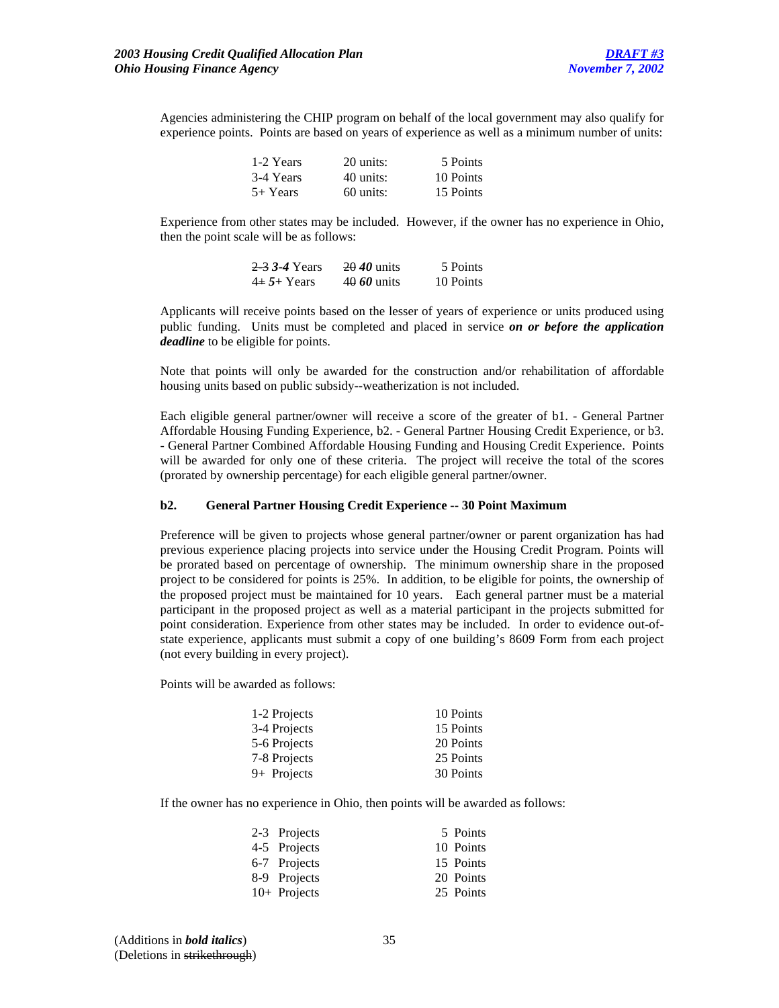Agencies administering the CHIP program on behalf of the local government may also qualify for experience points. Points are based on years of experience as well as a minimum number of units:

| 1-2 Years  | 20 units:   | 5 Points  |
|------------|-------------|-----------|
| 3-4 Years  | 40 units:   | 10 Points |
| $5+$ Years | $60$ units: | 15 Points |

Experience from other states may be included. However, if the owner has no experience in Ohio, then the point scale will be as follows:

| 2-3 3-4 Years | $\frac{20}{40}$ units | 5 Points  |
|---------------|-----------------------|-----------|
| $4+5+$ Years  | 40 60 units           | 10 Points |

Applicants will receive points based on the lesser of years of experience or units produced using public funding. Units must be completed and placed in service *on or before the application deadline* to be eligible for points.

Note that points will only be awarded for the construction and/or rehabilitation of affordable housing units based on public subsidy--weatherization is not included.

Each eligible general partner/owner will receive a score of the greater of b1. - General Partner Affordable Housing Funding Experience, b2. - General Partner Housing Credit Experience, or b3. - General Partner Combined Affordable Housing Funding and Housing Credit Experience. Points will be awarded for only one of these criteria. The project will receive the total of the scores (prorated by ownership percentage) for each eligible general partner/owner.

#### **b2. General Partner Housing Credit Experience -- 30 Point Maximum**

Preference will be given to projects whose general partner/owner or parent organization has had previous experience placing projects into service under the Housing Credit Program. Points will be prorated based on percentage of ownership. The minimum ownership share in the proposed project to be considered for points is 25%. In addition, to be eligible for points, the ownership of the proposed project must be maintained for 10 years. Each general partner must be a material participant in the proposed project as well as a material participant in the projects submitted for point consideration. Experience from other states may be included. In order to evidence out-ofstate experience, applicants must submit a copy of one building's 8609 Form from each project (not every building in every project).

Points will be awarded as follows:

| 1-2 Projects | 10 Points |
|--------------|-----------|
| 3-4 Projects | 15 Points |
| 5-6 Projects | 20 Points |
| 7-8 Projects | 25 Points |
| 9+ Projects  | 30 Points |

If the owner has no experience in Ohio, then points will be awarded as follows:

| 2-3 Projects   | 5 Points  |
|----------------|-----------|
| 4-5 Projects   | 10 Points |
| 6-7 Projects   | 15 Points |
| 8-9 Projects   | 20 Points |
| $10+$ Projects | 25 Points |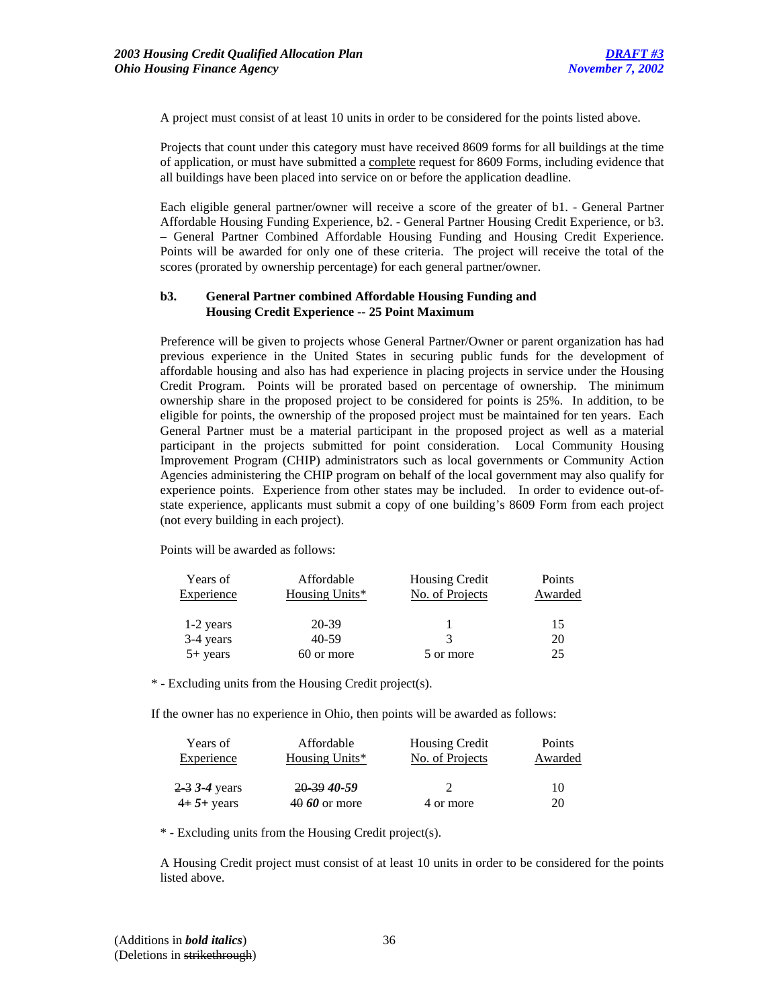A project must consist of at least 10 units in order to be considered for the points listed above.

Projects that count under this category must have received 8609 forms for all buildings at the time of application, or must have submitted a complete request for 8609 Forms, including evidence that all buildings have been placed into service on or before the application deadline.

Each eligible general partner/owner will receive a score of the greater of b1. - General Partner Affordable Housing Funding Experience, b2. - General Partner Housing Credit Experience, or b3. – General Partner Combined Affordable Housing Funding and Housing Credit Experience. Points will be awarded for only one of these criteria. The project will receive the total of the scores (prorated by ownership percentage) for each general partner/owner.

# **b3. General Partner combined Affordable Housing Funding and Housing Credit Experience -- 25 Point Maximum**

Preference will be given to projects whose General Partner/Owner or parent organization has had previous experience in the United States in securing public funds for the development of affordable housing and also has had experience in placing projects in service under the Housing Credit Program. Points will be prorated based on percentage of ownership. The minimum ownership share in the proposed project to be considered for points is 25%. In addition, to be eligible for points, the ownership of the proposed project must be maintained for ten years. Each General Partner must be a material participant in the proposed project as well as a material participant in the projects submitted for point consideration. Local Community Housing Improvement Program (CHIP) administrators such as local governments or Community Action Agencies administering the CHIP program on behalf of the local government may also qualify for experience points. Experience from other states may be included. In order to evidence out-ofstate experience, applicants must submit a copy of one building's 8609 Form from each project (not every building in each project).

Points will be awarded as follows:

| Years of   | Affordable     | <b>Housing Credit</b> | Points  |
|------------|----------------|-----------------------|---------|
| Experience | Housing Units* | No. of Projects       | Awarded |
| 1-2 years  | 20-39          |                       | 15      |
| 3-4 years  | 40-59          | $\mathcal{R}$         | 20      |
| $5+$ years | 60 or more     | 5 or more             | 25      |

\* - Excluding units from the Housing Credit project(s).

If the owner has no experience in Ohio, then points will be awarded as follows:

| Years of        | Affordable     | <b>Housing Credit</b> | Points  |
|-----------------|----------------|-----------------------|---------|
| Experience      | Housing Units* | No. of Projects       | Awarded |
|                 |                |                       |         |
| 2 3 3 - 4 years | 20.39 40-59    |                       | 10      |
| $4+5+$ years    | $4060$ or more | 4 or more             | 20      |

\* - Excluding units from the Housing Credit project(s).

A Housing Credit project must consist of at least 10 units in order to be considered for the points listed above.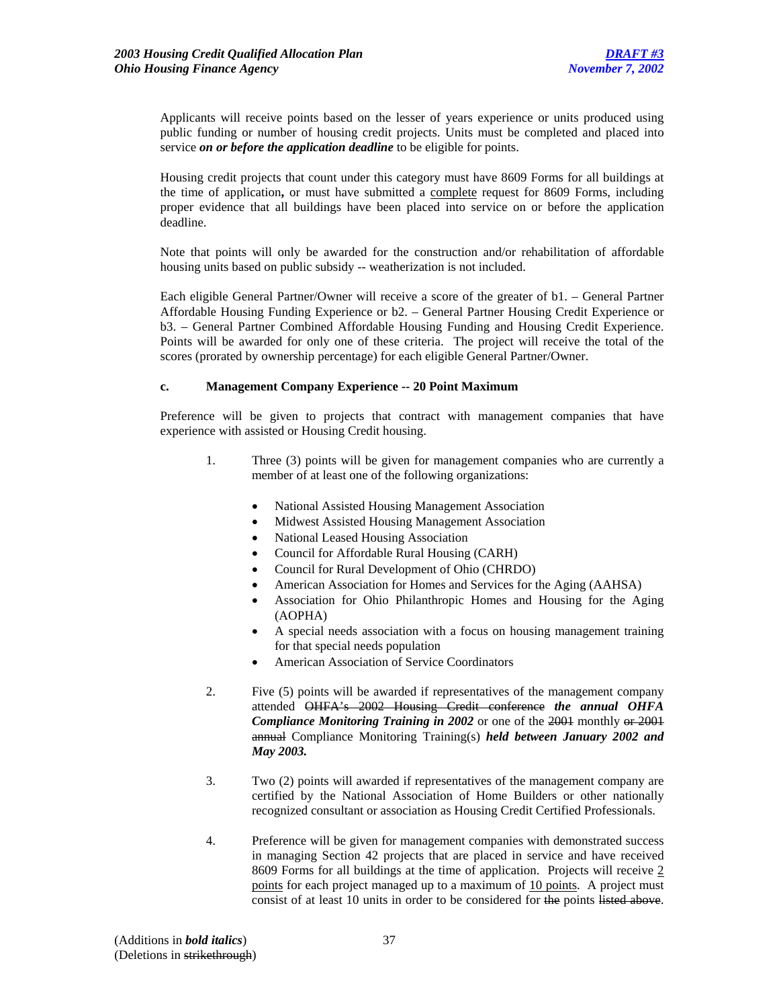Applicants will receive points based on the lesser of years experience or units produced using public funding or number of housing credit projects. Units must be completed and placed into service *on or before the application deadline* to be eligible for points.

Housing credit projects that count under this category must have 8609 Forms for all buildings at the time of application**,** or must have submitted a complete request for 8609 Forms, including proper evidence that all buildings have been placed into service on or before the application deadline.

Note that points will only be awarded for the construction and/or rehabilitation of affordable housing units based on public subsidy -- weatherization is not included.

Each eligible General Partner/Owner will receive a score of the greater of b1. – General Partner Affordable Housing Funding Experience or b2. – General Partner Housing Credit Experience or b3. – General Partner Combined Affordable Housing Funding and Housing Credit Experience. Points will be awarded for only one of these criteria. The project will receive the total of the scores (prorated by ownership percentage) for each eligible General Partner/Owner.

#### **c. Management Company Experience -- 20 Point Maximum**

 Preference will be given to projects that contract with management companies that have experience with assisted or Housing Credit housing.

- 1. Three (3) points will be given for management companies who are currently a member of at least one of the following organizations:
	- National Assisted Housing Management Association
	- Midwest Assisted Housing Management Association
	- National Leased Housing Association
	- Council for Affordable Rural Housing (CARH)
	- Council for Rural Development of Ohio (CHRDO)
	- American Association for Homes and Services for the Aging (AAHSA)
	- Association for Ohio Philanthropic Homes and Housing for the Aging (AOPHA)
	- A special needs association with a focus on housing management training for that special needs population
	- American Association of Service Coordinators
- 2. Five (5) points will be awarded if representatives of the management company attended OHFA's 2002 Housing Credit conference *the annual OHFA*  **Compliance Monitoring Training in 2002** or one of the 2001 monthly or 2001 annual Compliance Monitoring Training(s) *held between January 2002 and May 2003.*
- 3. Two (2) points will awarded if representatives of the management company are certified by the National Association of Home Builders or other nationally recognized consultant or association as Housing Credit Certified Professionals.
- 4. Preference will be given for management companies with demonstrated success in managing Section 42 projects that are placed in service and have received 8609 Forms for all buildings at the time of application. Projects will receive 2 points for each project managed up to a maximum of 10 points. A project must consist of at least 10 units in order to be considered for the points listed above.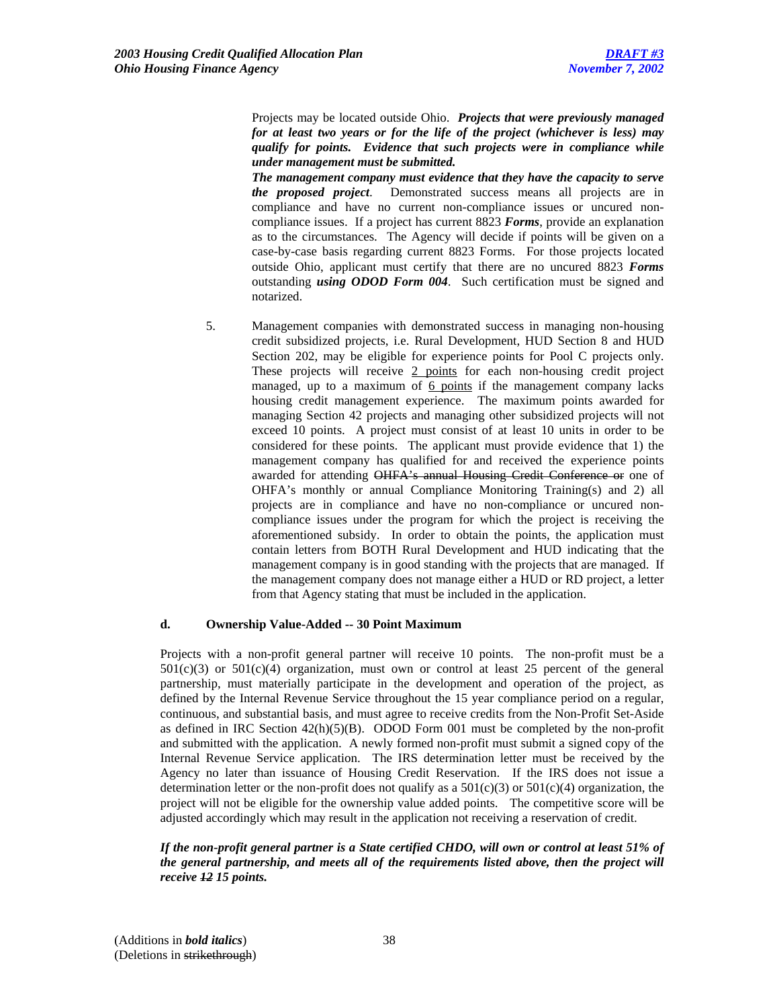Projects may be located outside Ohio. *Projects that were previously managed for at least two years or for the life of the project (whichever is less) may qualify for points. Evidence that such projects were in compliance while under management must be submitted.*

*The management company must evidence that they have the capacity to serve the proposed project*. Demonstrated success means all projects are in compliance and have no current non-compliance issues or uncured noncompliance issues. If a project has current 8823 *Forms*, provide an explanation as to the circumstances. The Agency will decide if points will be given on a case-by-case basis regarding current 8823 Forms. For those projects located outside Ohio, applicant must certify that there are no uncured 8823 *Forms* outstanding *using ODOD Form 004*. Such certification must be signed and notarized.

5. Management companies with demonstrated success in managing non-housing credit subsidized projects, i.e. Rural Development, HUD Section 8 and HUD Section 202, may be eligible for experience points for Pool C projects only. These projects will receive 2 points for each non-housing credit project managed, up to a maximum of 6 points if the management company lacks housing credit management experience. The maximum points awarded for managing Section 42 projects and managing other subsidized projects will not exceed 10 points. A project must consist of at least 10 units in order to be considered for these points. The applicant must provide evidence that 1) the management company has qualified for and received the experience points awarded for attending OHFA's annual Housing Credit Conference or one of OHFA's monthly or annual Compliance Monitoring Training(s) and 2) all projects are in compliance and have no non-compliance or uncured noncompliance issues under the program for which the project is receiving the aforementioned subsidy. In order to obtain the points, the application must contain letters from BOTH Rural Development and HUD indicating that the management company is in good standing with the projects that are managed. If the management company does not manage either a HUD or RD project, a letter from that Agency stating that must be included in the application.

### **d. Ownership Value-Added -- 30 Point Maximum**

Projects with a non-profit general partner will receive 10 points. The non-profit must be a  $501(c)(3)$  or  $501(c)(4)$  organization, must own or control at least 25 percent of the general partnership, must materially participate in the development and operation of the project, as defined by the Internal Revenue Service throughout the 15 year compliance period on a regular, continuous, and substantial basis, and must agree to receive credits from the Non-Profit Set-Aside as defined in IRC Section  $42(h)(5)(B)$ . ODOD Form 001 must be completed by the non-profit and submitted with the application. A newly formed non-profit must submit a signed copy of the Internal Revenue Service application. The IRS determination letter must be received by the Agency no later than issuance of Housing Credit Reservation. If the IRS does not issue a determination letter or the non-profit does not qualify as a  $501(c)(3)$  or  $501(c)(4)$  organization, the project will not be eligible for the ownership value added points. The competitive score will be adjusted accordingly which may result in the application not receiving a reservation of credit.

*If the non-profit general partner is a State certified CHDO, will own or control at least 51% of the general partnership, and meets all of the requirements listed above, then the project will receive 12 15 points.*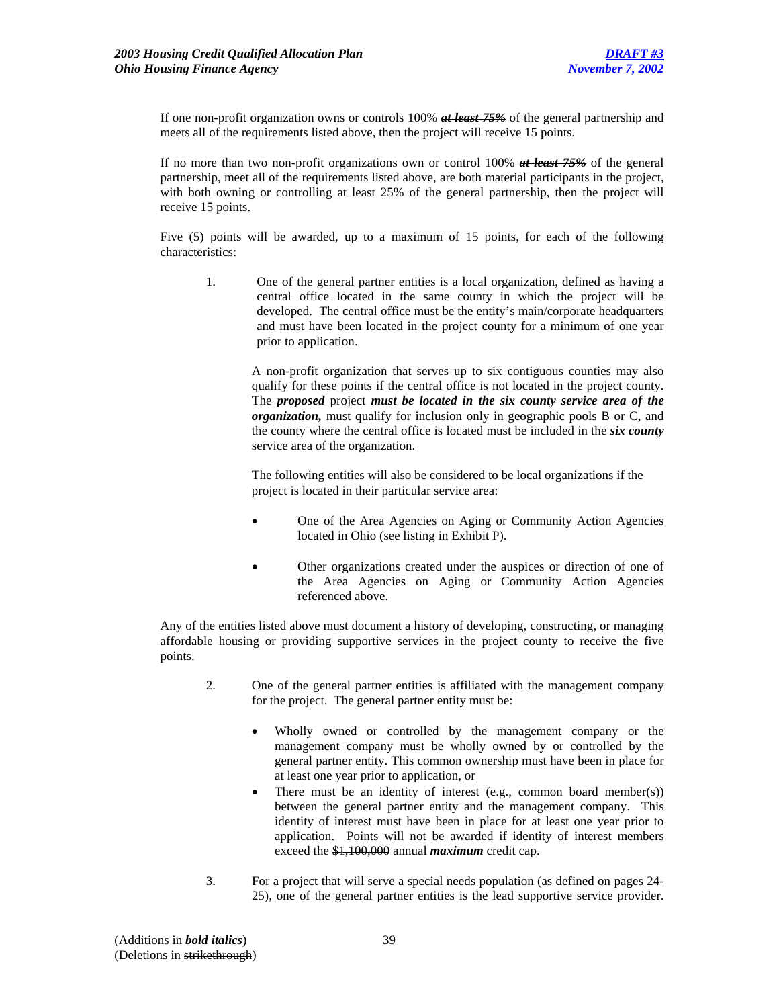If one non-profit organization owns or controls 100% *at least 75%* of the general partnership and meets all of the requirements listed above, then the project will receive 15 points.

If no more than two non-profit organizations own or control 100% *at least 75%* of the general partnership, meet all of the requirements listed above, are both material participants in the project, with both owning or controlling at least 25% of the general partnership, then the project will receive 15 points.

Five (5) points will be awarded, up to a maximum of 15 points, for each of the following characteristics:

1. One of the general partner entities is a <u>local organization</u>, defined as having a central office located in the same county in which the project will be developed. The central office must be the entity's main/corporate headquarters and must have been located in the project county for a minimum of one year prior to application.

A non-profit organization that serves up to six contiguous counties may also qualify for these points if the central office is not located in the project county. The *proposed* project *must be located in the six county service area of the organization,* must qualify for inclusion only in geographic pools B or C, and the county where the central office is located must be included in the *six county* service area of the organization.

The following entities will also be considered to be local organizations if the project is located in their particular service area:

- One of the Area Agencies on Aging or Community Action Agencies located in Ohio (see listing in Exhibit P).
- Other organizations created under the auspices or direction of one of the Area Agencies on Aging or Community Action Agencies referenced above.

Any of the entities listed above must document a history of developing, constructing, or managing affordable housing or providing supportive services in the project county to receive the five points.

- 2. One of the general partner entities is affiliated with the management company for the project. The general partner entity must be:
	- Wholly owned or controlled by the management company or the management company must be wholly owned by or controlled by the general partner entity. This common ownership must have been in place for at least one year prior to application, or
	- There must be an identity of interest (e.g., common board member(s)) between the general partner entity and the management company. This identity of interest must have been in place for at least one year prior to application. Points will not be awarded if identity of interest members exceed the \$1,100,000 annual *maximum* credit cap.
- 3. For a project that will serve a special needs population (as defined on pages 24- 25), one of the general partner entities is the lead supportive service provider.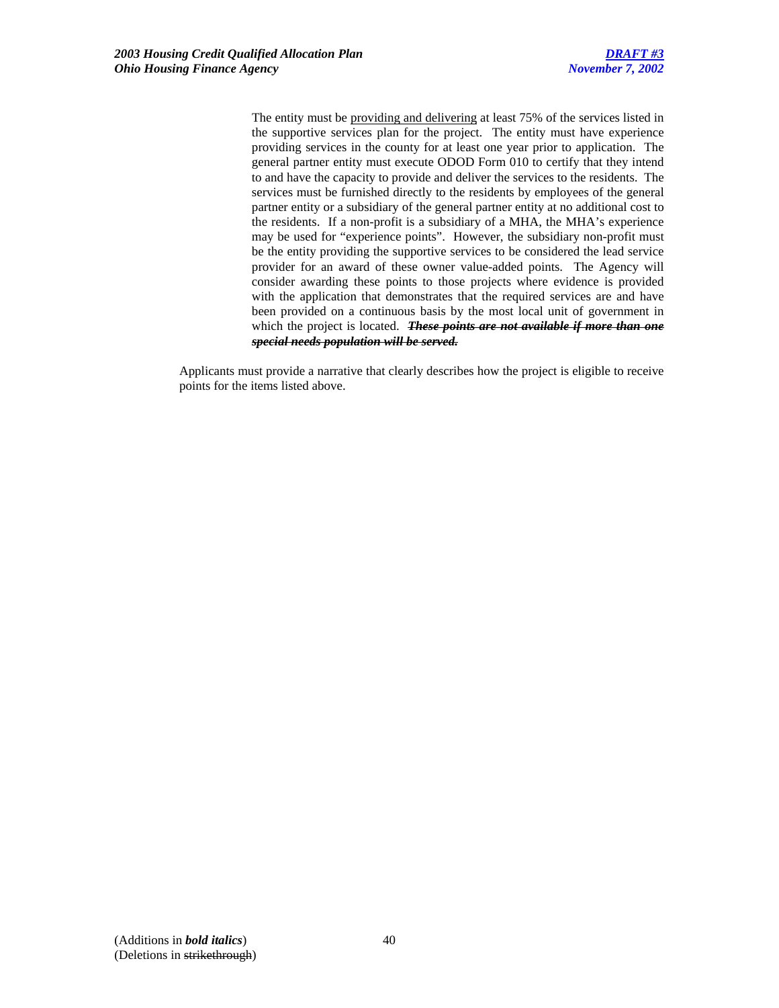The entity must be providing and delivering at least 75% of the services listed in the supportive services plan for the project. The entity must have experience providing services in the county for at least one year prior to application. The general partner entity must execute ODOD Form 010 to certify that they intend to and have the capacity to provide and deliver the services to the residents. The services must be furnished directly to the residents by employees of the general partner entity or a subsidiary of the general partner entity at no additional cost to the residents. If a non-profit is a subsidiary of a MHA, the MHA's experience may be used for "experience points". However, the subsidiary non-profit must be the entity providing the supportive services to be considered the lead service provider for an award of these owner value-added points. The Agency will consider awarding these points to those projects where evidence is provided with the application that demonstrates that the required services are and have been provided on a continuous basis by the most local unit of government in which the project is located. *These points are not available if more than one special needs population will be served.*

Applicants must provide a narrative that clearly describes how the project is eligible to receive points for the items listed above.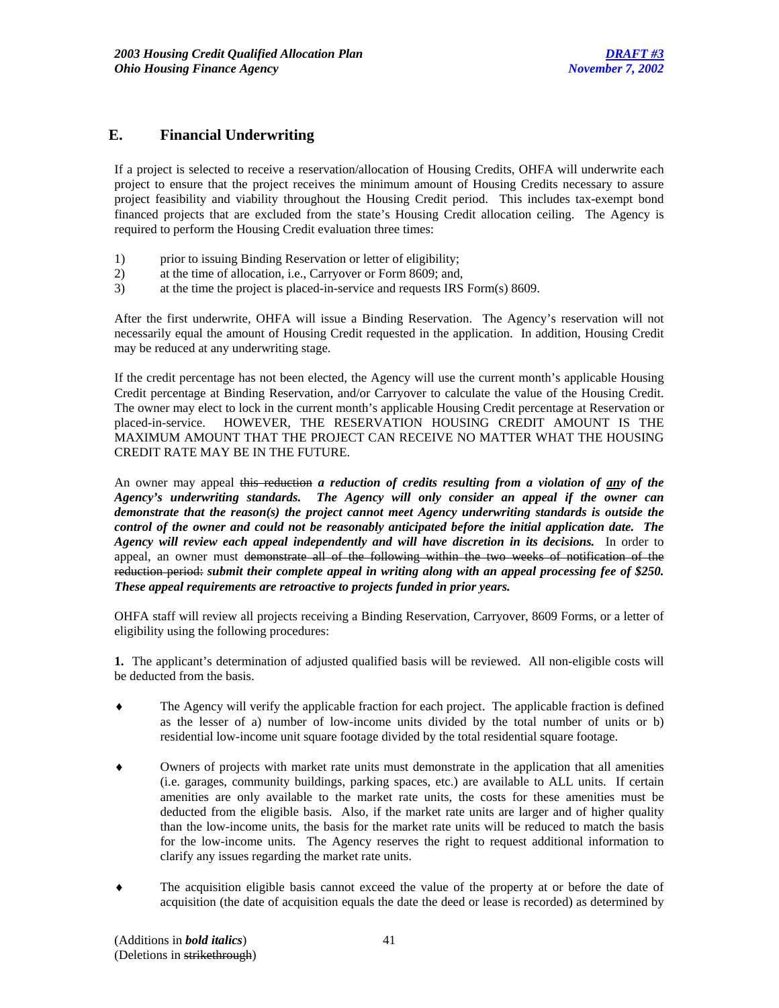## **E. Financial Underwriting**

If a project is selected to receive a reservation/allocation of Housing Credits, OHFA will underwrite each project to ensure that the project receives the minimum amount of Housing Credits necessary to assure project feasibility and viability throughout the Housing Credit period. This includes tax-exempt bond financed projects that are excluded from the state's Housing Credit allocation ceiling. The Agency is required to perform the Housing Credit evaluation three times:

- 1) prior to issuing Binding Reservation or letter of eligibility;
- 2) at the time of allocation, i.e., Carryover or Form 8609; and,
- 3) at the time the project is placed-in-service and requests IRS Form(s) 8609.

After the first underwrite, OHFA will issue a Binding Reservation. The Agency's reservation will not necessarily equal the amount of Housing Credit requested in the application. In addition, Housing Credit may be reduced at any underwriting stage.

If the credit percentage has not been elected, the Agency will use the current month's applicable Housing Credit percentage at Binding Reservation, and/or Carryover to calculate the value of the Housing Credit. The owner may elect to lock in the current month's applicable Housing Credit percentage at Reservation or placed-in-service. HOWEVER, THE RESERVATION HOUSING CREDIT AMOUNT IS THE MAXIMUM AMOUNT THAT THE PROJECT CAN RECEIVE NO MATTER WHAT THE HOUSING CREDIT RATE MAY BE IN THE FUTURE.

An owner may appeal this reduction *a reduction of credits resulting from a violation of any of the Agency's underwriting standards. The Agency will only consider an appeal if the owner can demonstrate that the reason(s) the project cannot meet Agency underwriting standards is outside the control of the owner and could not be reasonably anticipated before the initial application date. The Agency will review each appeal independently and will have discretion in its decisions.* In order to appeal, an owner must demonstrate all of the following within the two weeks of notification of the reduction period: *submit their complete appeal in writing along with an appeal processing fee of \$250. These appeal requirements are retroactive to projects funded in prior years.*

OHFA staff will review all projects receiving a Binding Reservation, Carryover, 8609 Forms, or a letter of eligibility using the following procedures:

**1.** The applicant's determination of adjusted qualified basis will be reviewed. All non-eligible costs will be deducted from the basis.

- ♦ The Agency will verify the applicable fraction for each project. The applicable fraction is defined as the lesser of a) number of low-income units divided by the total number of units or b) residential low-income unit square footage divided by the total residential square footage.
- ♦ Owners of projects with market rate units must demonstrate in the application that all amenities (i.e. garages, community buildings, parking spaces, etc.) are available to ALL units. If certain amenities are only available to the market rate units, the costs for these amenities must be deducted from the eligible basis. Also, if the market rate units are larger and of higher quality than the low-income units, the basis for the market rate units will be reduced to match the basis for the low-income units. The Agency reserves the right to request additional information to clarify any issues regarding the market rate units.
- The acquisition eligible basis cannot exceed the value of the property at or before the date of acquisition (the date of acquisition equals the date the deed or lease is recorded) as determined by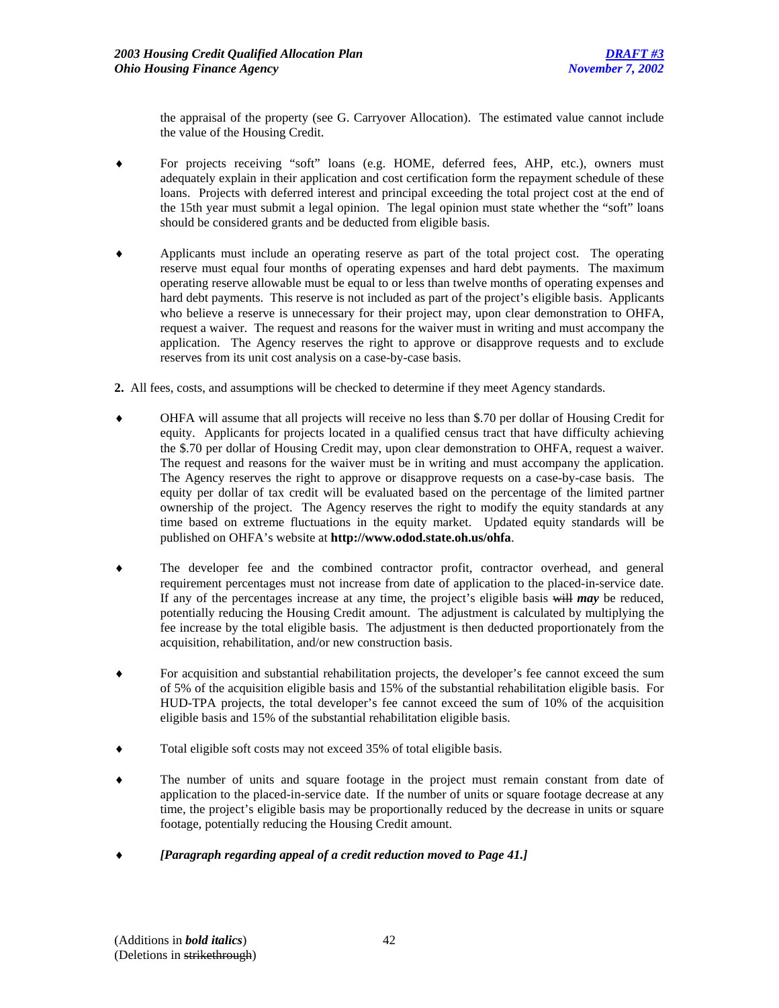the appraisal of the property (see G. Carryover Allocation). The estimated value cannot include the value of the Housing Credit.

- For projects receiving "soft" loans (e.g. HOME, deferred fees, AHP, etc.), owners must adequately explain in their application and cost certification form the repayment schedule of these loans. Projects with deferred interest and principal exceeding the total project cost at the end of the 15th year must submit a legal opinion. The legal opinion must state whether the "soft" loans should be considered grants and be deducted from eligible basis.
- Applicants must include an operating reserve as part of the total project cost. The operating reserve must equal four months of operating expenses and hard debt payments. The maximum operating reserve allowable must be equal to or less than twelve months of operating expenses and hard debt payments. This reserve is not included as part of the project's eligible basis. Applicants who believe a reserve is unnecessary for their project may, upon clear demonstration to OHFA, request a waiver. The request and reasons for the waiver must in writing and must accompany the application. The Agency reserves the right to approve or disapprove requests and to exclude reserves from its unit cost analysis on a case-by-case basis.
- **2.** All fees, costs, and assumptions will be checked to determine if they meet Agency standards.
- OHFA will assume that all projects will receive no less than \$.70 per dollar of Housing Credit for equity. Applicants for projects located in a qualified census tract that have difficulty achieving the \$.70 per dollar of Housing Credit may, upon clear demonstration to OHFA, request a waiver. The request and reasons for the waiver must be in writing and must accompany the application. The Agency reserves the right to approve or disapprove requests on a case-by-case basis. The equity per dollar of tax credit will be evaluated based on the percentage of the limited partner ownership of the project. The Agency reserves the right to modify the equity standards at any time based on extreme fluctuations in the equity market. Updated equity standards will be published on OHFA's website at **http://www.odod.state.oh.us/ohfa**.
- ♦ The developer fee and the combined contractor profit, contractor overhead, and general requirement percentages must not increase from date of application to the placed-in-service date. If any of the percentages increase at any time, the project's eligible basis will *may* be reduced, potentially reducing the Housing Credit amount. The adjustment is calculated by multiplying the fee increase by the total eligible basis. The adjustment is then deducted proportionately from the acquisition, rehabilitation, and/or new construction basis.
- For acquisition and substantial rehabilitation projects, the developer's fee cannot exceed the sum of 5% of the acquisition eligible basis and 15% of the substantial rehabilitation eligible basis. For HUD-TPA projects, the total developer's fee cannot exceed the sum of 10% of the acquisition eligible basis and 15% of the substantial rehabilitation eligible basis.
- Total eligible soft costs may not exceed 35% of total eligible basis.
- The number of units and square footage in the project must remain constant from date of application to the placed-in-service date. If the number of units or square footage decrease at any time, the project's eligible basis may be proportionally reduced by the decrease in units or square footage, potentially reducing the Housing Credit amount.
- ♦ *[Paragraph regarding appeal of a credit reduction moved to Page 41.]*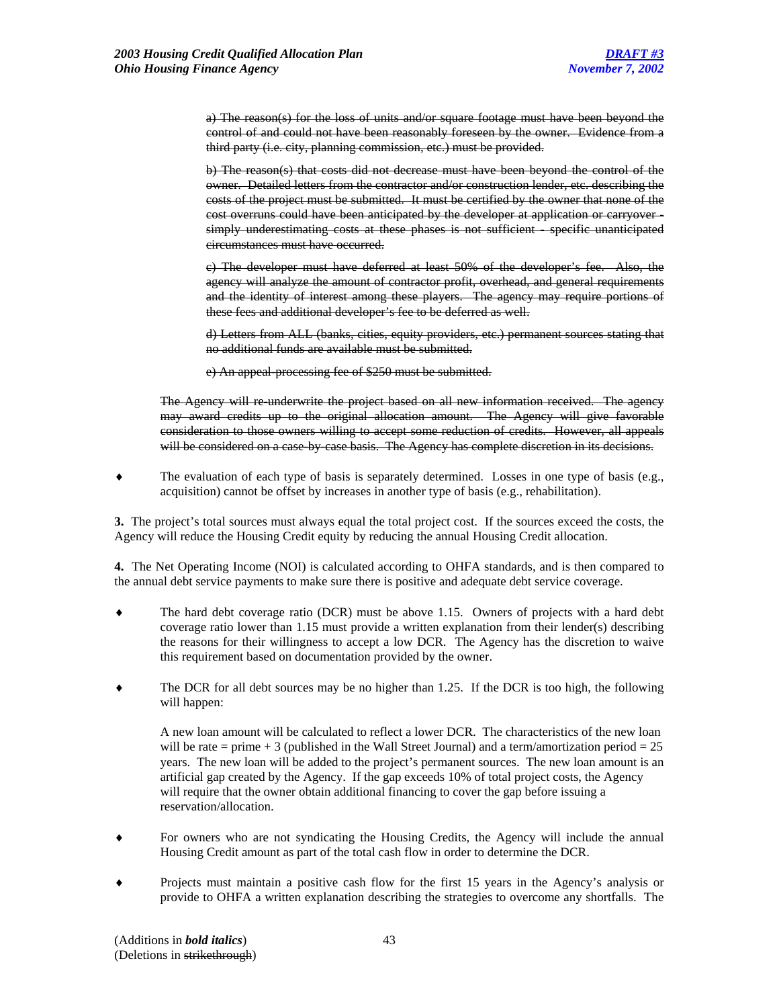a) The reason(s) for the loss of units and/or square footage must have been beyond the control of and could not have been reasonably foreseen by the owner. Evidence from a third party (i.e. city, planning commission, etc.) must be provided.

b) The reason(s) that costs did not decrease must have been beyond the control of the owner. Detailed letters from the contractor and/or construction lender, etc. describing the costs of the project must be submitted. It must be certified by the owner that none of the cost overruns could have been anticipated by the developer at application or carryover simply underestimating costs at these phases is not sufficient - specific unanticipated circumstances must have occurred.

c) The developer must have deferred at least 50% of the developer's fee. Also, the agency will analyze the amount of contractor profit, overhead, and general requirements and the identity of interest among these players. The agency may require portions of these fees and additional developer's fee to be deferred as well.

d) Letters from ALL (banks, cities, equity providers, etc.) permanent sources stating that no additional funds are available must be submitted.

e) An appeal-processing fee of \$250 must be submitted.

The Agency will re-underwrite the project based on all new information received. The agency may award credits up to the original allocation amount. The Agency will give favorable consideration to those owners willing to accept some reduction of credits. However, all appeals will be considered on a case-by-case basis. The Agency has complete discretion in its decisions.

♦ The evaluation of each type of basis is separately determined. Losses in one type of basis (e.g., acquisition) cannot be offset by increases in another type of basis (e.g., rehabilitation).

**3.** The project's total sources must always equal the total project cost. If the sources exceed the costs, the Agency will reduce the Housing Credit equity by reducing the annual Housing Credit allocation.

**4.** The Net Operating Income (NOI) is calculated according to OHFA standards, and is then compared to the annual debt service payments to make sure there is positive and adequate debt service coverage.

- ♦ The hard debt coverage ratio (DCR) must be above 1.15. Owners of projects with a hard debt coverage ratio lower than 1.15 must provide a written explanation from their lender(s) describing the reasons for their willingness to accept a low DCR. The Agency has the discretion to waive this requirement based on documentation provided by the owner.
- The DCR for all debt sources may be no higher than 1.25. If the DCR is too high, the following will happen:

A new loan amount will be calculated to reflect a lower DCR. The characteristics of the new loan will be rate = prime  $+3$  (published in the Wall Street Journal) and a term/amortization period = 25 years. The new loan will be added to the project's permanent sources. The new loan amount is an artificial gap created by the Agency. If the gap exceeds 10% of total project costs, the Agency will require that the owner obtain additional financing to cover the gap before issuing a reservation/allocation.

- For owners who are not syndicating the Housing Credits, the Agency will include the annual Housing Credit amount as part of the total cash flow in order to determine the DCR.
- Projects must maintain a positive cash flow for the first 15 years in the Agency's analysis or provide to OHFA a written explanation describing the strategies to overcome any shortfalls. The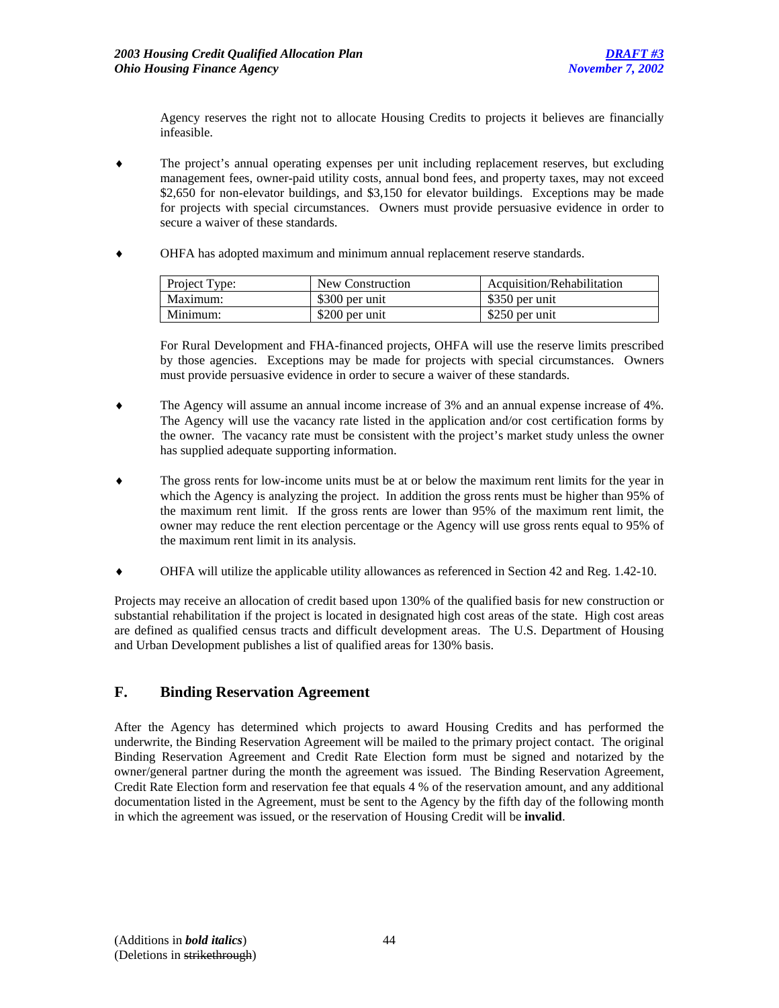Agency reserves the right not to allocate Housing Credits to projects it believes are financially infeasible.

- The project's annual operating expenses per unit including replacement reserves, but excluding management fees, owner-paid utility costs, annual bond fees, and property taxes, may not exceed \$2,650 for non-elevator buildings, and \$3,150 for elevator buildings. Exceptions may be made for projects with special circumstances. Owners must provide persuasive evidence in order to secure a waiver of these standards.
- ♦ OHFA has adopted maximum and minimum annual replacement reserve standards.

| Project Type: | New Construction | Acquisition/Rehabilitation |
|---------------|------------------|----------------------------|
| Maximum:      | \$300 per unit   | \$350 per unit             |
| Minimum:      | \$200 per unit   | \$250 per unit             |

For Rural Development and FHA-financed projects, OHFA will use the reserve limits prescribed by those agencies. Exceptions may be made for projects with special circumstances. Owners must provide persuasive evidence in order to secure a waiver of these standards.

- The Agency will assume an annual income increase of 3% and an annual expense increase of 4%. The Agency will use the vacancy rate listed in the application and/or cost certification forms by the owner. The vacancy rate must be consistent with the project's market study unless the owner has supplied adequate supporting information.
- ♦ The gross rents for low-income units must be at or below the maximum rent limits for the year in which the Agency is analyzing the project. In addition the gross rents must be higher than 95% of the maximum rent limit. If the gross rents are lower than 95% of the maximum rent limit, the owner may reduce the rent election percentage or the Agency will use gross rents equal to 95% of the maximum rent limit in its analysis.
- ♦ OHFA will utilize the applicable utility allowances as referenced in Section 42 and Reg. 1.42-10.

Projects may receive an allocation of credit based upon 130% of the qualified basis for new construction or substantial rehabilitation if the project is located in designated high cost areas of the state. High cost areas are defined as qualified census tracts and difficult development areas. The U.S. Department of Housing and Urban Development publishes a list of qualified areas for 130% basis.

## **F. Binding Reservation Agreement**

After the Agency has determined which projects to award Housing Credits and has performed the underwrite, the Binding Reservation Agreement will be mailed to the primary project contact. The original Binding Reservation Agreement and Credit Rate Election form must be signed and notarized by the owner/general partner during the month the agreement was issued. The Binding Reservation Agreement, Credit Rate Election form and reservation fee that equals 4 % of the reservation amount, and any additional documentation listed in the Agreement, must be sent to the Agency by the fifth day of the following month in which the agreement was issued, or the reservation of Housing Credit will be **invalid**.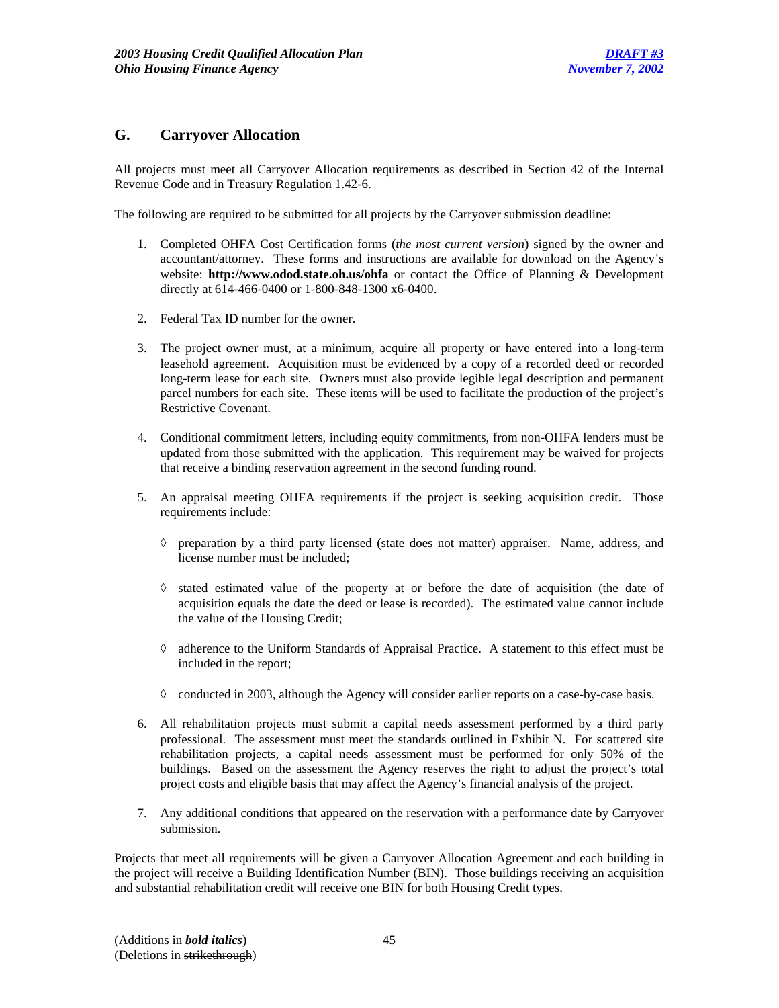## **G. Carryover Allocation**

All projects must meet all Carryover Allocation requirements as described in Section 42 of the Internal Revenue Code and in Treasury Regulation 1.42-6.

The following are required to be submitted for all projects by the Carryover submission deadline:

- 1. Completed OHFA Cost Certification forms (*the most current version*) signed by the owner and accountant/attorney. These forms and instructions are available for download on the Agency's website: **http://www.odod.state.oh.us/ohfa** or contact the Office of Planning & Development directly at 614-466-0400 or 1-800-848-1300 x6-0400.
- 2. Federal Tax ID number for the owner.
- 3. The project owner must, at a minimum, acquire all property or have entered into a long-term leasehold agreement. Acquisition must be evidenced by a copy of a recorded deed or recorded long-term lease for each site. Owners must also provide legible legal description and permanent parcel numbers for each site. These items will be used to facilitate the production of the project's Restrictive Covenant.
- 4. Conditional commitment letters, including equity commitments, from non-OHFA lenders must be updated from those submitted with the application. This requirement may be waived for projects that receive a binding reservation agreement in the second funding round.
- 5. An appraisal meeting OHFA requirements if the project is seeking acquisition credit. Those requirements include:
	- ◊ preparation by a third party licensed (state does not matter) appraiser. Name, address, and license number must be included;
	- ◊ stated estimated value of the property at or before the date of acquisition (the date of acquisition equals the date the deed or lease is recorded). The estimated value cannot include the value of the Housing Credit;
	- ◊ adherence to the Uniform Standards of Appraisal Practice. A statement to this effect must be included in the report;
	- $\Diamond$  conducted in 2003, although the Agency will consider earlier reports on a case-by-case basis.
- 6. All rehabilitation projects must submit a capital needs assessment performed by a third party professional. The assessment must meet the standards outlined in Exhibit N. For scattered site rehabilitation projects, a capital needs assessment must be performed for only 50% of the buildings. Based on the assessment the Agency reserves the right to adjust the project's total project costs and eligible basis that may affect the Agency's financial analysis of the project.
- 7. Any additional conditions that appeared on the reservation with a performance date by Carryover submission.

Projects that meet all requirements will be given a Carryover Allocation Agreement and each building in the project will receive a Building Identification Number (BIN). Those buildings receiving an acquisition and substantial rehabilitation credit will receive one BIN for both Housing Credit types.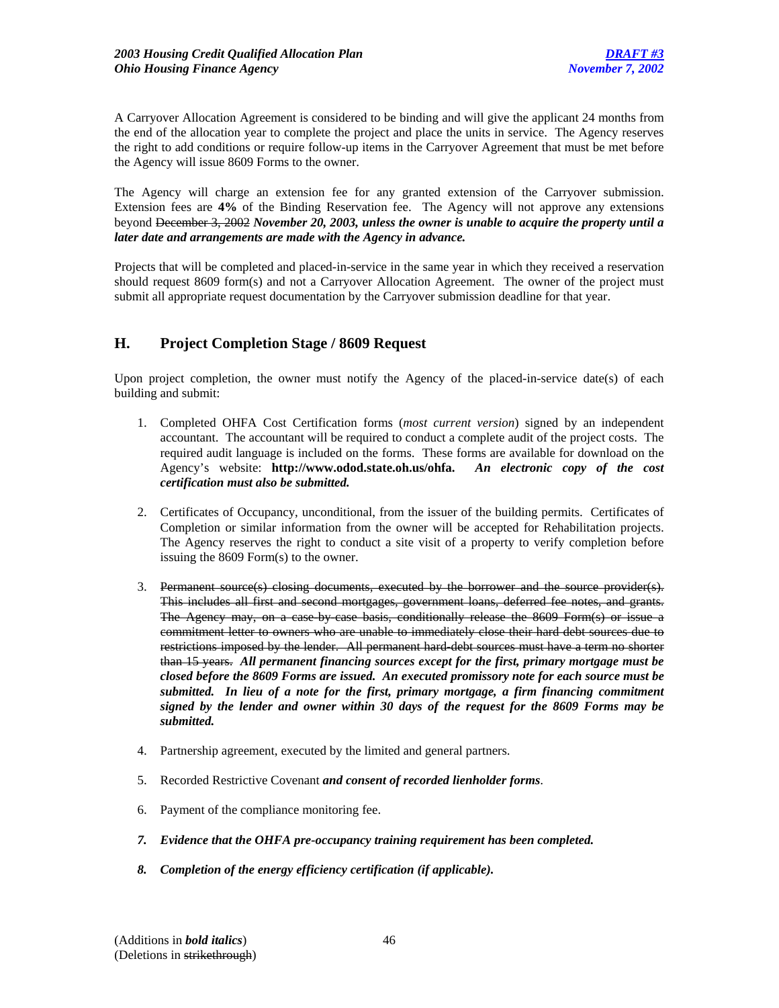A Carryover Allocation Agreement is considered to be binding and will give the applicant 24 months from the end of the allocation year to complete the project and place the units in service. The Agency reserves the right to add conditions or require follow-up items in the Carryover Agreement that must be met before the Agency will issue 8609 Forms to the owner.

The Agency will charge an extension fee for any granted extension of the Carryover submission. Extension fees are **4%** of the Binding Reservation fee. The Agency will not approve any extensions beyond December 3, 2002 *November 20, 2003, unless the owner is unable to acquire the property until a later date and arrangements are made with the Agency in advance.*

Projects that will be completed and placed-in-service in the same year in which they received a reservation should request 8609 form(s) and not a Carryover Allocation Agreement. The owner of the project must submit all appropriate request documentation by the Carryover submission deadline for that year.

## **H. Project Completion Stage / 8609 Request**

Upon project completion, the owner must notify the Agency of the placed-in-service date(s) of each building and submit:

- 1. Completed OHFA Cost Certification forms (*most current version*) signed by an independent accountant. The accountant will be required to conduct a complete audit of the project costs. The required audit language is included on the forms. These forms are available for download on the Agency's website: **http://www.odod.state.oh.us/ohfa.** *An electronic copy of the cost certification must also be submitted.*
- 2. Certificates of Occupancy, unconditional, from the issuer of the building permits. Certificates of Completion or similar information from the owner will be accepted for Rehabilitation projects. The Agency reserves the right to conduct a site visit of a property to verify completion before issuing the 8609 Form(s) to the owner.
- 3. Permanent source(s) closing documents, executed by the borrower and the source provider(s). This includes all first and second mortgages, government loans, deferred fee notes, and grants. The Agency may, on a case by case basis, conditionally release the 8609 Form(s) or issue a commitment letter to owners who are unable to immediately close their hard debt sources due to restrictions imposed by the lender. All permanent hard-debt sources must have a term no shorter than 15 years. *All permanent financing sources except for the first, primary mortgage must be closed before the 8609 Forms are issued. An executed promissory note for each source must be submitted. In lieu of a note for the first, primary mortgage, a firm financing commitment signed by the lender and owner within 30 days of the request for the 8609 Forms may be submitted.*
- 4. Partnership agreement, executed by the limited and general partners.
- 5. Recorded Restrictive Covenant *and consent of recorded lienholder forms*.
- 6. Payment of the compliance monitoring fee.
- *7. Evidence that the OHFA pre-occupancy training requirement has been completed.*
- *8. Completion of the energy efficiency certification (if applicable).*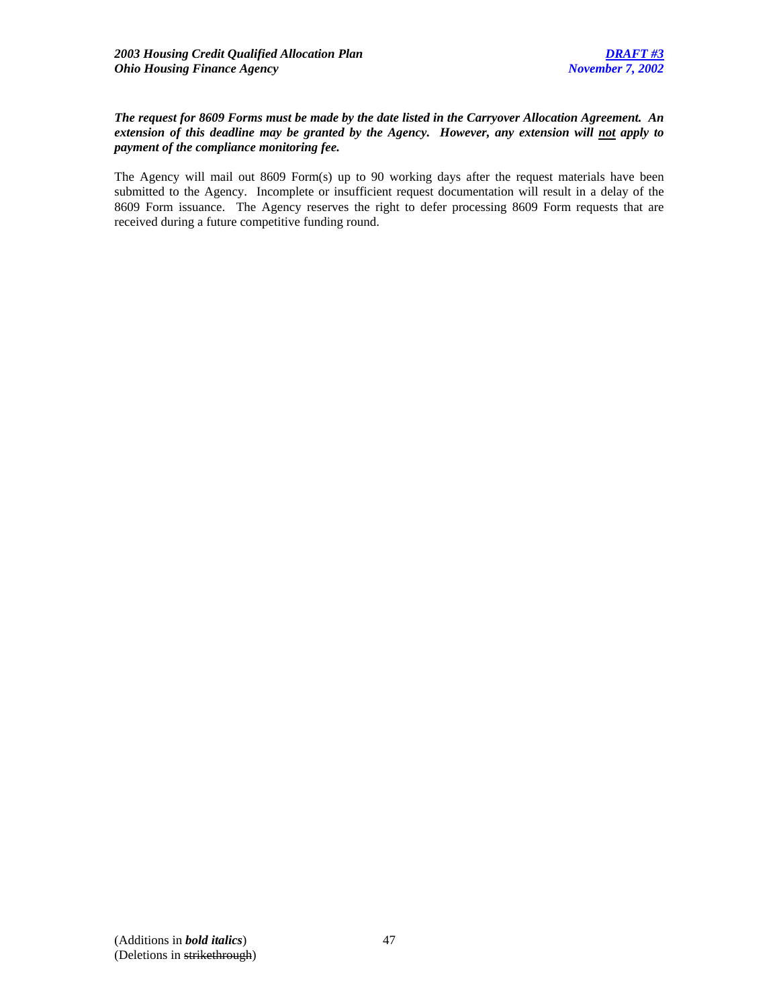### *The request for 8609 Forms must be made by the date listed in the Carryover Allocation Agreement. An extension of this deadline may be granted by the Agency. However, any extension will not apply to payment of the compliance monitoring fee.*

The Agency will mail out 8609 Form(s) up to 90 working days after the request materials have been submitted to the Agency. Incomplete or insufficient request documentation will result in a delay of the 8609 Form issuance. The Agency reserves the right to defer processing 8609 Form requests that are received during a future competitive funding round.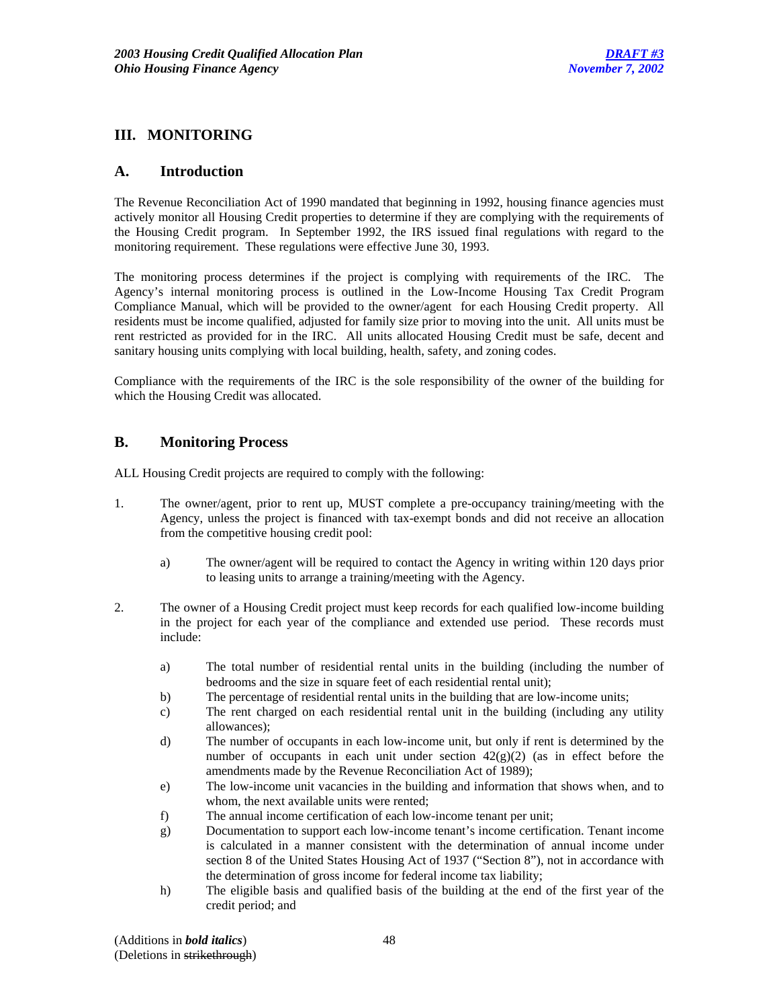## **III. MONITORING**

## **A. Introduction**

The Revenue Reconciliation Act of 1990 mandated that beginning in 1992, housing finance agencies must actively monitor all Housing Credit properties to determine if they are complying with the requirements of the Housing Credit program. In September 1992, the IRS issued final regulations with regard to the monitoring requirement. These regulations were effective June 30, 1993.

The monitoring process determines if the project is complying with requirements of the IRC. The Agency's internal monitoring process is outlined in the Low-Income Housing Tax Credit Program Compliance Manual, which will be provided to the owner/agent for each Housing Credit property. All residents must be income qualified, adjusted for family size prior to moving into the unit. All units must be rent restricted as provided for in the IRC. All units allocated Housing Credit must be safe, decent and sanitary housing units complying with local building, health, safety, and zoning codes.

Compliance with the requirements of the IRC is the sole responsibility of the owner of the building for which the Housing Credit was allocated.

## **B. Monitoring Process**

ALL Housing Credit projects are required to comply with the following:

- 1. The owner/agent, prior to rent up, MUST complete a pre-occupancy training/meeting with the Agency, unless the project is financed with tax-exempt bonds and did not receive an allocation from the competitive housing credit pool:
	- a) The owner/agent will be required to contact the Agency in writing within 120 days prior to leasing units to arrange a training/meeting with the Agency.
- 2. The owner of a Housing Credit project must keep records for each qualified low-income building in the project for each year of the compliance and extended use period. These records must include:
	- a) The total number of residential rental units in the building (including the number of bedrooms and the size in square feet of each residential rental unit);
	- b) The percentage of residential rental units in the building that are low-income units;
	- c) The rent charged on each residential rental unit in the building (including any utility allowances);
	- d) The number of occupants in each low-income unit, but only if rent is determined by the number of occupants in each unit under section  $42(g)(2)$  (as in effect before the amendments made by the Revenue Reconciliation Act of 1989);
	- e) The low-income unit vacancies in the building and information that shows when, and to whom, the next available units were rented;
	- f) The annual income certification of each low-income tenant per unit;
	- g) Documentation to support each low-income tenant's income certification. Tenant income is calculated in a manner consistent with the determination of annual income under section 8 of the United States Housing Act of 1937 ("Section 8"), not in accordance with the determination of gross income for federal income tax liability;
	- h) The eligible basis and qualified basis of the building at the end of the first year of the credit period; and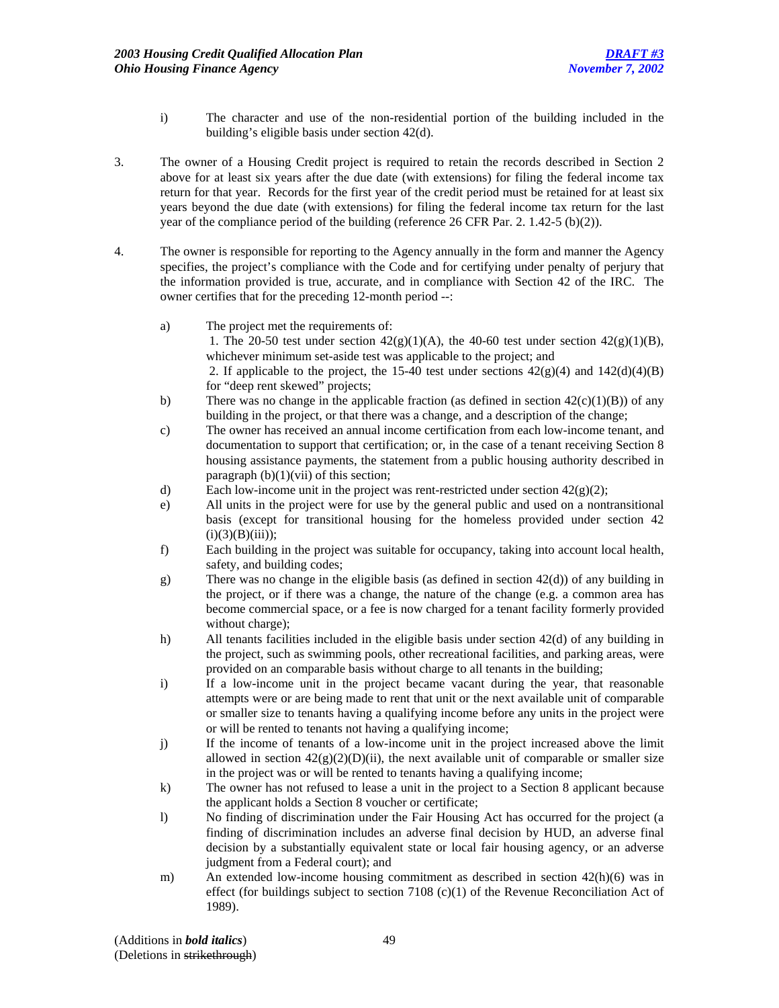- i) The character and use of the non-residential portion of the building included in the building's eligible basis under section 42(d).
- 3. The owner of a Housing Credit project is required to retain the records described in Section 2 above for at least six years after the due date (with extensions) for filing the federal income tax return for that year. Records for the first year of the credit period must be retained for at least six years beyond the due date (with extensions) for filing the federal income tax return for the last year of the compliance period of the building (reference 26 CFR Par. 2. 1.42-5 (b)(2)).
- 4. The owner is responsible for reporting to the Agency annually in the form and manner the Agency specifies, the project's compliance with the Code and for certifying under penalty of perjury that the information provided is true, accurate, and in compliance with Section 42 of the IRC. The owner certifies that for the preceding 12-month period --:
	- a) The project met the requirements of: 1. The 20-50 test under section  $42(g)(1)(A)$ , the 40-60 test under section  $42(g)(1)(B)$ , whichever minimum set-aside test was applicable to the project; and 2. If applicable to the project, the 15-40 test under sections  $42(g)(4)$  and  $142(d)(4)(B)$ for "deep rent skewed" projects;
	- b) There was no change in the applicable fraction (as defined in section  $42(c)(1)(B)$ ) of any building in the project, or that there was a change, and a description of the change;
	- c) The owner has received an annual income certification from each low-income tenant, and documentation to support that certification; or, in the case of a tenant receiving Section 8 housing assistance payments, the statement from a public housing authority described in paragraph  $(b)(1)(vii)$  of this section;
	- d) Each low-income unit in the project was rent-restricted under section  $42(g)(2)$ ;
	- e) All units in the project were for use by the general public and used on a nontransitional basis (except for transitional housing for the homeless provided under section 42  $(i)(3)(B)(iii)$ ;
	- f) Each building in the project was suitable for occupancy, taking into account local health, safety, and building codes;
	- g) There was no change in the eligible basis (as defined in section 42(d)) of any building in the project, or if there was a change, the nature of the change (e.g. a common area has become commercial space, or a fee is now charged for a tenant facility formerly provided without charge);
	- h) All tenants facilities included in the eligible basis under section 42(d) of any building in the project, such as swimming pools, other recreational facilities, and parking areas, were provided on an comparable basis without charge to all tenants in the building;
	- i) If a low-income unit in the project became vacant during the year, that reasonable attempts were or are being made to rent that unit or the next available unit of comparable or smaller size to tenants having a qualifying income before any units in the project were or will be rented to tenants not having a qualifying income;
	- j) If the income of tenants of a low-income unit in the project increased above the limit allowed in section  $42(g)(2)(D)(ii)$ , the next available unit of comparable or smaller size in the project was or will be rented to tenants having a qualifying income;
	- k) The owner has not refused to lease a unit in the project to a Section 8 applicant because the applicant holds a Section 8 voucher or certificate;
	- l) No finding of discrimination under the Fair Housing Act has occurred for the project (a finding of discrimination includes an adverse final decision by HUD, an adverse final decision by a substantially equivalent state or local fair housing agency, or an adverse judgment from a Federal court); and
	- m) An extended low-income housing commitment as described in section 42(h)(6) was in effect (for buildings subject to section 7108  $(c)(1)$  of the Revenue Reconciliation Act of 1989).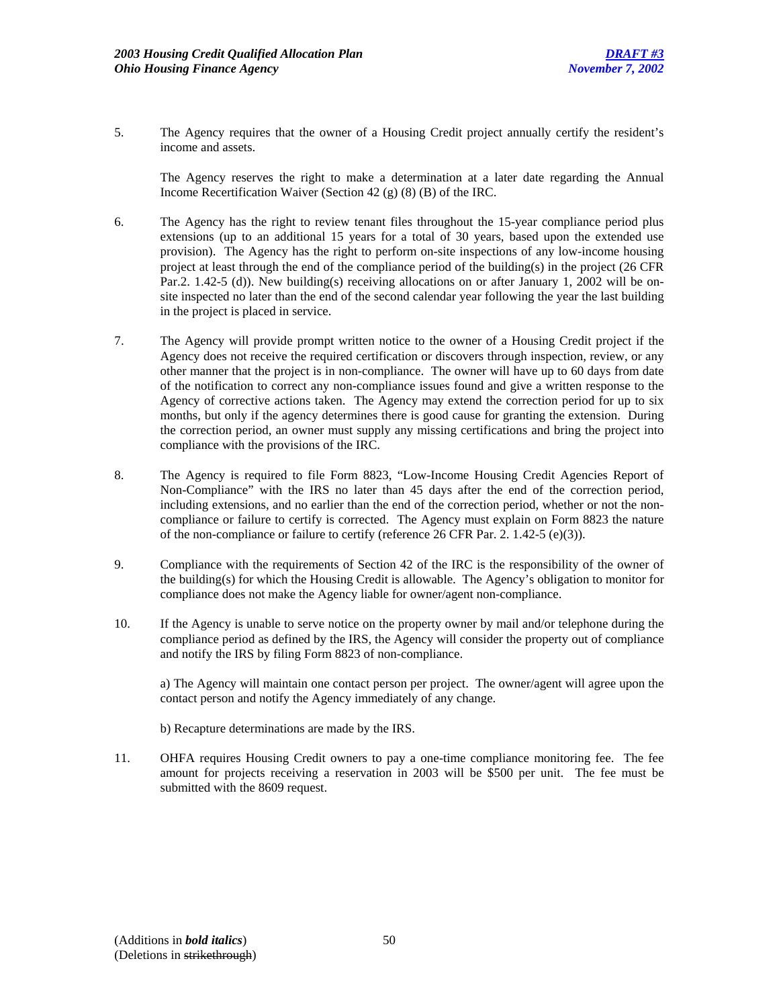5. The Agency requires that the owner of a Housing Credit project annually certify the resident's income and assets.

 The Agency reserves the right to make a determination at a later date regarding the Annual Income Recertification Waiver (Section 42 (g) (8) (B) of the IRC.

- 6. The Agency has the right to review tenant files throughout the 15-year compliance period plus extensions (up to an additional 15 years for a total of 30 years, based upon the extended use provision). The Agency has the right to perform on-site inspections of any low-income housing project at least through the end of the compliance period of the building(s) in the project (26 CFR Par.2. 1.42-5 (d)). New building(s) receiving allocations on or after January 1, 2002 will be onsite inspected no later than the end of the second calendar year following the year the last building in the project is placed in service.
- 7. The Agency will provide prompt written notice to the owner of a Housing Credit project if the Agency does not receive the required certification or discovers through inspection, review, or any other manner that the project is in non-compliance. The owner will have up to 60 days from date of the notification to correct any non-compliance issues found and give a written response to the Agency of corrective actions taken. The Agency may extend the correction period for up to six months, but only if the agency determines there is good cause for granting the extension. During the correction period, an owner must supply any missing certifications and bring the project into compliance with the provisions of the IRC.
- 8. The Agency is required to file Form 8823, "Low-Income Housing Credit Agencies Report of Non-Compliance" with the IRS no later than 45 days after the end of the correction period, including extensions, and no earlier than the end of the correction period, whether or not the noncompliance or failure to certify is corrected. The Agency must explain on Form 8823 the nature of the non-compliance or failure to certify (reference 26 CFR Par. 2. 1.42-5 (e)(3)).
- 9. Compliance with the requirements of Section 42 of the IRC is the responsibility of the owner of the building(s) for which the Housing Credit is allowable. The Agency's obligation to monitor for compliance does not make the Agency liable for owner/agent non-compliance.
- 10. If the Agency is unable to serve notice on the property owner by mail and/or telephone during the compliance period as defined by the IRS, the Agency will consider the property out of compliance and notify the IRS by filing Form 8823 of non-compliance.

 a) The Agency will maintain one contact person per project. The owner/agent will agree upon the contact person and notify the Agency immediately of any change.

- b) Recapture determinations are made by the IRS.
- 11. OHFA requires Housing Credit owners to pay a one-time compliance monitoring fee. The fee amount for projects receiving a reservation in 2003 will be \$500 per unit. The fee must be submitted with the 8609 request.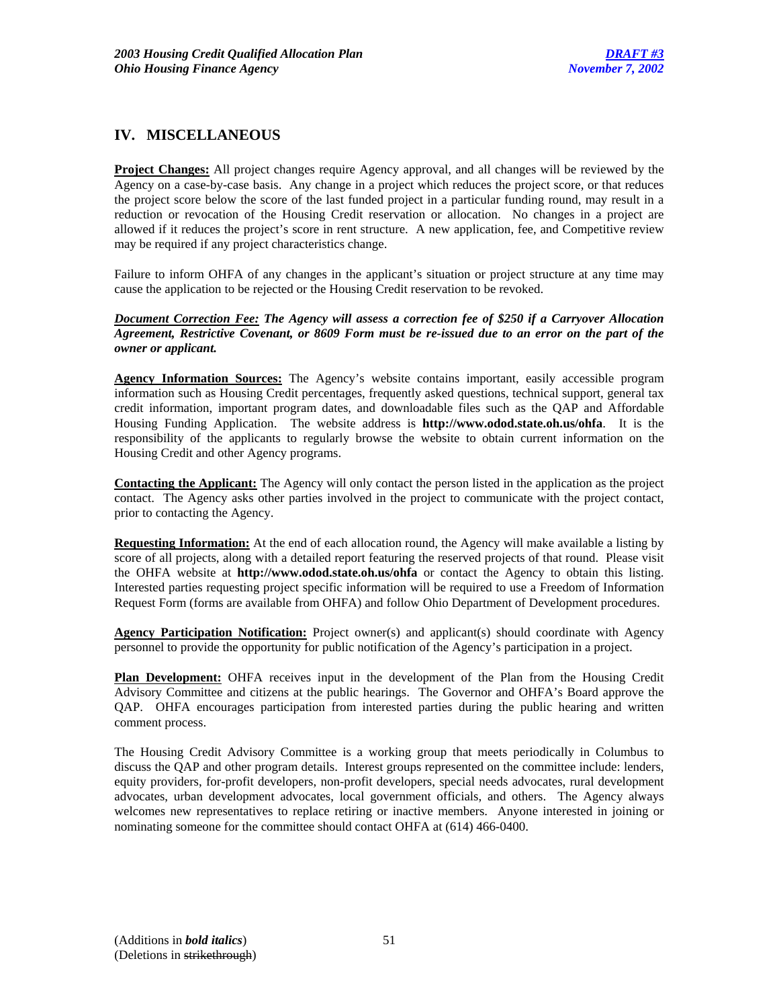## **IV. MISCELLANEOUS**

**Project Changes:** All project changes require Agency approval, and all changes will be reviewed by the Agency on a case-by-case basis. Any change in a project which reduces the project score, or that reduces the project score below the score of the last funded project in a particular funding round, may result in a reduction or revocation of the Housing Credit reservation or allocation. No changes in a project are allowed if it reduces the project's score in rent structure. A new application, fee, and Competitive review may be required if any project characteristics change.

Failure to inform OHFA of any changes in the applicant's situation or project structure at any time may cause the application to be rejected or the Housing Credit reservation to be revoked.

*Document Correction Fee: The Agency will assess a correction fee of \$250 if a Carryover Allocation Agreement, Restrictive Covenant, or 8609 Form must be re-issued due to an error on the part of the owner or applicant.* 

**Agency Information Sources:** The Agency's website contains important, easily accessible program information such as Housing Credit percentages, frequently asked questions, technical support, general tax credit information, important program dates, and downloadable files such as the QAP and Affordable Housing Funding Application. The website address is **http://www.odod.state.oh.us/ohfa**. It is the responsibility of the applicants to regularly browse the website to obtain current information on the Housing Credit and other Agency programs.

**Contacting the Applicant:** The Agency will only contact the person listed in the application as the project contact. The Agency asks other parties involved in the project to communicate with the project contact, prior to contacting the Agency.

**Requesting Information:** At the end of each allocation round, the Agency will make available a listing by score of all projects, along with a detailed report featuring the reserved projects of that round. Please visit the OHFA website at **http://www.odod.state.oh.us/ohfa** or contact the Agency to obtain this listing. Interested parties requesting project specific information will be required to use a Freedom of Information Request Form (forms are available from OHFA) and follow Ohio Department of Development procedures.

**Agency Participation Notification:** Project owner(s) and applicant(s) should coordinate with Agency personnel to provide the opportunity for public notification of the Agency's participation in a project.

**Plan Development:** OHFA receives input in the development of the Plan from the Housing Credit Advisory Committee and citizens at the public hearings. The Governor and OHFA's Board approve the QAP. OHFA encourages participation from interested parties during the public hearing and written comment process.

The Housing Credit Advisory Committee is a working group that meets periodically in Columbus to discuss the QAP and other program details. Interest groups represented on the committee include: lenders, equity providers, for-profit developers, non-profit developers, special needs advocates, rural development advocates, urban development advocates, local government officials, and others. The Agency always welcomes new representatives to replace retiring or inactive members. Anyone interested in joining or nominating someone for the committee should contact OHFA at (614) 466-0400.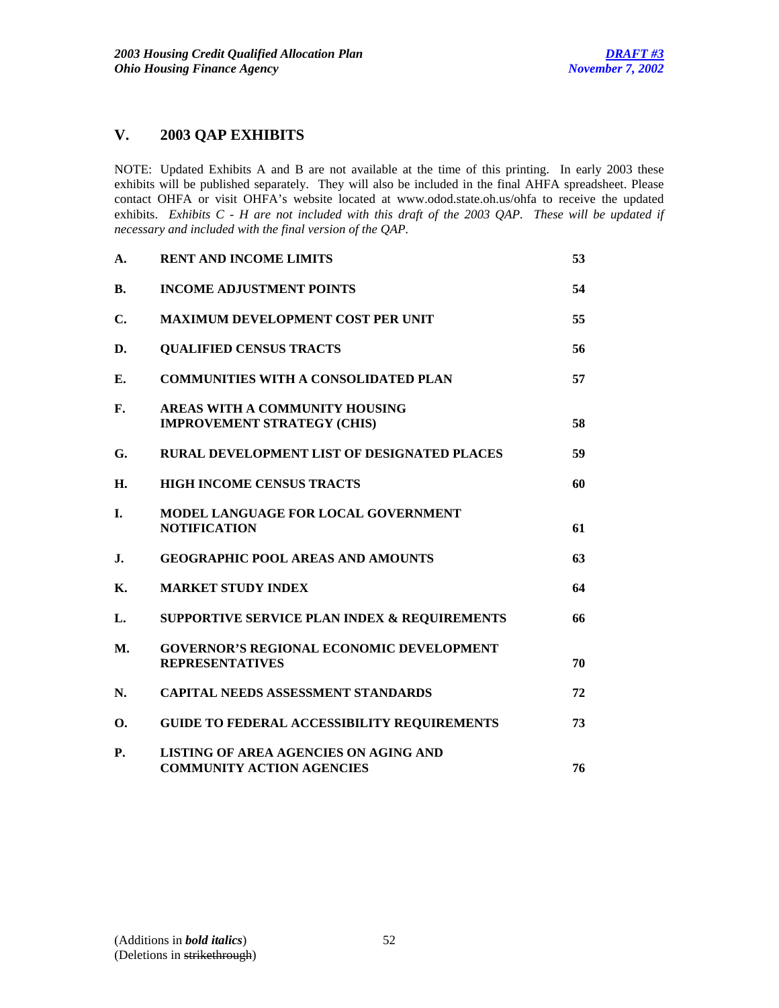## **V. 2003 QAP EXHIBITS**

NOTE: Updated Exhibits A and B are not available at the time of this printing. In early 2003 these exhibits will be published separately. They will also be included in the final AHFA spreadsheet. Please contact OHFA or visit OHFA's website located at www.odod.state.oh.us/ohfa to receive the updated exhibits. *Exhibits C - H are not included with this draft of the 2003 QAP. These will be updated if necessary and included with the final version of the QAP.*

| А.             | <b>RENT AND INCOME LIMITS</b>                                                    | 53 |
|----------------|----------------------------------------------------------------------------------|----|
| В.             | <b>INCOME ADJUSTMENT POINTS</b>                                                  | 54 |
| С.             | <b>MAXIMUM DEVELOPMENT COST PER UNIT</b>                                         | 55 |
| D.             | <b>QUALIFIED CENSUS TRACTS</b>                                                   | 56 |
| E.             | <b>COMMUNITIES WITH A CONSOLIDATED PLAN</b>                                      | 57 |
| F.             | AREAS WITH A COMMUNITY HOUSING<br><b>IMPROVEMENT STRATEGY (CHIS)</b>             | 58 |
| G.             | <b>RURAL DEVELOPMENT LIST OF DESIGNATED PLACES</b>                               | 59 |
| Н.             | <b>HIGH INCOME CENSUS TRACTS</b>                                                 | 60 |
| L.             | MODEL LANGUAGE FOR LOCAL GOVERNMENT<br><b>NOTIFICATION</b>                       | 61 |
| $\mathbf{J}$ . | <b>GEOGRAPHIC POOL AREAS AND AMOUNTS</b>                                         | 63 |
| <b>K.</b>      | <b>MARKET STUDY INDEX</b>                                                        | 64 |
| L.             | SUPPORTIVE SERVICE PLAN INDEX & REQUIREMENTS                                     | 66 |
| <b>M.</b>      | <b>GOVERNOR'S REGIONAL ECONOMIC DEVELOPMENT</b><br><b>REPRESENTATIVES</b>        | 70 |
| N.             | <b>CAPITAL NEEDS ASSESSMENT STANDARDS</b>                                        | 72 |
| 0.             | <b>GUIDE TO FEDERAL ACCESSIBILITY REQUIREMENTS</b>                               | 73 |
| <b>P.</b>      | <b>LISTING OF AREA AGENCIES ON AGING AND</b><br><b>COMMUNITY ACTION AGENCIES</b> | 76 |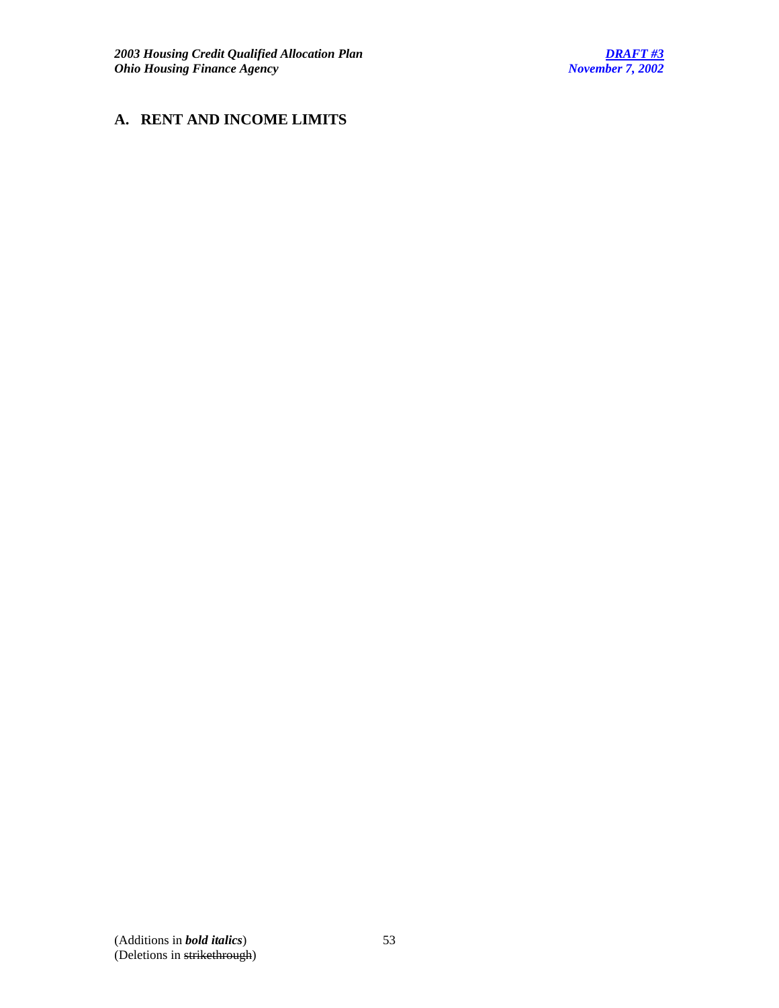# **A. RENT AND INCOME LIMITS**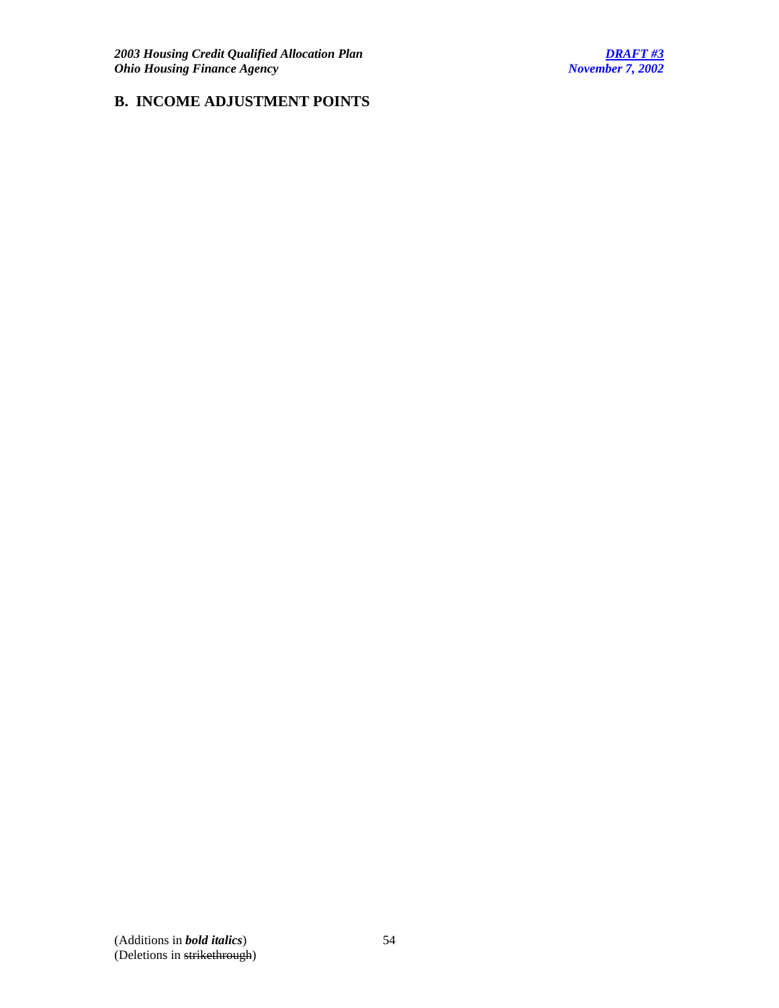# **B. INCOME ADJUSTMENT POINTS**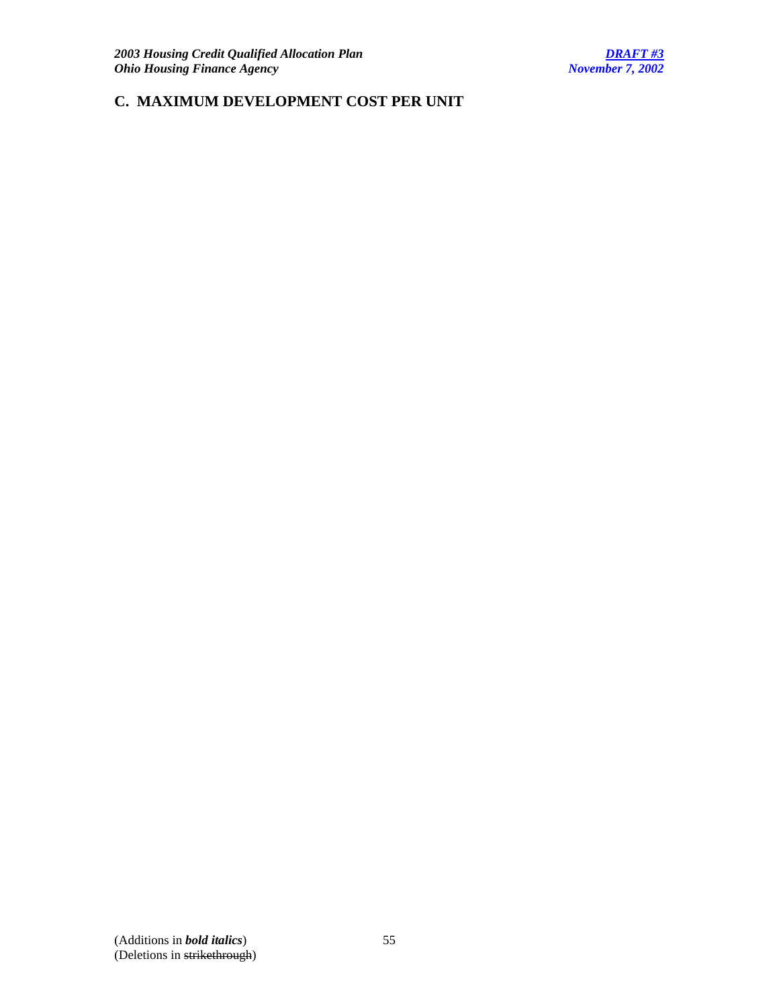# **C. MAXIMUM DEVELOPMENT COST PER UNIT**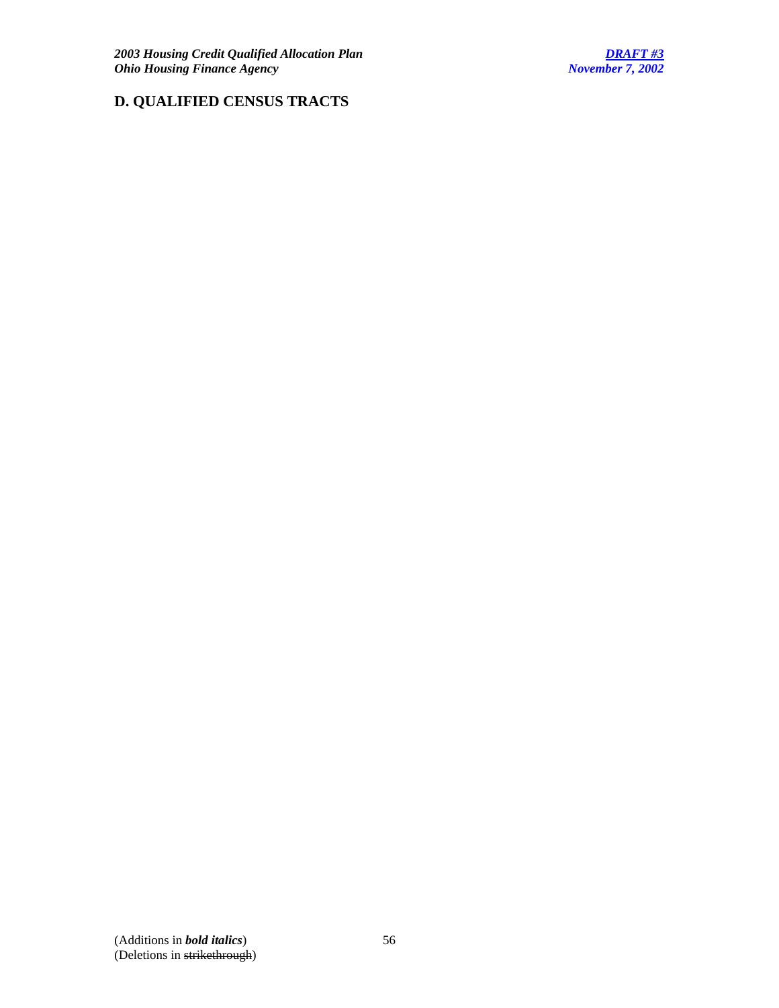# **D. QUALIFIED CENSUS TRACTS**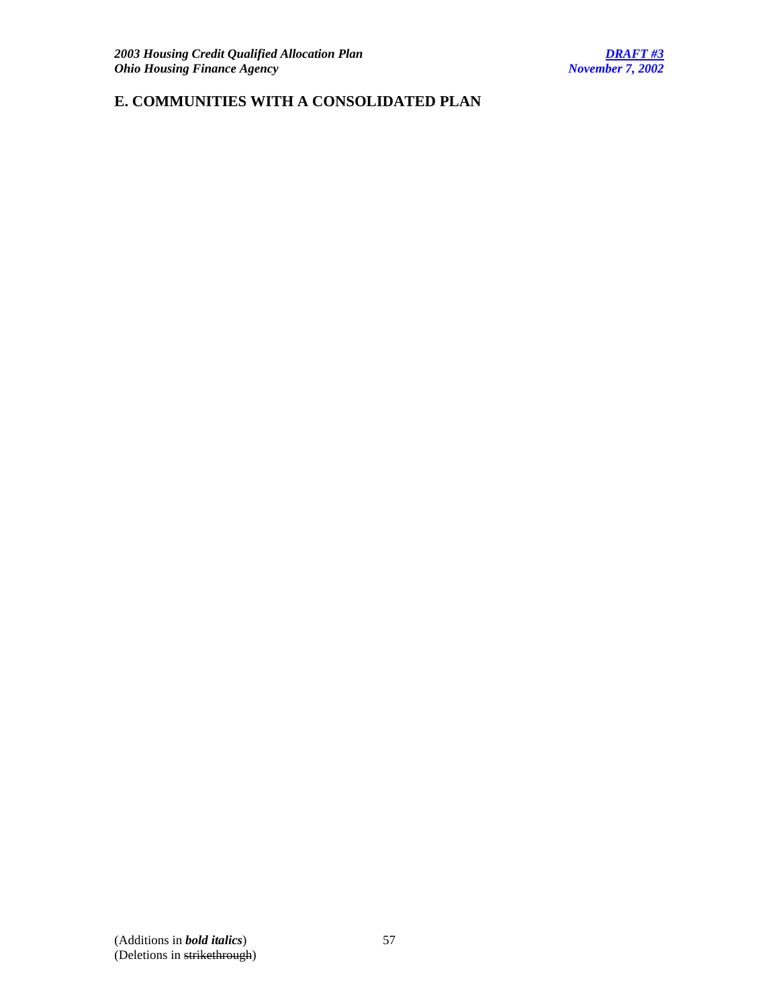# **E. COMMUNITIES WITH A CONSOLIDATED PLAN**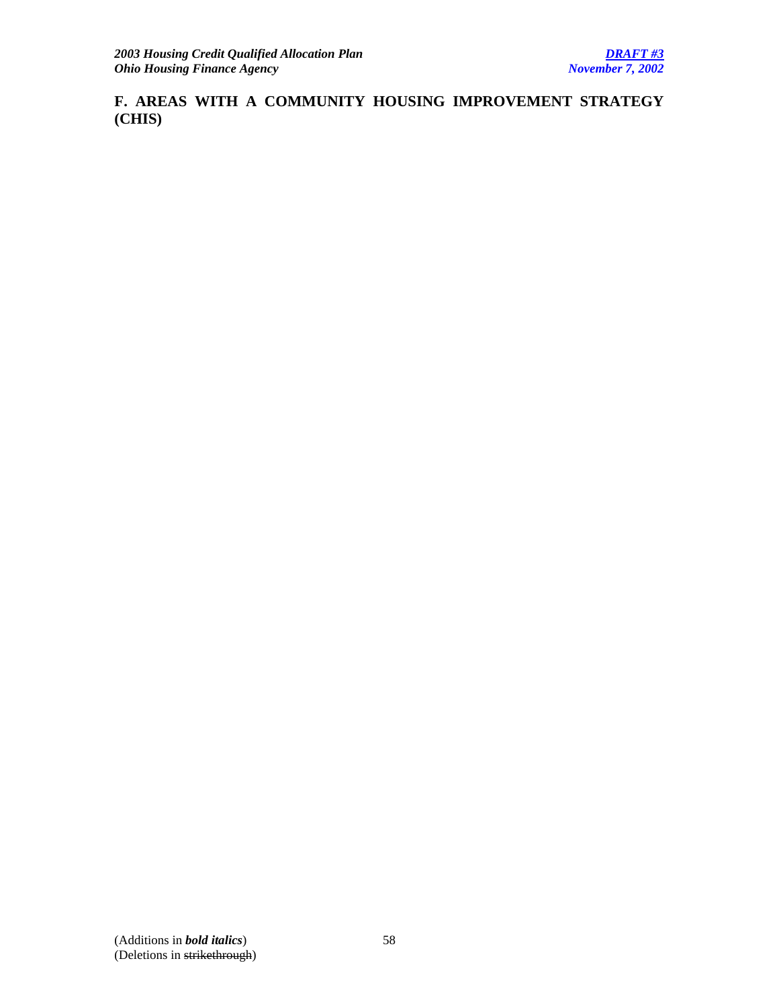**F. AREAS WITH A COMMUNITY HOUSING IMPROVEMENT STRATEGY (CHIS)**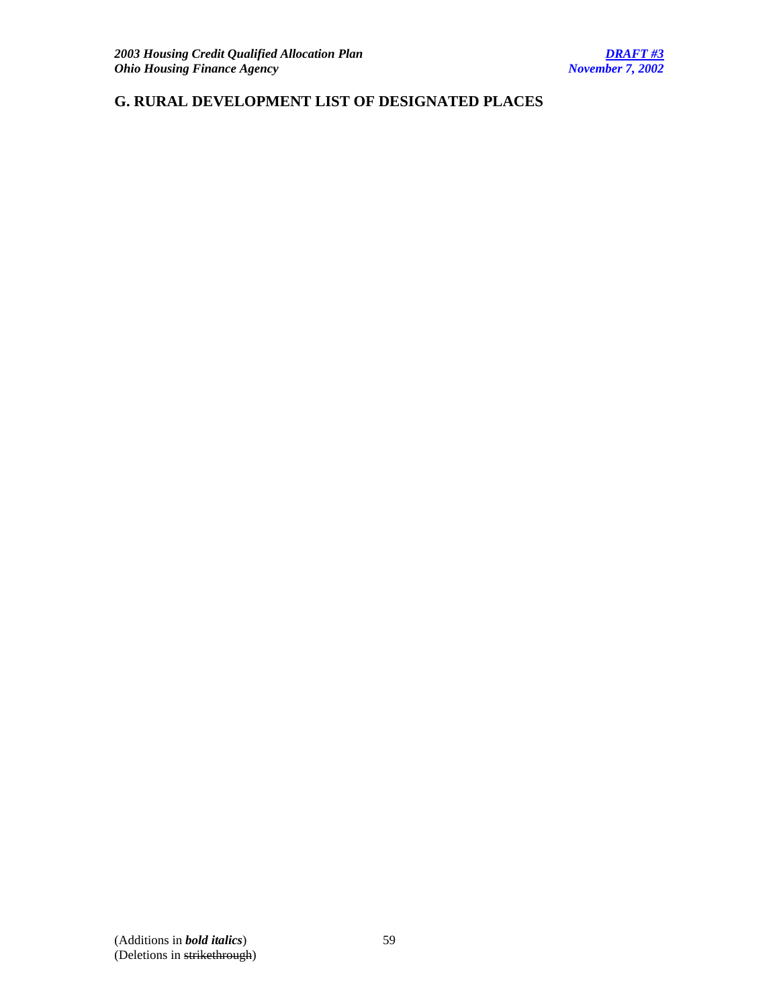# **G. RURAL DEVELOPMENT LIST OF DESIGNATED PLACES**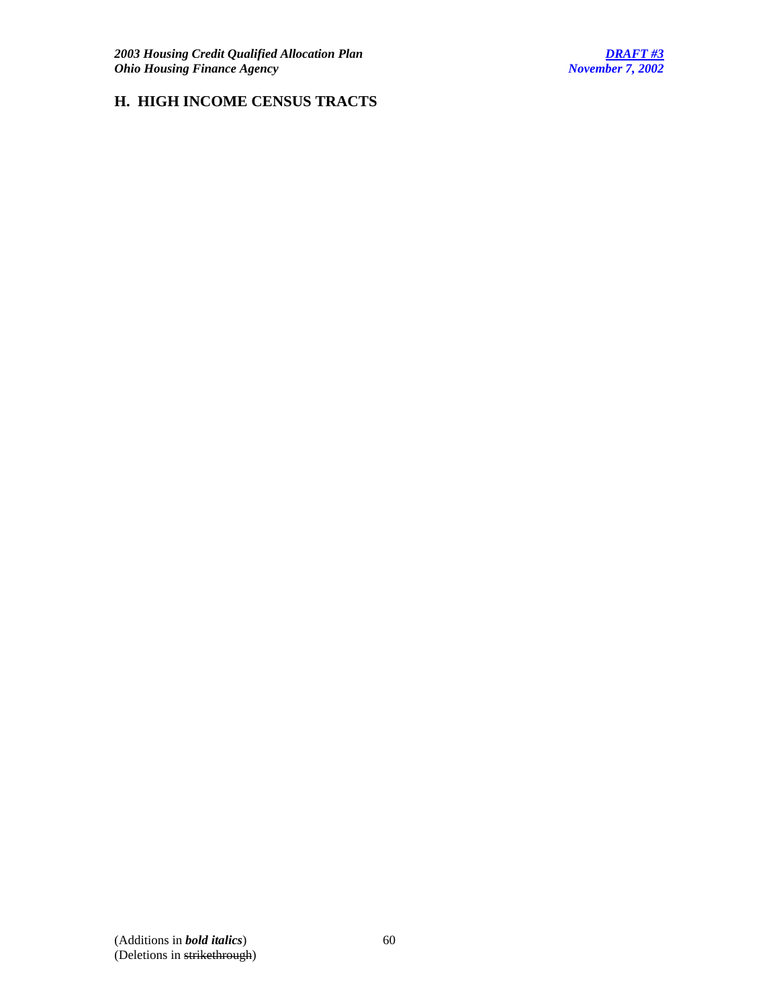# **H. HIGH INCOME CENSUS TRACTS**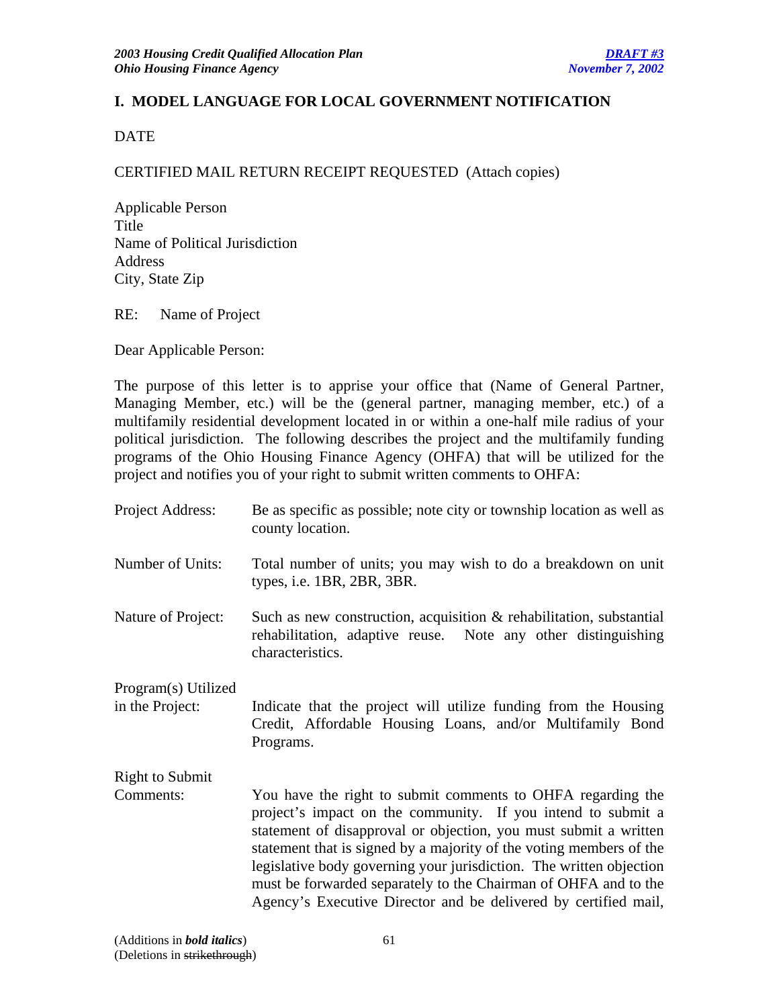# **I. MODEL LANGUAGE FOR LOCAL GOVERNMENT NOTIFICATION**

DATE

## CERTIFIED MAIL RETURN RECEIPT REQUESTED (Attach copies)

Applicable Person Title Name of Political Jurisdiction Address City, State Zip

RE: Name of Project

Dear Applicable Person:

The purpose of this letter is to apprise your office that (Name of General Partner, Managing Member, etc.) will be the (general partner, managing member, etc.) of a multifamily residential development located in or within a one-half mile radius of your political jurisdiction. The following describes the project and the multifamily funding programs of the Ohio Housing Finance Agency (OHFA) that will be utilized for the project and notifies you of your right to submit written comments to OHFA:

| Project Address:                       | Be as specific as possible; note city or township location as well as<br>county location.                                                                                                                                                                                                                                                                                                                                                                                           |
|----------------------------------------|-------------------------------------------------------------------------------------------------------------------------------------------------------------------------------------------------------------------------------------------------------------------------------------------------------------------------------------------------------------------------------------------------------------------------------------------------------------------------------------|
| Number of Units:                       | Total number of units; you may wish to do a breakdown on unit<br>types, i.e. 1BR, 2BR, 3BR.                                                                                                                                                                                                                                                                                                                                                                                         |
| Nature of Project:                     | Such as new construction, acquisition $\&$ rehabilitation, substantial<br>rehabilitation, adaptive reuse. Note any other distinguishing<br>characteristics.                                                                                                                                                                                                                                                                                                                         |
| Program(s) Utilized<br>in the Project: | Indicate that the project will utilize funding from the Housing<br>Credit, Affordable Housing Loans, and/or Multifamily Bond<br>Programs.                                                                                                                                                                                                                                                                                                                                           |
| <b>Right to Submit</b>                 |                                                                                                                                                                                                                                                                                                                                                                                                                                                                                     |
| Comments:                              | You have the right to submit comments to OHFA regarding the<br>project's impact on the community. If you intend to submit a<br>statement of disapproval or objection, you must submit a written<br>statement that is signed by a majority of the voting members of the<br>legislative body governing your jurisdiction. The written objection<br>must be forwarded separately to the Chairman of OHFA and to the<br>Agency's Executive Director and be delivered by certified mail, |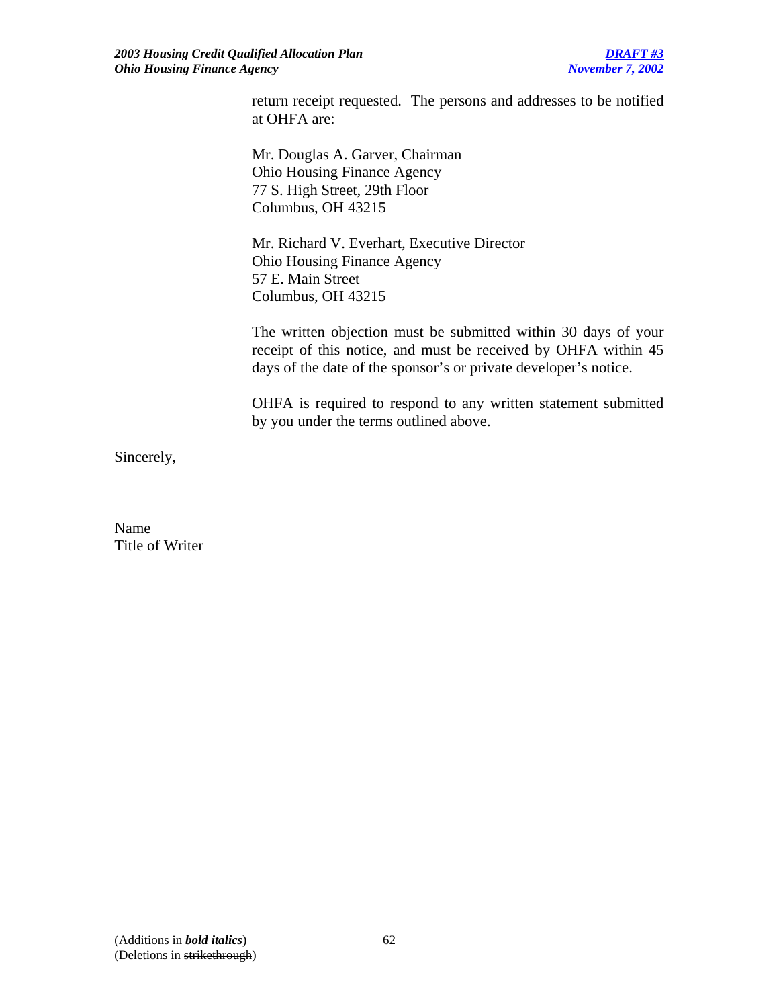return receipt requested. The persons and addresses to be notified at OHFA are:

Mr. Douglas A. Garver, Chairman Ohio Housing Finance Agency 77 S. High Street, 29th Floor Columbus, OH 43215

 Mr. Richard V. Everhart, Executive Director Ohio Housing Finance Agency 57 E. Main Street Columbus, OH 43215

The written objection must be submitted within 30 days of your receipt of this notice, and must be received by OHFA within 45 days of the date of the sponsor's or private developer's notice.

OHFA is required to respond to any written statement submitted by you under the terms outlined above.

Sincerely,

Name Title of Writer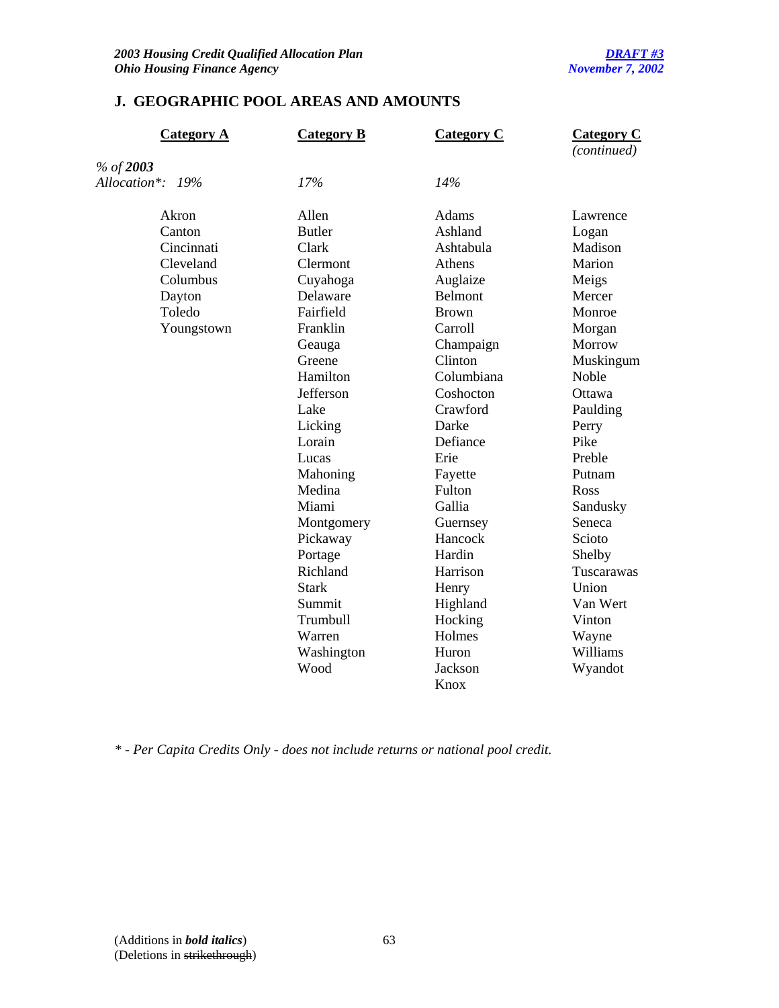# **J. GEOGRAPHIC POOL AREAS AND AMOUNTS**

| <b>Category A</b> | <b>Category B</b> | <b>Category C</b> | <b>Category C</b><br>(continued) |
|-------------------|-------------------|-------------------|----------------------------------|
| % of 2003         |                   |                   |                                  |
| Allocation*: 19%  | 17%               | 14%               |                                  |
| Akron             | Allen             | Adams             | Lawrence                         |
| Canton            | <b>Butler</b>     | Ashland           | Logan                            |
| Cincinnati        | Clark             | Ashtabula         | Madison                          |
| Cleveland         | Clermont          | Athens            | Marion                           |
| Columbus          | Cuyahoga          | Auglaize          | Meigs                            |
| Dayton            | Delaware          | Belmont           | Mercer                           |
| Toledo            | Fairfield         | <b>Brown</b>      | Monroe                           |
| Youngstown        | Franklin          | Carroll           | Morgan                           |
|                   | Geauga            | Champaign         | Morrow                           |
|                   | Greene            | Clinton           | Muskingum                        |
|                   | Hamilton          | Columbiana        | Noble                            |
|                   | Jefferson         | Coshocton         | Ottawa                           |
|                   | Lake              | Crawford          | Paulding                         |
|                   | Licking           | Darke             | Perry                            |
|                   | Lorain            | Defiance          | Pike                             |
|                   | Lucas             | Erie              | Preble                           |
|                   | Mahoning          | Fayette           | Putnam                           |
|                   | Medina            | Fulton            | Ross                             |
|                   | Miami             | Gallia            | Sandusky                         |
|                   | Montgomery        | Guernsey          | Seneca                           |
|                   | Pickaway          | Hancock           | Scioto                           |
|                   | Portage           | Hardin            | Shelby                           |
|                   | Richland          | Harrison          | Tuscarawas                       |
|                   | <b>Stark</b>      | Henry             | Union                            |
|                   | Summit            | Highland          | Van Wert                         |
|                   | Trumbull          | Hocking           | Vinton                           |
|                   | Warren            | Holmes            | Wayne                            |
|                   | Washington        | Huron             | Williams                         |
|                   | Wood              | Jackson           | Wyandot                          |
|                   |                   | Knox              |                                  |

*\* - Per Capita Credits Only - does not include returns or national pool credit.*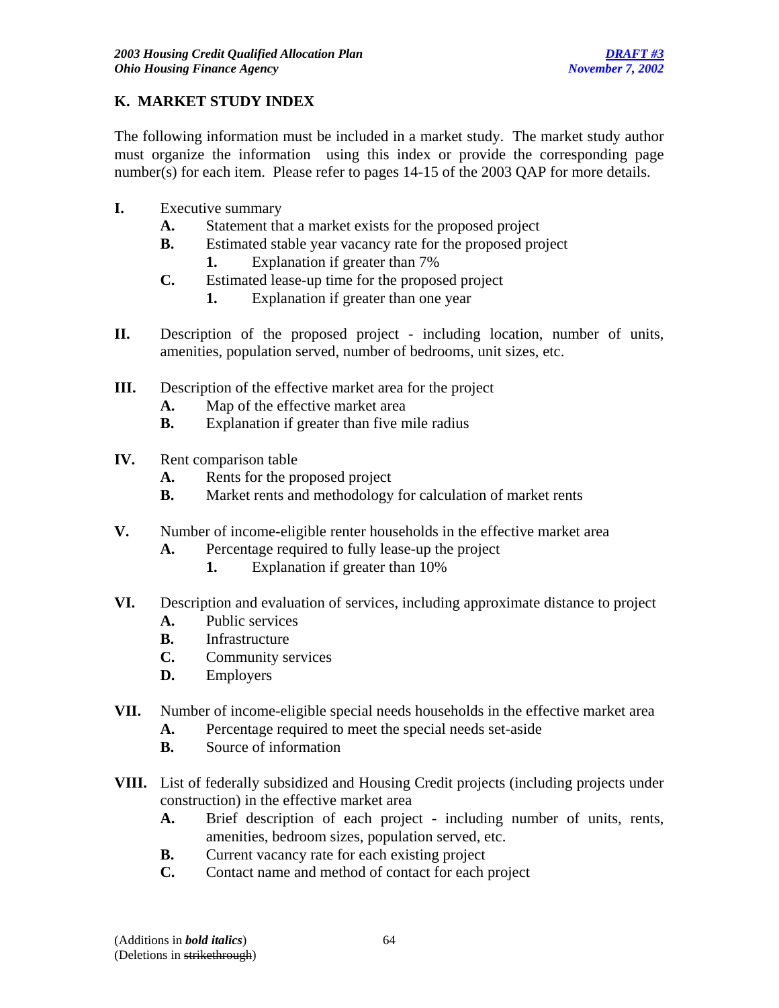# **K. MARKET STUDY INDEX**

The following information must be included in a market study. The market study author must organize the information using this index or provide the corresponding page number(s) for each item. Please refer to pages 14-15 of the 2003 QAP for more details.

- **I.** Executive summary
	- **A.** Statement that a market exists for the proposed project
	- **B.** Estimated stable year vacancy rate for the proposed project
		- **1.** Explanation if greater than 7%
	- **C.** Estimated lease-up time for the proposed project
		- **1.** Explanation if greater than one year
- **II.** Description of the proposed project including location, number of units, amenities, population served, number of bedrooms, unit sizes, etc.
- **III.** Description of the effective market area for the project
	- **A.** Map of the effective market area
	- **B.** Explanation if greater than five mile radius
- **IV.** Rent comparison table
	- **A.** Rents for the proposed project
	- **B.** Market rents and methodology for calculation of market rents
- **V.** Number of income-eligible renter households in the effective market area
	- **A.** Percentage required to fully lease-up the project
		- **1.** Explanation if greater than 10%
- **VI.** Description and evaluation of services, including approximate distance to project
	- **A.** Public services
	- **B.** Infrastructure
	- **C.** Community services
	- **D.** Employers
- **VII.** Number of income-eligible special needs households in the effective market area
	- **A.** Percentage required to meet the special needs set-aside
	- **B.** Source of information
- **VIII.** List of federally subsidized and Housing Credit projects (including projects under construction) in the effective market area
	- **A.** Brief description of each project including number of units, rents, amenities, bedroom sizes, population served, etc.
	- **B.** Current vacancy rate for each existing project
	- **C.** Contact name and method of contact for each project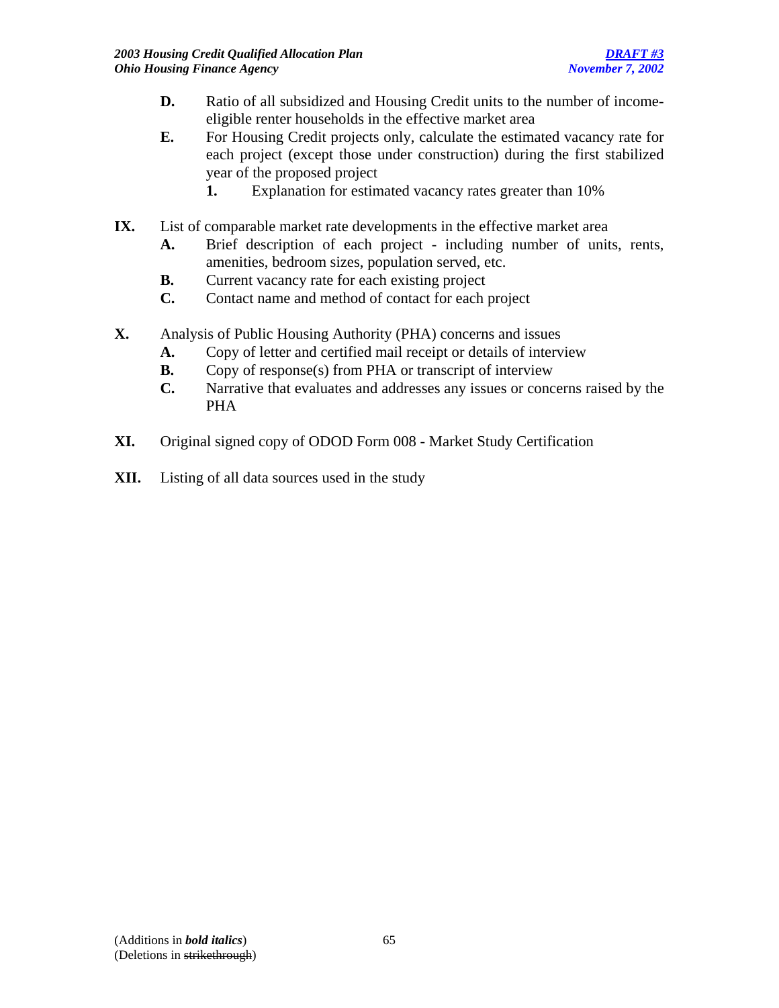- **D.** Ratio of all subsidized and Housing Credit units to the number of incomeeligible renter households in the effective market area
- **E.** For Housing Credit projects only, calculate the estimated vacancy rate for each project (except those under construction) during the first stabilized year of the proposed project
	- **1.** Explanation for estimated vacancy rates greater than 10%
- **IX.** List of comparable market rate developments in the effective market area
	- **A.** Brief description of each project including number of units, rents, amenities, bedroom sizes, population served, etc.
	- **B.** Current vacancy rate for each existing project
	- **C.** Contact name and method of contact for each project
- **X.** Analysis of Public Housing Authority (PHA) concerns and issues
	- **A.** Copy of letter and certified mail receipt or details of interview
	- **B.** Copy of response(s) from PHA or transcript of interview
	- **C.** Narrative that evaluates and addresses any issues or concerns raised by the PHA
- **XI.** Original signed copy of ODOD Form 008 Market Study Certification
- **XII.** Listing of all data sources used in the study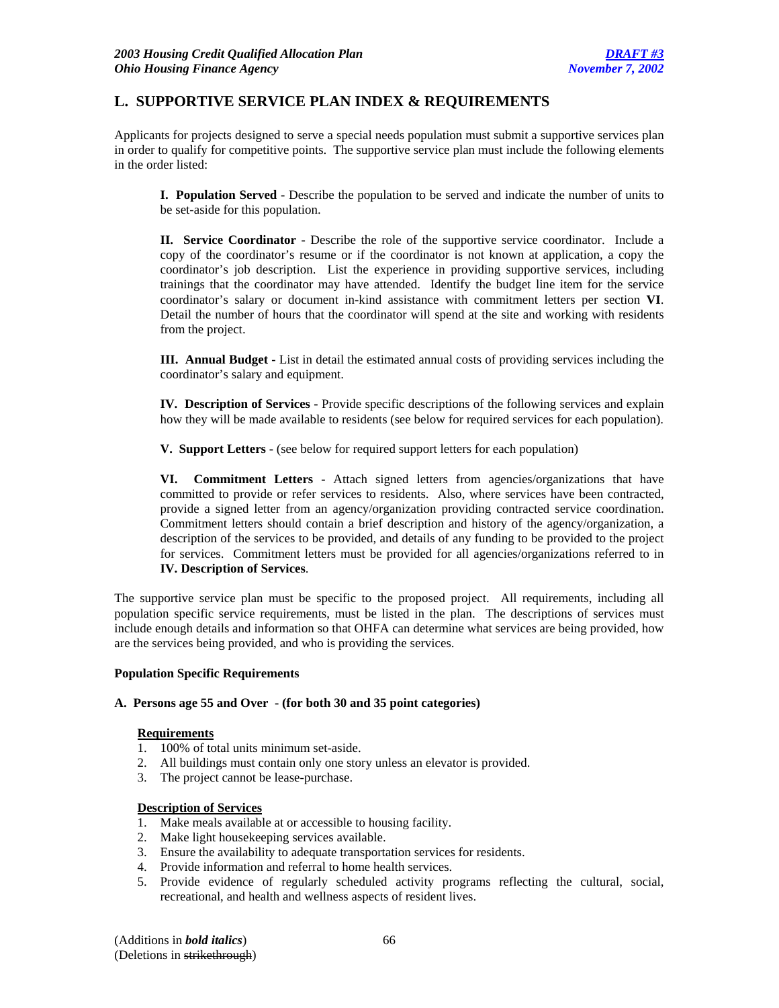## **L. SUPPORTIVE SERVICE PLAN INDEX & REQUIREMENTS**

Applicants for projects designed to serve a special needs population must submit a supportive services plan in order to qualify for competitive points. The supportive service plan must include the following elements in the order listed:

**I. Population Served -** Describe the population to be served and indicate the number of units to be set-aside for this population.

**II. Service Coordinator -** Describe the role of the supportive service coordinator. Include a copy of the coordinator's resume or if the coordinator is not known at application, a copy the coordinator's job description. List the experience in providing supportive services, including trainings that the coordinator may have attended. Identify the budget line item for the service coordinator's salary or document in-kind assistance with commitment letters per section **VI**. Detail the number of hours that the coordinator will spend at the site and working with residents from the project.

**III. Annual Budget -** List in detail the estimated annual costs of providing services including the coordinator's salary and equipment.

**IV. Description of Services -** Provide specific descriptions of the following services and explain how they will be made available to residents (see below for required services for each population).

**V. Support Letters -** (see below for required support letters for each population)

**VI. Commitment Letters -** Attach signed letters from agencies/organizations that have committed to provide or refer services to residents. Also, where services have been contracted, provide a signed letter from an agency/organization providing contracted service coordination. Commitment letters should contain a brief description and history of the agency/organization, a description of the services to be provided, and details of any funding to be provided to the project for services. Commitment letters must be provided for all agencies/organizations referred to in **IV. Description of Services**.

The supportive service plan must be specific to the proposed project. All requirements, including all population specific service requirements, must be listed in the plan. The descriptions of services must include enough details and information so that OHFA can determine what services are being provided, how are the services being provided, and who is providing the services.

#### **Population Specific Requirements**

#### **A. Persons age 55 and Over - (for both 30 and 35 point categories)**

#### **Requirements**

- 1. 100% of total units minimum set-aside.
- 2. All buildings must contain only one story unless an elevator is provided.
- 3. The project cannot be lease-purchase.

#### **Description of Services**

- 1. Make meals available at or accessible to housing facility.
- 2. Make light housekeeping services available.
- 3. Ensure the availability to adequate transportation services for residents.
- 4. Provide information and referral to home health services.
- 5. Provide evidence of regularly scheduled activity programs reflecting the cultural, social, recreational, and health and wellness aspects of resident lives.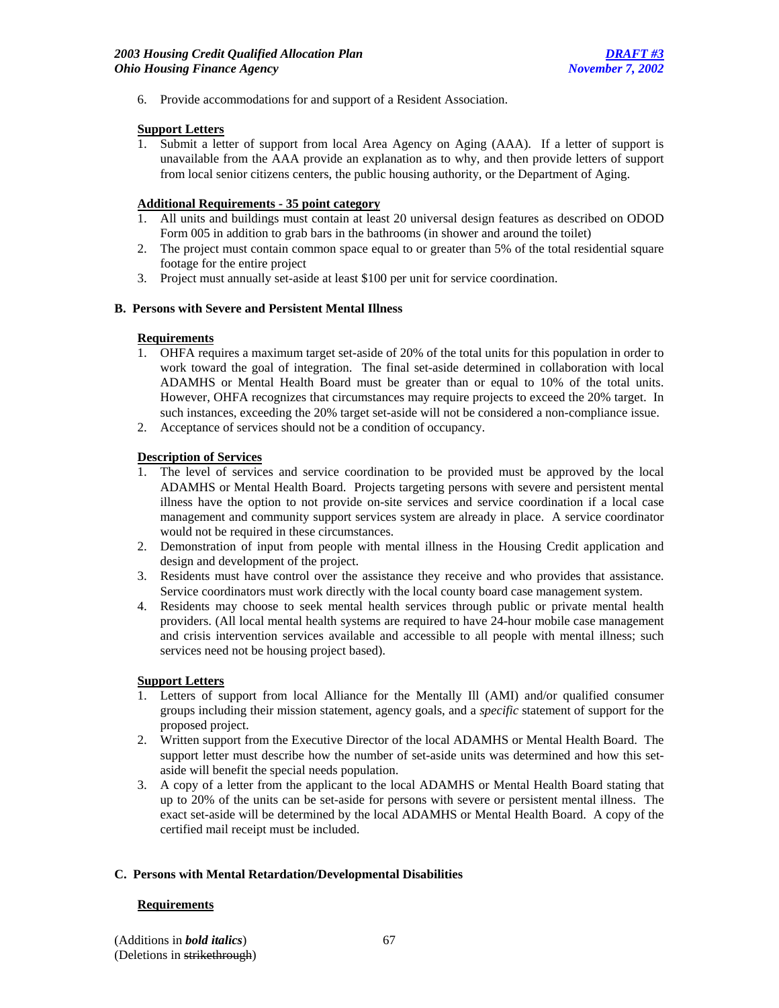6. Provide accommodations for and support of a Resident Association.

#### **Support Letters**

1. Submit a letter of support from local Area Agency on Aging (AAA). If a letter of support is unavailable from the AAA provide an explanation as to why, and then provide letters of support from local senior citizens centers, the public housing authority, or the Department of Aging.

### **Additional Requirements - 35 point category**

- 1. All units and buildings must contain at least 20 universal design features as described on ODOD Form 005 in addition to grab bars in the bathrooms (in shower and around the toilet)
- 2. The project must contain common space equal to or greater than 5% of the total residential square footage for the entire project
- 3. Project must annually set-aside at least \$100 per unit for service coordination.

#### **B. Persons with Severe and Persistent Mental Illness**

#### **Requirements**

- 1. OHFA requires a maximum target set-aside of 20% of the total units for this population in order to work toward the goal of integration. The final set-aside determined in collaboration with local ADAMHS or Mental Health Board must be greater than or equal to 10% of the total units. However, OHFA recognizes that circumstances may require projects to exceed the 20% target. In such instances, exceeding the 20% target set-aside will not be considered a non-compliance issue.
- 2. Acceptance of services should not be a condition of occupancy.

#### **Description of Services**

- 1. The level of services and service coordination to be provided must be approved by the local ADAMHS or Mental Health Board. Projects targeting persons with severe and persistent mental illness have the option to not provide on-site services and service coordination if a local case management and community support services system are already in place. A service coordinator would not be required in these circumstances.
- 2. Demonstration of input from people with mental illness in the Housing Credit application and design and development of the project.
- 3. Residents must have control over the assistance they receive and who provides that assistance. Service coordinators must work directly with the local county board case management system.
- 4. Residents may choose to seek mental health services through public or private mental health providers. (All local mental health systems are required to have 24-hour mobile case management and crisis intervention services available and accessible to all people with mental illness; such services need not be housing project based).

#### **Support Letters**

- 1. Letters of support from local Alliance for the Mentally Ill (AMI) and/or qualified consumer groups including their mission statement, agency goals, and a *specific* statement of support for the proposed project.
- 2. Written support from the Executive Director of the local ADAMHS or Mental Health Board. The support letter must describe how the number of set-aside units was determined and how this setaside will benefit the special needs population.
- 3. A copy of a letter from the applicant to the local ADAMHS or Mental Health Board stating that up to 20% of the units can be set-aside for persons with severe or persistent mental illness. The exact set-aside will be determined by the local ADAMHS or Mental Health Board. A copy of the certified mail receipt must be included.

#### **C. Persons with Mental Retardation/Developmental Disabilities**

#### **Requirements**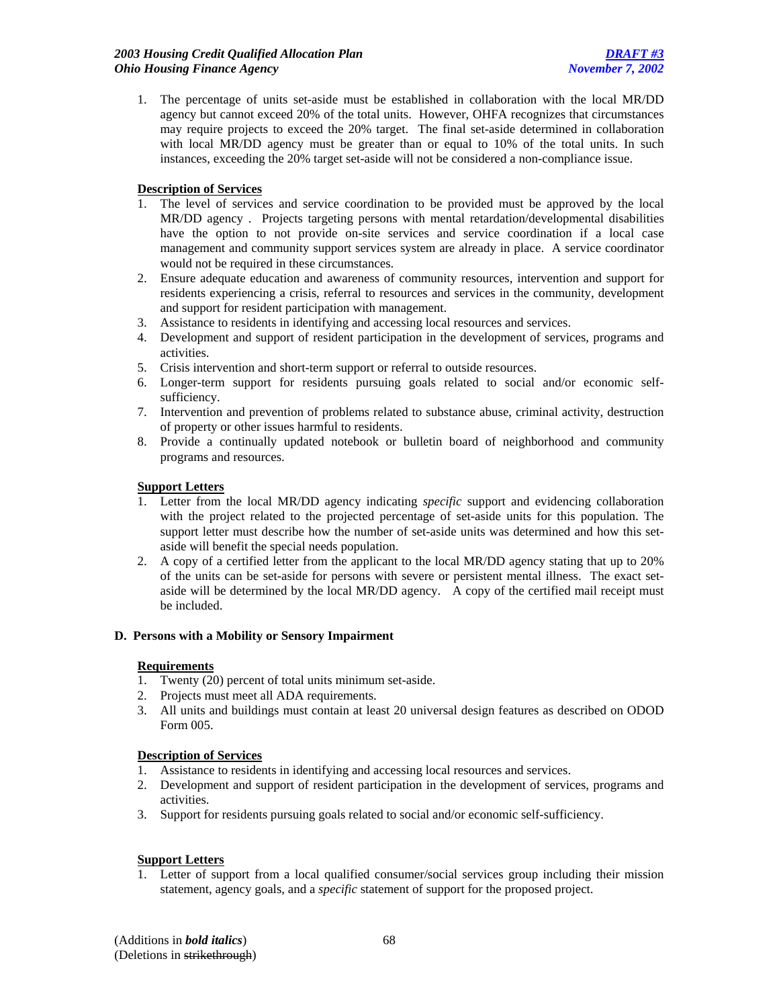1. The percentage of units set-aside must be established in collaboration with the local MR/DD agency but cannot exceed 20% of the total units. However, OHFA recognizes that circumstances may require projects to exceed the 20% target. The final set-aside determined in collaboration with local MR/DD agency must be greater than or equal to 10% of the total units. In such instances, exceeding the 20% target set-aside will not be considered a non-compliance issue.

## **Description of Services**

- 1. The level of services and service coordination to be provided must be approved by the local MR/DD agency . Projects targeting persons with mental retardation/developmental disabilities have the option to not provide on-site services and service coordination if a local case management and community support services system are already in place. A service coordinator would not be required in these circumstances.
- 2. Ensure adequate education and awareness of community resources, intervention and support for residents experiencing a crisis, referral to resources and services in the community, development and support for resident participation with management.
- 3. Assistance to residents in identifying and accessing local resources and services.
- 4. Development and support of resident participation in the development of services, programs and activities.
- 5. Crisis intervention and short-term support or referral to outside resources.
- 6. Longer-term support for residents pursuing goals related to social and/or economic selfsufficiency.
- 7. Intervention and prevention of problems related to substance abuse, criminal activity, destruction of property or other issues harmful to residents.
- 8. Provide a continually updated notebook or bulletin board of neighborhood and community programs and resources.

### **Support Letters**

- 1. Letter from the local MR/DD agency indicating *specific* support and evidencing collaboration with the project related to the projected percentage of set-aside units for this population. The support letter must describe how the number of set-aside units was determined and how this setaside will benefit the special needs population.
- 2. A copy of a certified letter from the applicant to the local MR/DD agency stating that up to 20% of the units can be set-aside for persons with severe or persistent mental illness. The exact setaside will be determined by the local MR/DD agency. A copy of the certified mail receipt must be included.

### **D. Persons with a Mobility or Sensory Impairment**

### **Requirements**

- 1. Twenty (20) percent of total units minimum set-aside.
- 2. Projects must meet all ADA requirements.
- 3. All units and buildings must contain at least 20 universal design features as described on ODOD Form 005.

### **Description of Services**

- 1. Assistance to residents in identifying and accessing local resources and services.
- 2. Development and support of resident participation in the development of services, programs and activities.
- 3. Support for residents pursuing goals related to social and/or economic self-sufficiency.

### **Support Letters**

1. Letter of support from a local qualified consumer/social services group including their mission statement, agency goals, and a *specific* statement of support for the proposed project.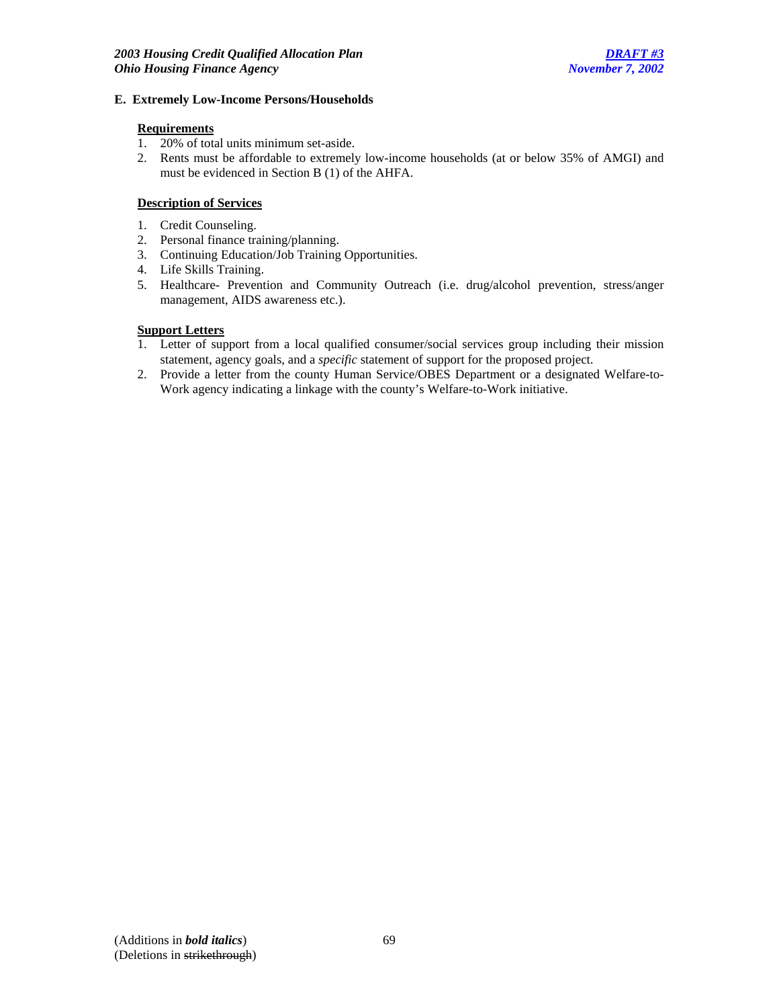#### **E. Extremely Low-Income Persons/Households**

### **Requirements**

- 1. 20% of total units minimum set-aside.
- 2. Rents must be affordable to extremely low-income households (at or below 35% of AMGI) and must be evidenced in Section B (1) of the AHFA.

## **Description of Services**

- 1. Credit Counseling.
- 2. Personal finance training/planning.
- 3. Continuing Education/Job Training Opportunities.
- 4. Life Skills Training.
- 5. Healthcare- Prevention and Community Outreach (i.e. drug/alcohol prevention, stress/anger management, AIDS awareness etc.).

### **Support Letters**

- 1. Letter of support from a local qualified consumer/social services group including their mission statement, agency goals, and a *specific* statement of support for the proposed project.
- 2. Provide a letter from the county Human Service/OBES Department or a designated Welfare-to-Work agency indicating a linkage with the county's Welfare-to-Work initiative.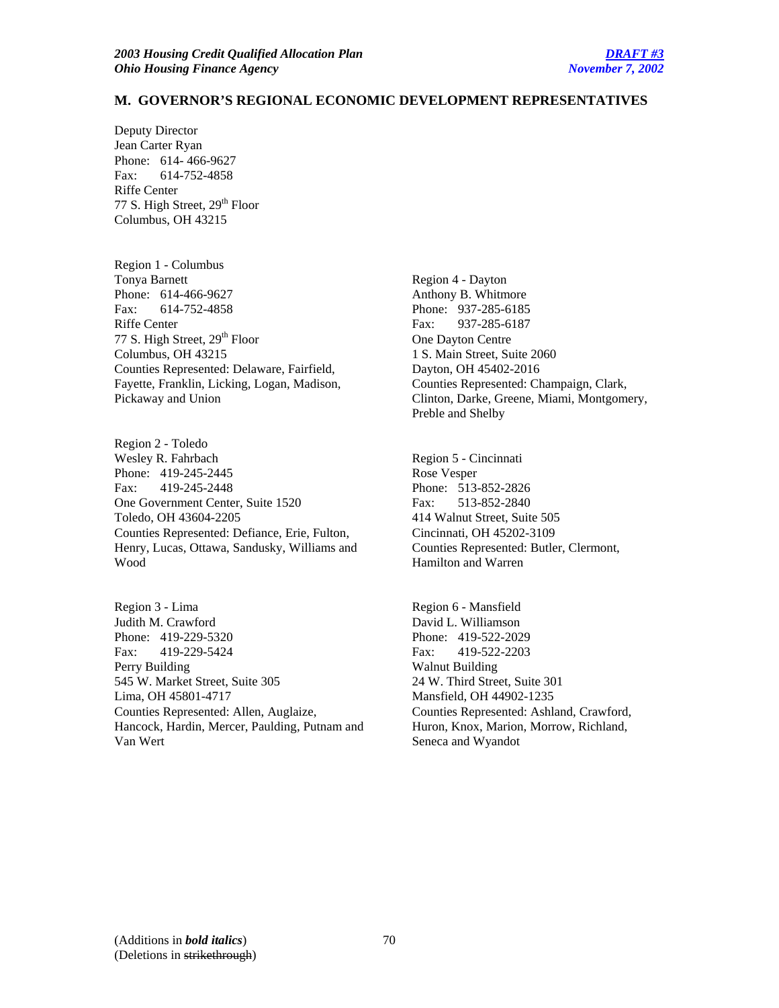#### **M. GOVERNOR'S REGIONAL ECONOMIC DEVELOPMENT REPRESENTATIVES**

Deputy Director Jean Carter Ryan Phone: 614- 466-9627 Fax: 614-752-4858 Riffe Center 77 S. High Street, 29<sup>th</sup> Floor Columbus, OH 43215

Region 1 - Columbus Tonya Barnett Phone: 614-466-9627 Fax: 614-752-4858 Riffe Center 77 S. High Street, 29<sup>th</sup> Floor Columbus, OH 43215 Counties Represented: Delaware, Fairfield, Fayette, Franklin, Licking, Logan, Madison, Pickaway and Union

Region 2 - Toledo Wesley R. Fahrbach Phone: 419-245-2445 Fax: 419-245-2448 One Government Center, Suite 1520 Toledo, OH 43604-2205 Counties Represented: Defiance, Erie, Fulton, Henry, Lucas, Ottawa, Sandusky, Williams and Wood

Region 3 - Lima Judith M. Crawford Phone: 419-229-5320 Fax: 419-229-5424 Perry Building 545 W. Market Street, Suite 305 Lima, OH 45801-4717 Counties Represented: Allen, Auglaize, Hancock, Hardin, Mercer, Paulding, Putnam and Van Wert

Region 4 - Dayton Anthony B. Whitmore Phone: 937-285-6185 Fax: 937-285-6187 One Dayton Centre 1 S. Main Street, Suite 2060 Dayton, OH 45402-2016 Counties Represented: Champaign, Clark, Clinton, Darke, Greene, Miami, Montgomery, Preble and Shelby

Region 5 - Cincinnati Rose Vesper Phone: 513-852-2826 Fax: 513-852-2840 414 Walnut Street, Suite 505 Cincinnati, OH 45202-3109 Counties Represented: Butler, Clermont, Hamilton and Warren

Region 6 - Mansfield David L. Williamson Phone: 419-522-2029 Fax: 419-522-2203 Walnut Building 24 W. Third Street, Suite 301 Mansfield, OH 44902-1235 Counties Represented: Ashland, Crawford, Huron, Knox, Marion, Morrow, Richland, Seneca and Wyandot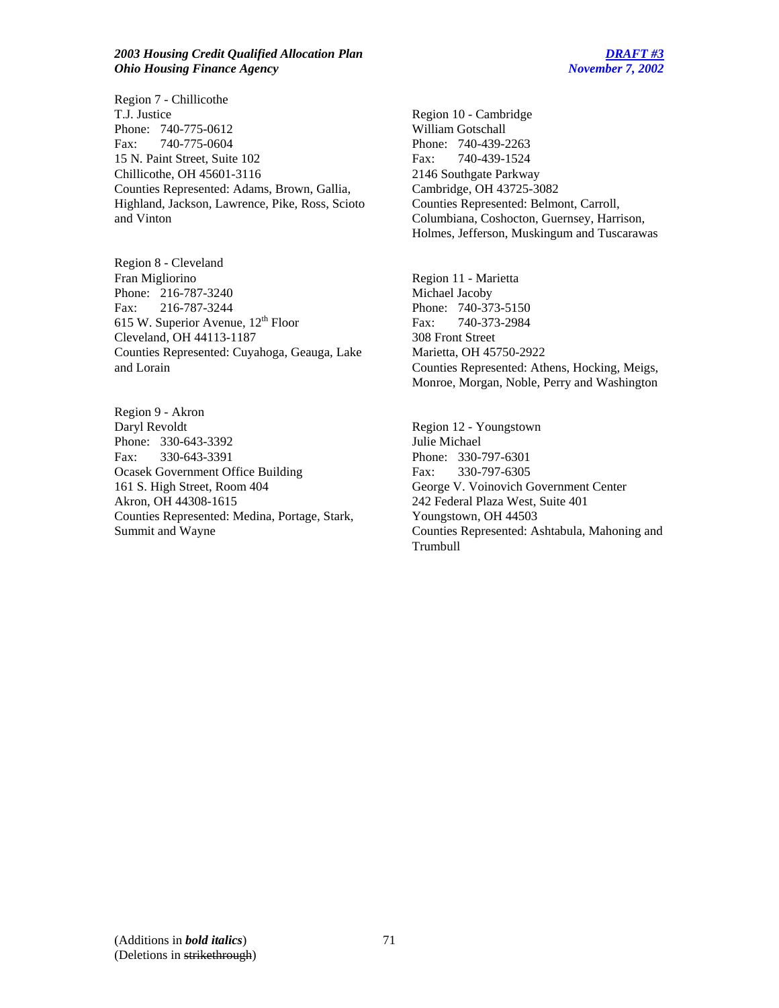#### *2003 Housing Credit Qualified Allocation Plan DRAFT #3 Ohio Housing Finance Agency November 7, 2002*

Region 7 - Chillicothe T.J. Justice Phone: 740-775-0612 Fax: 740-775-0604 15 N. Paint Street, Suite 102 Chillicothe, OH 45601-3116 Counties Represented: Adams, Brown, Gallia, Highland, Jackson, Lawrence, Pike, Ross, Scioto and Vinton

Region 8 - Cleveland Fran Migliorino Phone: 216-787-3240 Fax: 216-787-3244 615 W. Superior Avenue, 12<sup>th</sup> Floor Cleveland, OH 44113-1187 Counties Represented: Cuyahoga, Geauga, Lake and Lorain

Region 9 - Akron Daryl Revoldt Phone: 330-643-3392 Fax: 330-643-3391 Ocasek Government Office Building 161 S. High Street, Room 404 Akron, OH 44308-1615 Counties Represented: Medina, Portage, Stark, Summit and Wayne

Region 10 - Cambridge William Gotschall Phone: 740-439-2263 Fax: 740-439-1524 2146 Southgate Parkway Cambridge, OH 43725-3082 Counties Represented: Belmont, Carroll, Columbiana, Coshocton, Guernsey, Harrison, Holmes, Jefferson, Muskingum and Tuscarawas

Region 11 - Marietta Michael Jacoby Phone: 740-373-5150 Fax: 740-373-2984 308 Front Street Marietta, OH 45750-2922 Counties Represented: Athens, Hocking, Meigs, Monroe, Morgan, Noble, Perry and Washington

Region 12 - Youngstown Julie Michael Phone: 330-797-6301 Fax: 330-797-6305 George V. Voinovich Government Center 242 Federal Plaza West, Suite 401 Youngstown, OH 44503 Counties Represented: Ashtabula, Mahoning and Trumbull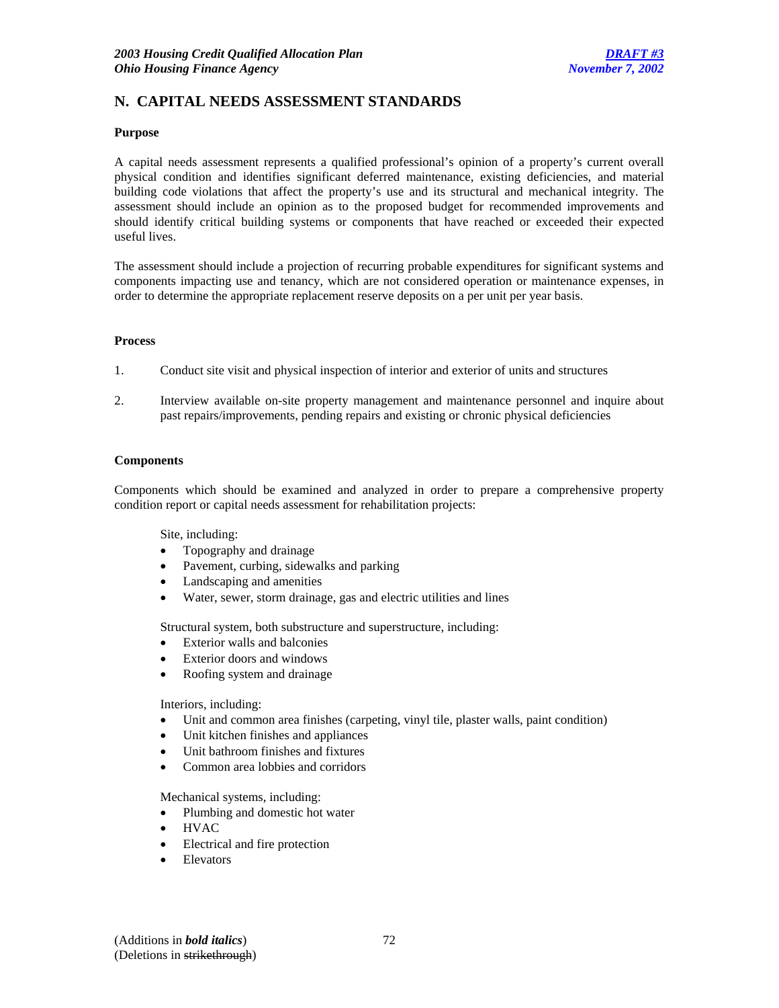## **N. CAPITAL NEEDS ASSESSMENT STANDARDS**

#### **Purpose**

A capital needs assessment represents a qualified professional's opinion of a property's current overall physical condition and identifies significant deferred maintenance, existing deficiencies, and material building code violations that affect the property's use and its structural and mechanical integrity. The assessment should include an opinion as to the proposed budget for recommended improvements and should identify critical building systems or components that have reached or exceeded their expected useful lives.

The assessment should include a projection of recurring probable expenditures for significant systems and components impacting use and tenancy, which are not considered operation or maintenance expenses, in order to determine the appropriate replacement reserve deposits on a per unit per year basis.

#### **Process**

- 1. Conduct site visit and physical inspection of interior and exterior of units and structures
- 2. Interview available on-site property management and maintenance personnel and inquire about past repairs/improvements, pending repairs and existing or chronic physical deficiencies

#### **Components**

Components which should be examined and analyzed in order to prepare a comprehensive property condition report or capital needs assessment for rehabilitation projects:

Site, including:

- Topography and drainage
- Pavement, curbing, sidewalks and parking
- Landscaping and amenities
- Water, sewer, storm drainage, gas and electric utilities and lines

Structural system, both substructure and superstructure, including:

- Exterior walls and balconies
- Exterior doors and windows
- Roofing system and drainage

Interiors, including:

- Unit and common area finishes (carpeting, vinyl tile, plaster walls, paint condition)
- Unit kitchen finishes and appliances
- Unit bathroom finishes and fixtures
- Common area lobbies and corridors

Mechanical systems, including:

- Plumbing and domestic hot water
- HVAC
- Electrical and fire protection
- **Elevators**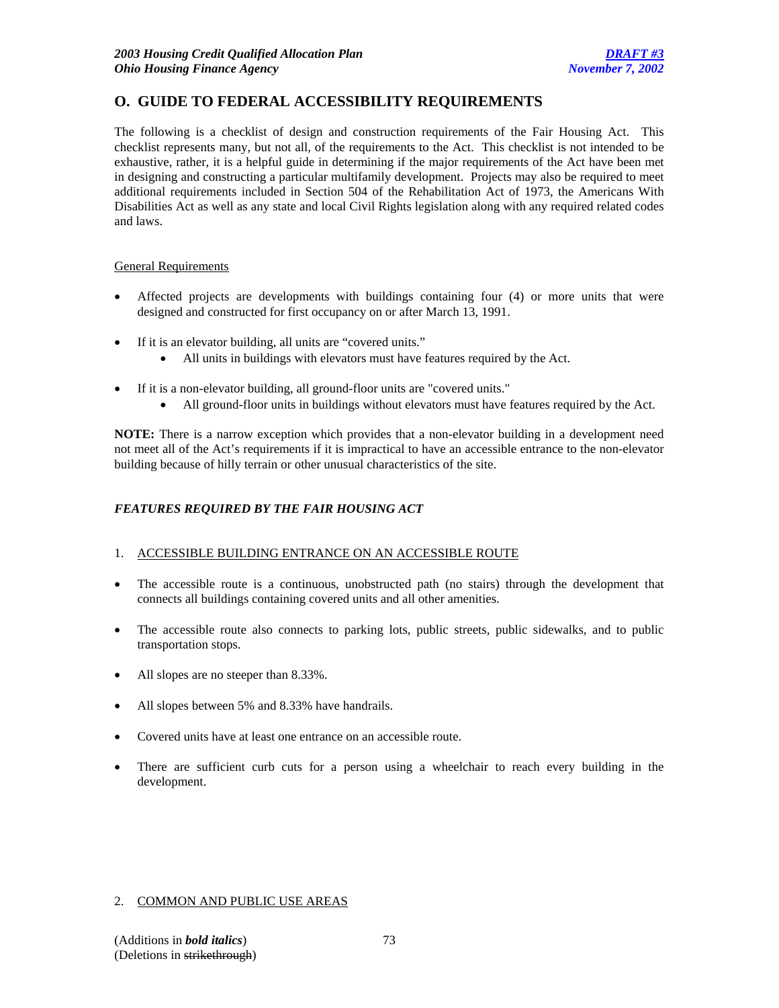# **O. GUIDE TO FEDERAL ACCESSIBILITY REQUIREMENTS**

The following is a checklist of design and construction requirements of the Fair Housing Act. This checklist represents many, but not all, of the requirements to the Act. This checklist is not intended to be exhaustive, rather, it is a helpful guide in determining if the major requirements of the Act have been met in designing and constructing a particular multifamily development. Projects may also be required to meet additional requirements included in Section 504 of the Rehabilitation Act of 1973, the Americans With Disabilities Act as well as any state and local Civil Rights legislation along with any required related codes and laws.

# General Requirements

- Affected projects are developments with buildings containing four (4) or more units that were designed and constructed for first occupancy on or after March 13, 1991.
- If it is an elevator building, all units are "covered units."
	- All units in buildings with elevators must have features required by the Act.
- If it is a non-elevator building, all ground-floor units are "covered units."
	- All ground-floor units in buildings without elevators must have features required by the Act.

**NOTE:** There is a narrow exception which provides that a non-elevator building in a development need not meet all of the Act's requirements if it is impractical to have an accessible entrance to the non-elevator building because of hilly terrain or other unusual characteristics of the site.

# *FEATURES REQUIRED BY THE FAIR HOUSING ACT*

## 1. ACCESSIBLE BUILDING ENTRANCE ON AN ACCESSIBLE ROUTE

- The accessible route is a continuous, unobstructed path (no stairs) through the development that connects all buildings containing covered units and all other amenities.
- The accessible route also connects to parking lots, public streets, public sidewalks, and to public transportation stops.
- All slopes are no steeper than 8.33%.
- All slopes between 5% and 8.33% have handrails.
- Covered units have at least one entrance on an accessible route.
- There are sufficient curb cuts for a person using a wheelchair to reach every building in the development.

## 2. COMMON AND PUBLIC USE AREAS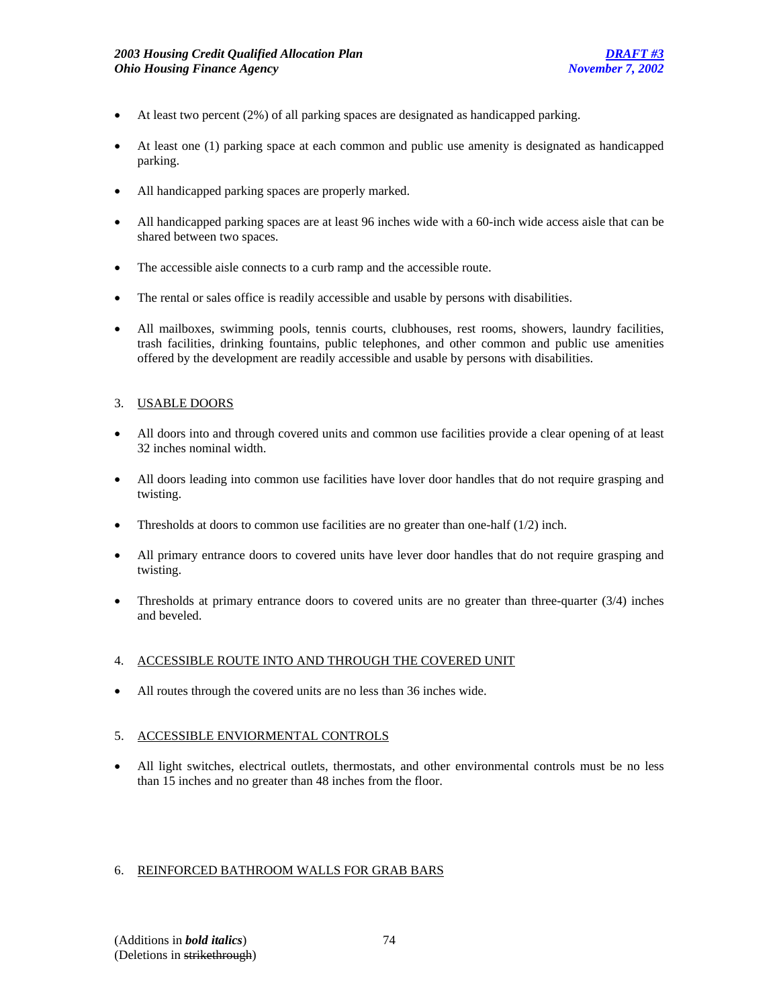- At least two percent (2%) of all parking spaces are designated as handicapped parking.
- At least one (1) parking space at each common and public use amenity is designated as handicapped parking.
- All handicapped parking spaces are properly marked.
- All handicapped parking spaces are at least 96 inches wide with a 60-inch wide access aisle that can be shared between two spaces.
- The accessible aisle connects to a curb ramp and the accessible route.
- The rental or sales office is readily accessible and usable by persons with disabilities.
- All mailboxes, swimming pools, tennis courts, clubhouses, rest rooms, showers, laundry facilities, trash facilities, drinking fountains, public telephones, and other common and public use amenities offered by the development are readily accessible and usable by persons with disabilities.

## 3. USABLE DOORS

- All doors into and through covered units and common use facilities provide a clear opening of at least 32 inches nominal width.
- All doors leading into common use facilities have lover door handles that do not require grasping and twisting.
- Thresholds at doors to common use facilities are no greater than one-half  $(1/2)$  inch.
- All primary entrance doors to covered units have lever door handles that do not require grasping and twisting.
- Thresholds at primary entrance doors to covered units are no greater than three-quarter  $(3/4)$  inches and beveled.

## 4. ACCESSIBLE ROUTE INTO AND THROUGH THE COVERED UNIT

• All routes through the covered units are no less than 36 inches wide.

# 5. ACCESSIBLE ENVIORMENTAL CONTROLS

• All light switches, electrical outlets, thermostats, and other environmental controls must be no less than 15 inches and no greater than 48 inches from the floor.

## 6. REINFORCED BATHROOM WALLS FOR GRAB BARS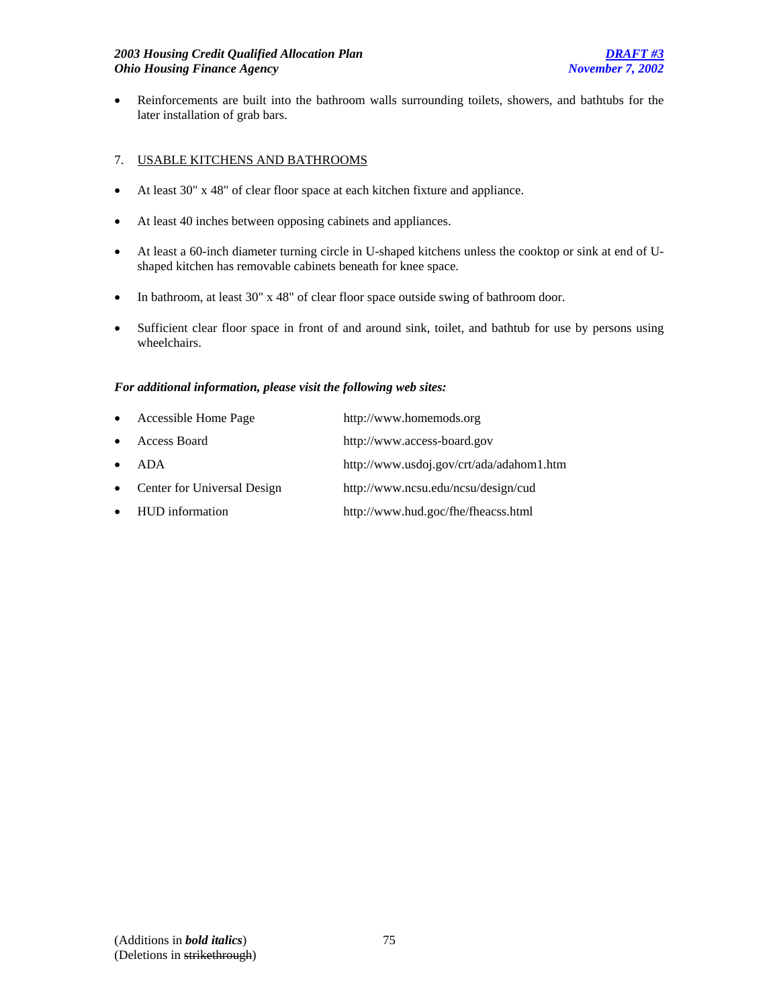• Reinforcements are built into the bathroom walls surrounding toilets, showers, and bathtubs for the later installation of grab bars.

# 7. USABLE KITCHENS AND BATHROOMS

- At least 30" x 48" of clear floor space at each kitchen fixture and appliance.
- At least 40 inches between opposing cabinets and appliances.
- At least a 60-inch diameter turning circle in U-shaped kitchens unless the cooktop or sink at end of Ushaped kitchen has removable cabinets beneath for knee space.
- In bathroom, at least 30" x 48" of clear floor space outside swing of bathroom door.
- Sufficient clear floor space in front of and around sink, toilet, and bathtub for use by persons using wheelchairs.

## *For additional information, please visit the following web sites:*

| $\bullet$ | Accessible Home Page        | http://www.homemods.org                  |
|-----------|-----------------------------|------------------------------------------|
| $\bullet$ | Access Board                | http://www.access-board.gov              |
| $\bullet$ | ADA                         | http://www.usdoj.gov/crt/ada/adahom1.htm |
| $\bullet$ | Center for Universal Design | http://www.ncsu.edu/ncsu/design/cud      |
|           | • HUD information           | http://www.hud.goc/fhe/fheacss.html      |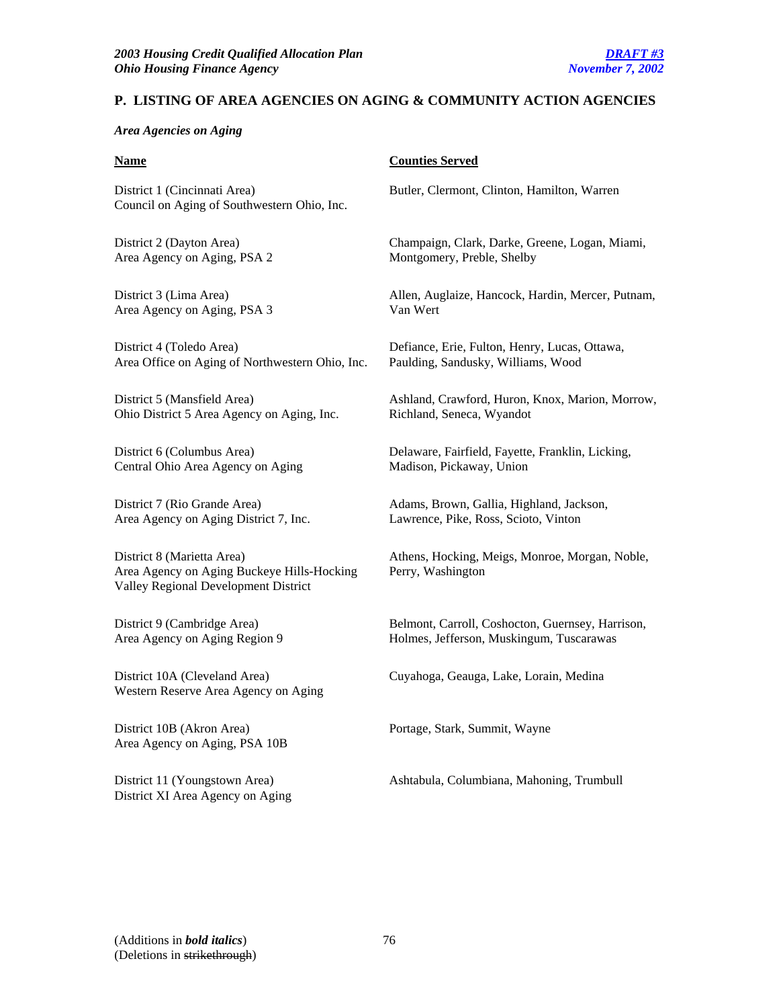# **P. LISTING OF AREA AGENCIES ON AGING & COMMUNITY ACTION AGENCIES**

#### *Area Agencies on Aging*

District 1 (Cincinnati Area) Butler, Clermont, Clinton, Hamilton, Warren Council on Aging of Southwestern Ohio, Inc.

Area Agency on Aging, PSA 2 Montgomery, Preble, Shelby

Area Agency on Aging, PSA 3 Van Wert

District 4 (Toledo Area) Defiance, Erie, Fulton, Henry, Lucas, Ottawa, Area Office on Aging of Northwestern Ohio, Inc. Paulding, Sandusky, Williams, Wood

Ohio District 5 Area Agency on Aging, Inc. Richland, Seneca, Wyandot

Central Ohio Area Agency on Aging Madison, Pickaway, Union

Area Agency on Aging District 7, Inc. Lawrence, Pike, Ross, Scioto, Vinton

Area Agency on Aging Buckeye Hills-Hocking Perry, Washington Valley Regional Development District

Western Reserve Area Agency on Aging

District 10B (Akron Area) Portage, Stark, Summit, Wayne Area Agency on Aging, PSA 10B

District XI Area Agency on Aging

#### **Name** Counties Served

District 2 (Dayton Area) Champaign, Clark, Darke, Greene, Logan, Miami,

District 3 (Lima Area) Allen, Auglaize, Hancock, Hardin, Mercer, Putnam,

District 5 (Mansfield Area) Ashland, Crawford, Huron, Knox, Marion, Morrow,

District 6 (Columbus Area) Delaware, Fairfield, Fayette, Franklin, Licking,

District 7 (Rio Grande Area) Adams, Brown, Gallia, Highland, Jackson,

District 8 (Marietta Area) Athens, Hocking, Meigs, Monroe, Morgan, Noble,

District 9 (Cambridge Area) Belmont, Carroll, Coshocton, Guernsey, Harrison, Area Agency on Aging Region 9 Holmes, Jefferson, Muskingum, Tuscarawas

District 10A (Cleveland Area) Cuyahoga, Geauga, Lake, Lorain, Medina

District 11 (Youngstown Area) Ashtabula, Columbiana, Mahoning, Trumbull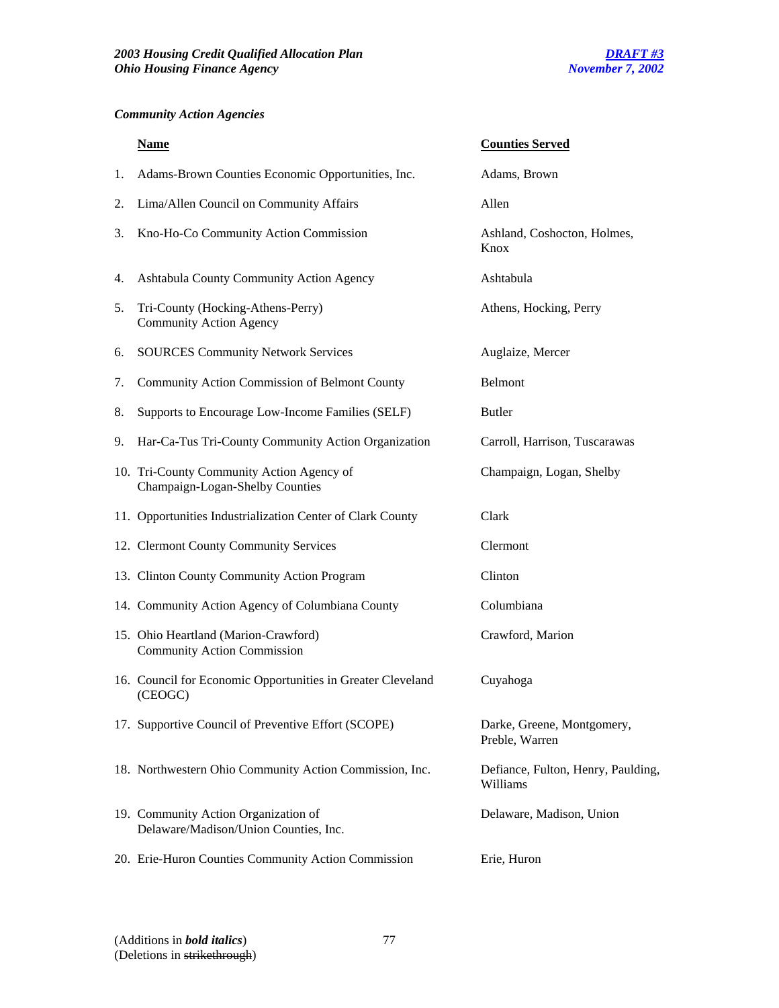# *Community Action Agencies*

|    | <b>Name</b>                                                                   | <b>Counties Served</b>                         |
|----|-------------------------------------------------------------------------------|------------------------------------------------|
| 1. | Adams-Brown Counties Economic Opportunities, Inc.                             | Adams, Brown                                   |
| 2. | Lima/Allen Council on Community Affairs                                       | Allen                                          |
| 3. | Kno-Ho-Co Community Action Commission                                         | Ashland, Coshocton, Holmes,<br>Knox            |
| 4. | Ashtabula County Community Action Agency                                      | Ashtabula                                      |
| 5. | Tri-County (Hocking-Athens-Perry)<br><b>Community Action Agency</b>           | Athens, Hocking, Perry                         |
| 6. | <b>SOURCES Community Network Services</b>                                     | Auglaize, Mercer                               |
| 7. | Community Action Commission of Belmont County                                 | <b>Belmont</b>                                 |
| 8. | Supports to Encourage Low-Income Families (SELF)                              | <b>Butler</b>                                  |
| 9. | Har-Ca-Tus Tri-County Community Action Organization                           | Carroll, Harrison, Tuscarawas                  |
|    | 10. Tri-County Community Action Agency of<br>Champaign-Logan-Shelby Counties  | Champaign, Logan, Shelby                       |
|    | 11. Opportunities Industrialization Center of Clark County                    | Clark                                          |
|    | 12. Clermont County Community Services                                        | Clermont                                       |
|    | 13. Clinton County Community Action Program                                   | Clinton                                        |
|    | 14. Community Action Agency of Columbiana County                              | Columbiana                                     |
|    | 15. Ohio Heartland (Marion-Crawford)<br><b>Community Action Commission</b>    | Crawford, Marion                               |
|    | 16. Council for Economic Opportunities in Greater Cleveland<br>(CEOGC)        | Cuyahoga                                       |
|    | 17. Supportive Council of Preventive Effort (SCOPE)                           | Darke, Greene, Montgomery,<br>Preble, Warren   |
|    | 18. Northwestern Ohio Community Action Commission, Inc.                       | Defiance, Fulton, Henry, Paulding,<br>Williams |
|    | 19. Community Action Organization of<br>Delaware/Madison/Union Counties, Inc. | Delaware, Madison, Union                       |
|    | 20. Erie-Huron Counties Community Action Commission                           | Erie, Huron                                    |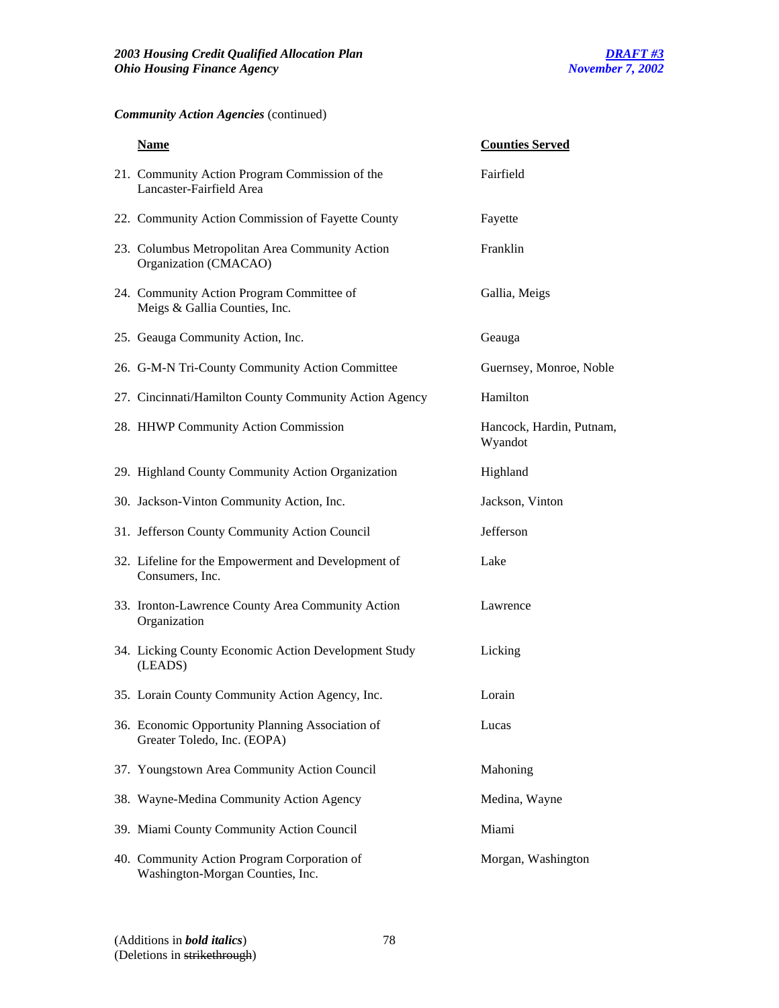# *Community Action Agencies* (continued)

| <b>Name</b>                                                                     | <b>Counties Served</b>              |
|---------------------------------------------------------------------------------|-------------------------------------|
| 21. Community Action Program Commission of the<br>Lancaster-Fairfield Area      | Fairfield                           |
| 22. Community Action Commission of Fayette County                               | Fayette                             |
| 23. Columbus Metropolitan Area Community Action<br>Organization (CMACAO)        | Franklin                            |
| 24. Community Action Program Committee of<br>Meigs & Gallia Counties, Inc.      | Gallia, Meigs                       |
| 25. Geauga Community Action, Inc.                                               | Geauga                              |
| 26. G-M-N Tri-County Community Action Committee                                 | Guernsey, Monroe, Noble             |
| 27. Cincinnati/Hamilton County Community Action Agency                          | Hamilton                            |
| 28. HHWP Community Action Commission                                            | Hancock, Hardin, Putnam,<br>Wyandot |
| 29. Highland County Community Action Organization                               | Highland                            |
| 30. Jackson-Vinton Community Action, Inc.                                       | Jackson, Vinton                     |
| 31. Jefferson County Community Action Council                                   | Jefferson                           |
| 32. Lifeline for the Empowerment and Development of<br>Consumers, Inc.          | Lake                                |
| 33. Ironton-Lawrence County Area Community Action<br>Organization               | Lawrence                            |
| 34. Licking County Economic Action Development Study<br>(LEADS)                 | Licking                             |
| 35. Lorain County Community Action Agency, Inc.                                 | Lorain                              |
| 36. Economic Opportunity Planning Association of<br>Greater Toledo, Inc. (EOPA) | Lucas                               |
| 37. Youngstown Area Community Action Council                                    | Mahoning                            |
| 38. Wayne-Medina Community Action Agency                                        | Medina, Wayne                       |
| 39. Miami County Community Action Council                                       | Miami                               |
| 40. Community Action Program Corporation of<br>Washington-Morgan Counties, Inc. | Morgan, Washington                  |